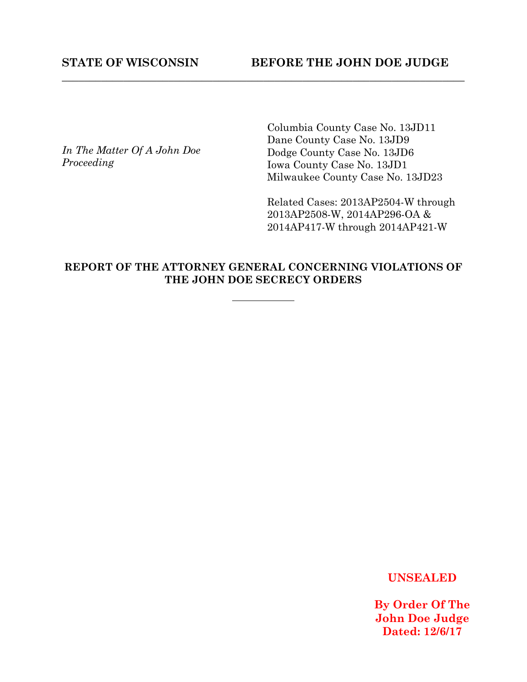*In The Matter Of A John Doe Proceeding* 

Columbia County Case No. 13JD11 Dane County Case No. 13JD9 Dodge County Case No. 13JD6 Iowa County Case No. 13JD1 Milwaukee County Case No. 13JD23

Related Cases: 2013AP2504-W through 2013AP2508-W, 2014AP296-OA & 2014AP417-W through 2014AP421-W

# **REPORT OF THE ATTORNEY GENERAL CONCERNING VIOLATIONS OF THE JOHN DOE SECRECY ORDERS**

**\_\_\_\_\_\_\_\_\_\_\_\_\_\_\_\_\_\_\_\_\_\_\_\_\_\_\_\_\_\_\_\_\_\_\_\_\_\_\_\_\_\_\_\_\_\_\_\_\_\_\_\_\_\_\_\_\_\_\_\_\_\_\_\_\_\_\_\_\_\_\_\_** 

**UNSEALED**

**By Order Of The John Doe Judge Dated: 12/6/17**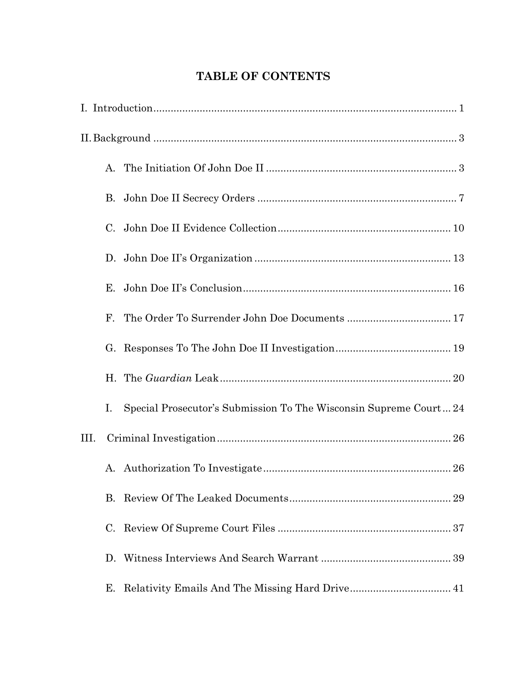# **TABLE OF CONTENTS**

|      | $A_{-}$ |                                                                   |
|------|---------|-------------------------------------------------------------------|
|      | В.      |                                                                   |
|      | C.      |                                                                   |
|      |         |                                                                   |
|      | Е.      |                                                                   |
|      | F.      |                                                                   |
|      | G.      |                                                                   |
|      | Η.      |                                                                   |
|      | I.      | Special Prosecutor's Submission To The Wisconsin Supreme Court 24 |
| III. |         |                                                                   |
|      | А.      |                                                                   |
|      | B.      |                                                                   |
|      | C.      |                                                                   |
|      |         |                                                                   |
|      | Е.      |                                                                   |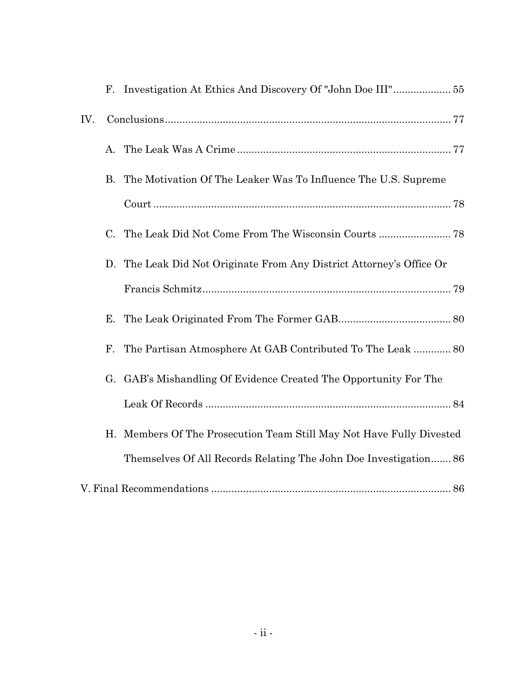| IV. |             |                                                                   |
|-----|-------------|-------------------------------------------------------------------|
|     | А.          |                                                                   |
|     | В.          | The Motivation Of The Leaker Was To Influence The U.S. Supreme    |
|     |             |                                                                   |
|     | $C_{\cdot}$ |                                                                   |
|     | D.          | The Leak Did Not Originate From Any District Attorney's Office Or |
|     |             |                                                                   |
|     | Е.          |                                                                   |
|     | F.          | The Partisan Atmosphere At GAB Contributed To The Leak  80        |
|     |             | G. GAB's Mishandling Of Evidence Created The Opportunity For The  |
|     |             |                                                                   |
|     | Η.          | Members Of The Prosecution Team Still May Not Have Fully Divested |
|     |             | Themselves Of All Records Relating The John Doe Investigation 86  |
|     |             |                                                                   |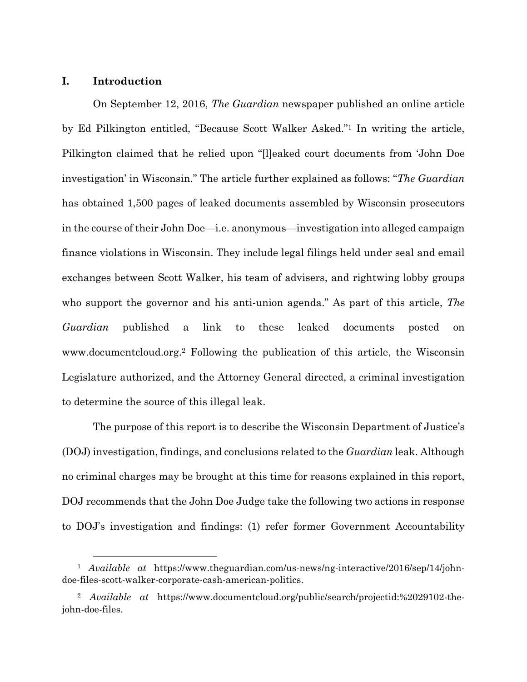## **I. Introduction**

On September 12, 2016, *The Guardian* newspaper published an online article by Ed Pilkington entitled, "Because Scott Walker Asked."1 In writing the article, Pilkington claimed that he relied upon "[l]eaked court documents from 'John Doe investigation' in Wisconsin." The article further explained as follows: "*The Guardian* has obtained 1,500 pages of leaked documents assembled by Wisconsin prosecutors in the course of their John Doe—i.e. anonymous—investigation into alleged campaign finance violations in Wisconsin. They include legal filings held under seal and email exchanges between Scott Walker, his team of advisers, and rightwing lobby groups who support the governor and his anti-union agenda." As part of this article, *The Guardian* published a link to these leaked documents posted on www.documentcloud.org.2 Following the publication of this article, the Wisconsin Legislature authorized, and the Attorney General directed, a criminal investigation to determine the source of this illegal leak.

The purpose of this report is to describe the Wisconsin Department of Justice's (DOJ) investigation, findings, and conclusions related to the *Guardian* leak. Although no criminal charges may be brought at this time for reasons explained in this report, DOJ recommends that the John Doe Judge take the following two actions in response to DOJ's investigation and findings: (1) refer former Government Accountability

 <sup>1</sup> *Available at* https://www.theguardian.com/us-news/ng-interactive/2016/sep/14/johndoe-files-scott-walker-corporate-cash-american-politics.

<sup>2</sup> *Available at* https://www.documentcloud.org/public/search/projectid:%2029102-thejohn-doe-files.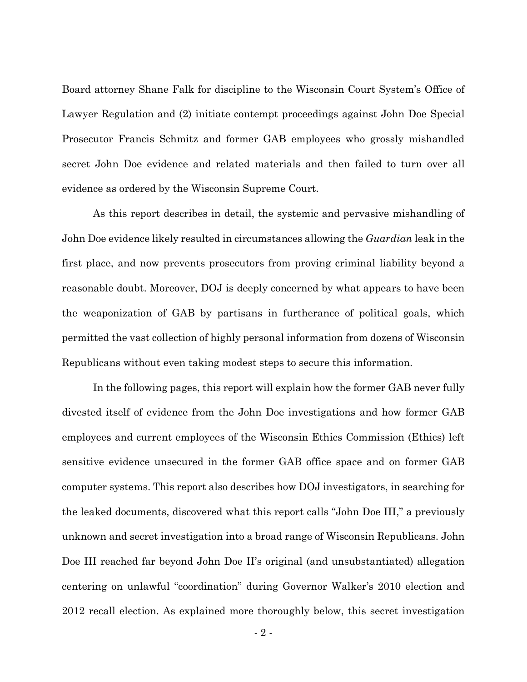Board attorney Shane Falk for discipline to the Wisconsin Court System's Office of Lawyer Regulation and (2) initiate contempt proceedings against John Doe Special Prosecutor Francis Schmitz and former GAB employees who grossly mishandled secret John Doe evidence and related materials and then failed to turn over all evidence as ordered by the Wisconsin Supreme Court.

As this report describes in detail, the systemic and pervasive mishandling of John Doe evidence likely resulted in circumstances allowing the *Guardian* leak in the first place, and now prevents prosecutors from proving criminal liability beyond a reasonable doubt. Moreover, DOJ is deeply concerned by what appears to have been the weaponization of GAB by partisans in furtherance of political goals, which permitted the vast collection of highly personal information from dozens of Wisconsin Republicans without even taking modest steps to secure this information.

In the following pages, this report will explain how the former GAB never fully divested itself of evidence from the John Doe investigations and how former GAB employees and current employees of the Wisconsin Ethics Commission (Ethics) left sensitive evidence unsecured in the former GAB office space and on former GAB computer systems. This report also describes how DOJ investigators, in searching for the leaked documents, discovered what this report calls "John Doe III," a previously unknown and secret investigation into a broad range of Wisconsin Republicans. John Doe III reached far beyond John Doe II's original (and unsubstantiated) allegation centering on unlawful "coordination" during Governor Walker's 2010 election and 2012 recall election. As explained more thoroughly below, this secret investigation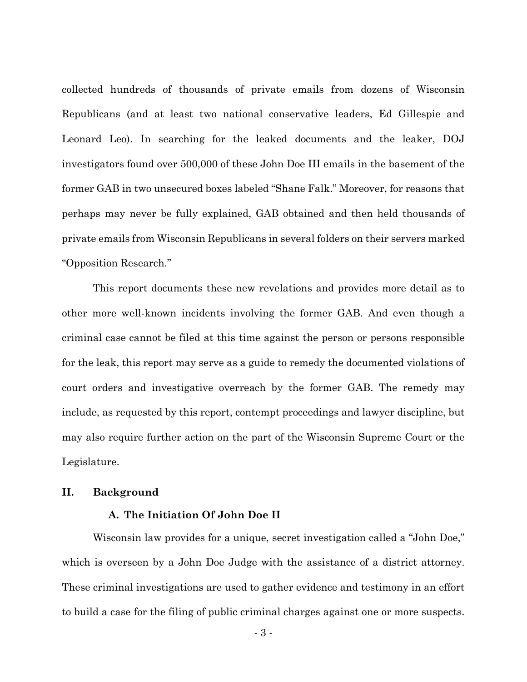collected hundreds of thousands of private emails from dozens of Wisconsin Republicans (and at least two national conservative leaders, Ed Gillespie and Leonard Leo). In searching for the leaked documents and the leaker, DOJ investigators found over 500,000 of these John Doe III emails in the basement of the former GAB in two unsecured boxes labeled "Shane Falk." Moreover, for reasons that perhaps may never be fully explained, GAB obtained and then held thousands of private emails from Wisconsin Republicans in several folders on their servers marked "Opposition Research."

This report documents these new revelations and provides more detail as to other more well-known incidents involving the former GAB. And even though a criminal case cannot be filed at this time against the person or persons responsible for the leak, this report may serve as a guide to remedy the documented violations of court orders and investigative overreach by the former GAB. The remedy may include, as requested by this report, contempt proceedings and lawyer discipline, but may also require further action on the part of the Wisconsin Supreme Court or the Legislature.

#### **II. Background**

### **A. The Initiation Of John Doe II**

 Wisconsin law provides for a unique, secret investigation called a "John Doe," which is overseen by a John Doe Judge with the assistance of a district attorney. These criminal investigations are used to gather evidence and testimony in an effort to build a case for the filing of public criminal charges against one or more suspects.

- 3 -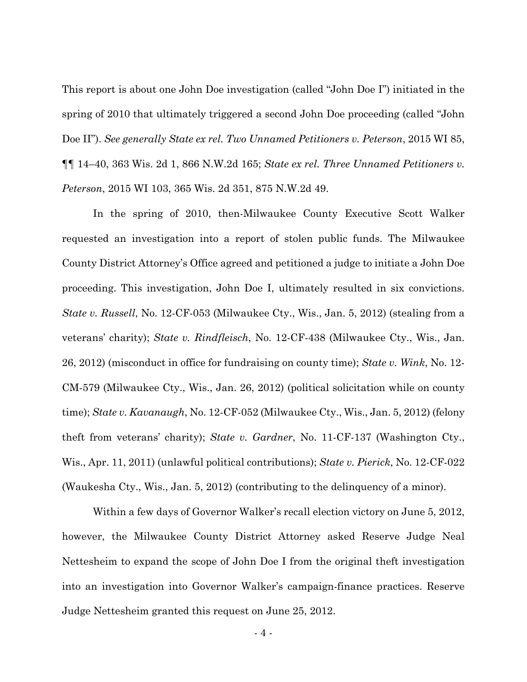This report is about one John Doe investigation (called "John Doe I") initiated in the spring of 2010 that ultimately triggered a second John Doe proceeding (called "John Doe II"). *See generally State ex rel. Two Unnamed Petitioners v. Peterson*, 2015 WI 85, ¶¶ 14–40, 363 Wis. 2d 1, 866 N.W.2d 165; *State ex rel. Three Unnamed Petitioners v. Peterson*, 2015 WI 103, 365 Wis. 2d 351, 875 N.W.2d 49.

 In the spring of 2010, then-Milwaukee County Executive Scott Walker requested an investigation into a report of stolen public funds. The Milwaukee County District Attorney's Office agreed and petitioned a judge to initiate a John Doe proceeding. This investigation, John Doe I, ultimately resulted in six convictions. *State v. Russell*, No. 12-CF-053 (Milwaukee Cty., Wis., Jan. 5, 2012) (stealing from a veterans' charity); *State v. Rindfleisch*, No. 12-CF-438 (Milwaukee Cty., Wis., Jan. 26, 2012) (misconduct in office for fundraising on county time); *State v. Wink*, No. 12- CM-579 (Milwaukee Cty., Wis., Jan. 26, 2012) (political solicitation while on county time); *State v. Kavanaugh*, No. 12-CF-052 (Milwaukee Cty., Wis., Jan. 5, 2012) (felony theft from veterans' charity); *State v. Gardner*, No. 11-CF-137 (Washington Cty., Wis., Apr. 11, 2011) (unlawful political contributions); *State v. Pierick*, No. 12-CF-022 (Waukesha Cty., Wis., Jan. 5, 2012) (contributing to the delinquency of a minor).

 Within a few days of Governor Walker's recall election victory on June 5, 2012, however, the Milwaukee County District Attorney asked Reserve Judge Neal Nettesheim to expand the scope of John Doe I from the original theft investigation into an investigation into Governor Walker's campaign-finance practices. Reserve Judge Nettesheim granted this request on June 25, 2012.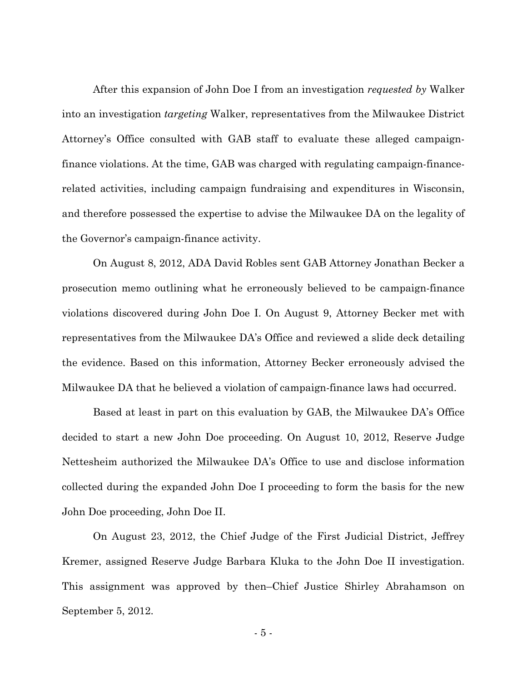After this expansion of John Doe I from an investigation *requested by* Walker into an investigation *targeting* Walker, representatives from the Milwaukee District Attorney's Office consulted with GAB staff to evaluate these alleged campaignfinance violations. At the time, GAB was charged with regulating campaign-financerelated activities, including campaign fundraising and expenditures in Wisconsin, and therefore possessed the expertise to advise the Milwaukee DA on the legality of the Governor's campaign-finance activity.

 On August 8, 2012, ADA David Robles sent GAB Attorney Jonathan Becker a prosecution memo outlining what he erroneously believed to be campaign-finance violations discovered during John Doe I. On August 9, Attorney Becker met with representatives from the Milwaukee DA's Office and reviewed a slide deck detailing the evidence. Based on this information, Attorney Becker erroneously advised the Milwaukee DA that he believed a violation of campaign-finance laws had occurred.

 Based at least in part on this evaluation by GAB, the Milwaukee DA's Office decided to start a new John Doe proceeding. On August 10, 2012, Reserve Judge Nettesheim authorized the Milwaukee DA's Office to use and disclose information collected during the expanded John Doe I proceeding to form the basis for the new John Doe proceeding, John Doe II.

On August 23, 2012, the Chief Judge of the First Judicial District, Jeffrey Kremer, assigned Reserve Judge Barbara Kluka to the John Doe II investigation. This assignment was approved by then–Chief Justice Shirley Abrahamson on September 5, 2012.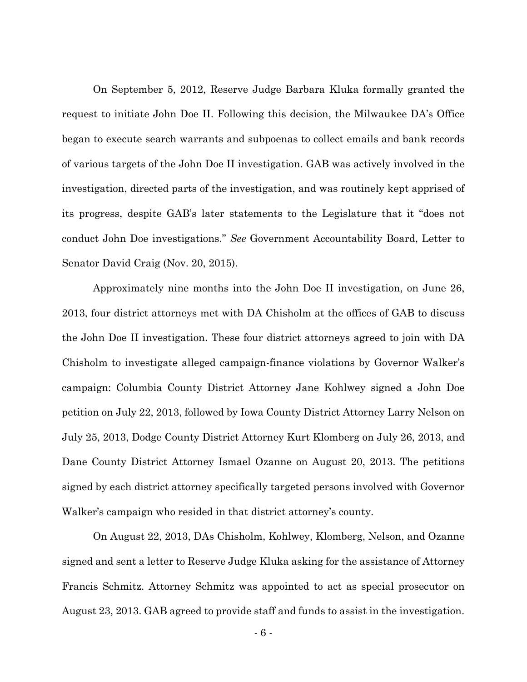On September 5, 2012, Reserve Judge Barbara Kluka formally granted the request to initiate John Doe II. Following this decision, the Milwaukee DA's Office began to execute search warrants and subpoenas to collect emails and bank records of various targets of the John Doe II investigation. GAB was actively involved in the investigation, directed parts of the investigation, and was routinely kept apprised of its progress, despite GAB's later statements to the Legislature that it "does not conduct John Doe investigations." *See* Government Accountability Board, Letter to Senator David Craig (Nov. 20, 2015).

Approximately nine months into the John Doe II investigation, on June 26, 2013, four district attorneys met with DA Chisholm at the offices of GAB to discuss the John Doe II investigation. These four district attorneys agreed to join with DA Chisholm to investigate alleged campaign-finance violations by Governor Walker's campaign: Columbia County District Attorney Jane Kohlwey signed a John Doe petition on July 22, 2013, followed by Iowa County District Attorney Larry Nelson on July 25, 2013, Dodge County District Attorney Kurt Klomberg on July 26, 2013, and Dane County District Attorney Ismael Ozanne on August 20, 2013. The petitions signed by each district attorney specifically targeted persons involved with Governor Walker's campaign who resided in that district attorney's county.

On August 22, 2013, DAs Chisholm, Kohlwey, Klomberg, Nelson, and Ozanne signed and sent a letter to Reserve Judge Kluka asking for the assistance of Attorney Francis Schmitz. Attorney Schmitz was appointed to act as special prosecutor on August 23, 2013. GAB agreed to provide staff and funds to assist in the investigation.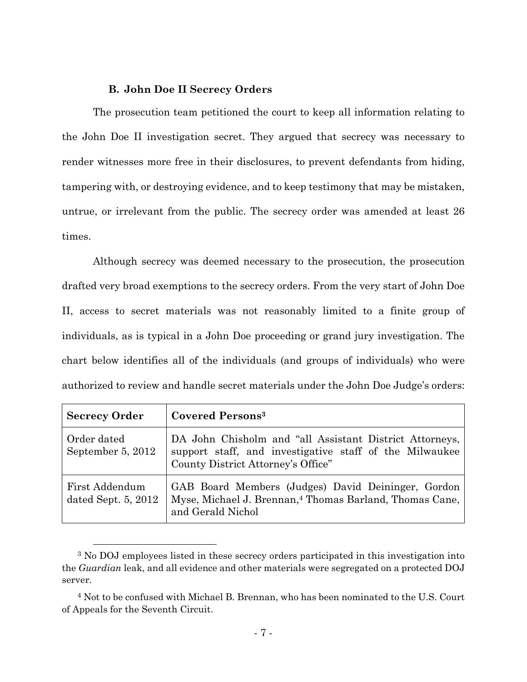### **B. John Doe II Secrecy Orders**

The prosecution team petitioned the court to keep all information relating to the John Doe II investigation secret. They argued that secrecy was necessary to render witnesses more free in their disclosures, to prevent defendants from hiding, tampering with, or destroying evidence, and to keep testimony that may be mistaken, untrue, or irrelevant from the public. The secrecy order was amended at least 26 times.

Although secrecy was deemed necessary to the prosecution, the prosecution drafted very broad exemptions to the secrecy orders. From the very start of John Doe II, access to secret materials was not reasonably limited to a finite group of individuals, as is typical in a John Doe proceeding or grand jury investigation. The chart below identifies all of the individuals (and groups of individuals) who were authorized to review and handle secret materials under the John Doe Judge's orders:

| <b>Secrecy Order</b>                  | <b>Covered Persons</b> <sup>3</sup>                                                                                                                      |  |
|---------------------------------------|----------------------------------------------------------------------------------------------------------------------------------------------------------|--|
| Order dated<br>September 5, 2012      | DA John Chisholm and "all Assistant District Attorneys,<br>support staff, and investigative staff of the Milwaukee<br>County District Attorney's Office" |  |
| First Addendum<br>dated Sept. 5, 2012 | GAB Board Members (Judges) David Deininger, Gordon<br>Myse, Michael J. Brennan, <sup>4</sup> Thomas Barland, Thomas Cane,<br>and Gerald Nichol           |  |

 <sup>3</sup> No DOJ employees listed in these secrecy orders participated in this investigation into the *Guardian* leak, and all evidence and other materials were segregated on a protected DOJ server.

<sup>4</sup> Not to be confused with Michael B. Brennan, who has been nominated to the U.S. Court of Appeals for the Seventh Circuit.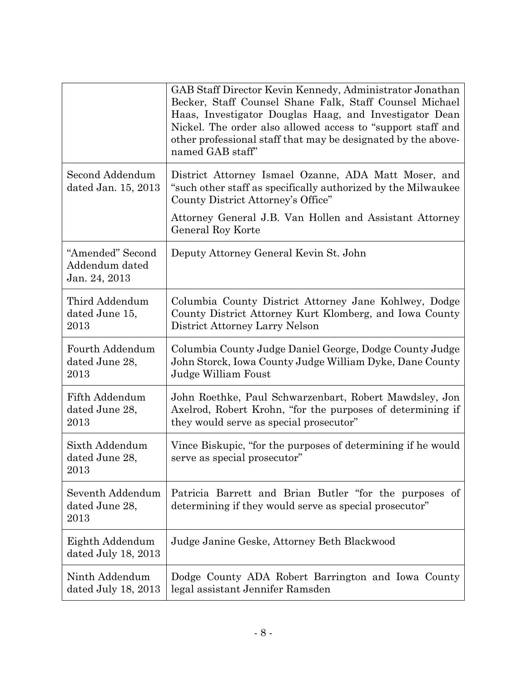|                                                     | GAB Staff Director Kevin Kennedy, Administrator Jonathan<br>Becker, Staff Counsel Shane Falk, Staff Counsel Michael<br>Haas, Investigator Douglas Haag, and Investigator Dean<br>Nickel. The order also allowed access to "support staff and<br>other professional staff that may be designated by the above-<br>named GAB staff" |
|-----------------------------------------------------|-----------------------------------------------------------------------------------------------------------------------------------------------------------------------------------------------------------------------------------------------------------------------------------------------------------------------------------|
| Second Addendum<br>dated Jan. 15, 2013              | District Attorney Ismael Ozanne, ADA Matt Moser, and<br>"such other staff as specifically authorized by the Milwaukee<br>County District Attorney's Office"<br>Attorney General J.B. Van Hollen and Assistant Attorney                                                                                                            |
|                                                     | General Roy Korte                                                                                                                                                                                                                                                                                                                 |
| "Amended" Second<br>Addendum dated<br>Jan. 24, 2013 | Deputy Attorney General Kevin St. John                                                                                                                                                                                                                                                                                            |
| Third Addendum<br>dated June 15,<br>2013            | Columbia County District Attorney Jane Kohlwey, Dodge<br>County District Attorney Kurt Klomberg, and Iowa County<br>District Attorney Larry Nelson                                                                                                                                                                                |
| Fourth Addendum<br>dated June 28,<br>2013           | Columbia County Judge Daniel George, Dodge County Judge<br>John Storck, Iowa County Judge William Dyke, Dane County<br>Judge William Foust                                                                                                                                                                                        |
| Fifth Addendum<br>dated June 28,<br>2013            | John Roethke, Paul Schwarzenbart, Robert Mawdsley, Jon<br>Axelrod, Robert Krohn, "for the purposes of determining if<br>they would serve as special prosecutor"                                                                                                                                                                   |
| Sixth Addendum<br>dated June 28,<br>2013            | Vince Biskupic, "for the purposes of determining if he would<br>serve as special prosecutor"                                                                                                                                                                                                                                      |
| Seventh Addendum<br>dated June 28,<br>2013          | Patricia Barrett and Brian Butler "for the purposes of<br>determining if they would serve as special prosecutor"                                                                                                                                                                                                                  |
| Eighth Addendum<br>dated July 18, 2013              | Judge Janine Geske, Attorney Beth Blackwood                                                                                                                                                                                                                                                                                       |
| Ninth Addendum<br>dated July 18, 2013               | Dodge County ADA Robert Barrington and Iowa County<br>legal assistant Jennifer Ramsden                                                                                                                                                                                                                                            |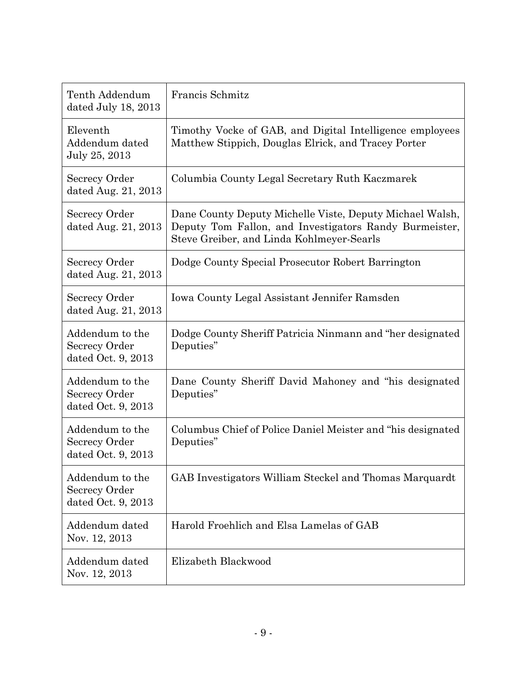| Tenth Addendum<br>dated July 18, 2013                         | Francis Schmitz                                                                                                                                                 |  |  |
|---------------------------------------------------------------|-----------------------------------------------------------------------------------------------------------------------------------------------------------------|--|--|
| Eleventh<br>Addendum dated<br>July 25, 2013                   | Timothy Vocke of GAB, and Digital Intelligence employees<br>Matthew Stippich, Douglas Elrick, and Tracey Porter                                                 |  |  |
| Secrecy Order<br>dated Aug. 21, 2013                          | Columbia County Legal Secretary Ruth Kaczmarek                                                                                                                  |  |  |
| Secrecy Order<br>dated Aug. 21, 2013                          | Dane County Deputy Michelle Viste, Deputy Michael Walsh,<br>Deputy Tom Fallon, and Investigators Randy Burmeister,<br>Steve Greiber, and Linda Kohlmeyer-Searls |  |  |
| Secrecy Order<br>dated Aug. 21, 2013                          | Dodge County Special Prosecutor Robert Barrington                                                                                                               |  |  |
| Secrecy Order<br>dated Aug. $21, 2013$                        | Iowa County Legal Assistant Jennifer Ramsden                                                                                                                    |  |  |
| Addendum to the<br>Secrecy Order<br>dated Oct. 9, 2013        | Dodge County Sheriff Patricia Ninmann and "her designated<br>Deputies"                                                                                          |  |  |
| Addendum to the<br>Secrecy Order<br>dated Oct. 9, 2013        | Dane County Sheriff David Mahoney and "his designated"<br>Deputies"                                                                                             |  |  |
| Addendum to the<br>Secrecy Order<br>dated Oct. 9, 2013        | Columbus Chief of Police Daniel Meister and "his designated"<br>Deputies"                                                                                       |  |  |
| Addendum to the<br><b>Secrecy Order</b><br>dated Oct. 9, 2013 | GAB Investigators William Steckel and Thomas Marquardt                                                                                                          |  |  |
| Addendum dated<br>Nov. 12, 2013                               | Harold Froehlich and Elsa Lamelas of GAB                                                                                                                        |  |  |
| Addendum dated<br>Nov. 12, 2013                               | Elizabeth Blackwood                                                                                                                                             |  |  |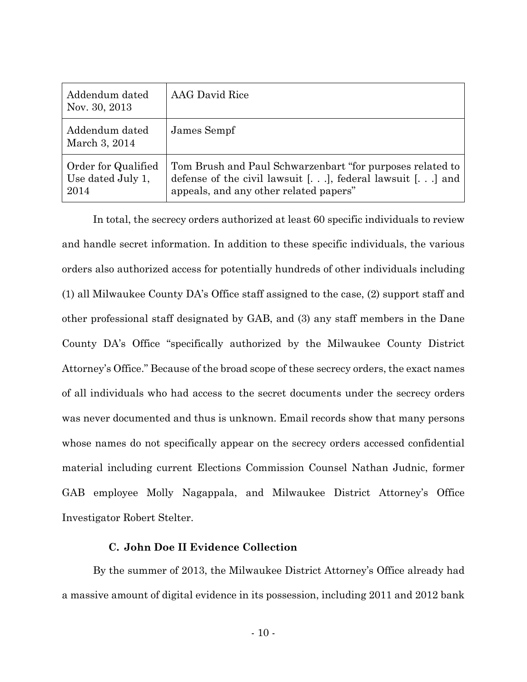| Addendum dated<br>Nov. 30, 2013                  | <b>AAG</b> David Rice                                                                                                                                               |
|--------------------------------------------------|---------------------------------------------------------------------------------------------------------------------------------------------------------------------|
| Addendum dated<br>March 3, 2014                  | James Sempf                                                                                                                                                         |
| Order for Qualified<br>Use dated July 1,<br>2014 | Tom Brush and Paul Schwarzenbart "for purposes related to<br>defense of the civil lawsuit $[]$ , federal lawsuit $[]$ and<br>appeals, and any other related papers" |

In total, the secrecy orders authorized at least 60 specific individuals to review and handle secret information. In addition to these specific individuals, the various orders also authorized access for potentially hundreds of other individuals including (1) all Milwaukee County DA's Office staff assigned to the case, (2) support staff and other professional staff designated by GAB, and (3) any staff members in the Dane County DA's Office "specifically authorized by the Milwaukee County District Attorney's Office." Because of the broad scope of these secrecy orders, the exact names of all individuals who had access to the secret documents under the secrecy orders was never documented and thus is unknown. Email records show that many persons whose names do not specifically appear on the secrecy orders accessed confidential material including current Elections Commission Counsel Nathan Judnic, former GAB employee Molly Nagappala, and Milwaukee District Attorney's Office Investigator Robert Stelter.

## **C. John Doe II Evidence Collection**

By the summer of 2013, the Milwaukee District Attorney's Office already had a massive amount of digital evidence in its possession, including 2011 and 2012 bank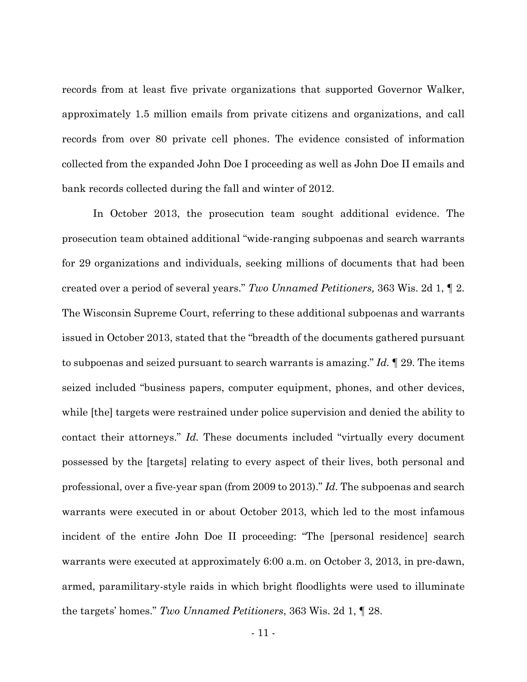records from at least five private organizations that supported Governor Walker, approximately 1.5 million emails from private citizens and organizations, and call records from over 80 private cell phones. The evidence consisted of information collected from the expanded John Doe I proceeding as well as John Doe II emails and bank records collected during the fall and winter of 2012.

In October 2013, the prosecution team sought additional evidence. The prosecution team obtained additional "wide-ranging subpoenas and search warrants for 29 organizations and individuals, seeking millions of documents that had been created over a period of several years." *Two Unnamed Petitioners,* 363 Wis. 2d 1, ¶ 2. The Wisconsin Supreme Court, referring to these additional subpoenas and warrants issued in October 2013, stated that the "breadth of the documents gathered pursuant to subpoenas and seized pursuant to search warrants is amazing." *Id.* ¶ 29. The items seized included "business papers, computer equipment, phones, and other devices, while [the] targets were restrained under police supervision and denied the ability to contact their attorneys." *Id.* These documents included "virtually every document possessed by the [targets] relating to every aspect of their lives, both personal and professional, over a five-year span (from 2009 to 2013)." *Id.* The subpoenas and search warrants were executed in or about October 2013, which led to the most infamous incident of the entire John Doe II proceeding: "The [personal residence] search warrants were executed at approximately 6:00 a.m. on October 3, 2013, in pre-dawn, armed, paramilitary-style raids in which bright floodlights were used to illuminate the targets' homes." *Two Unnamed Petitioners*, 363 Wis. 2d 1, ¶ 28.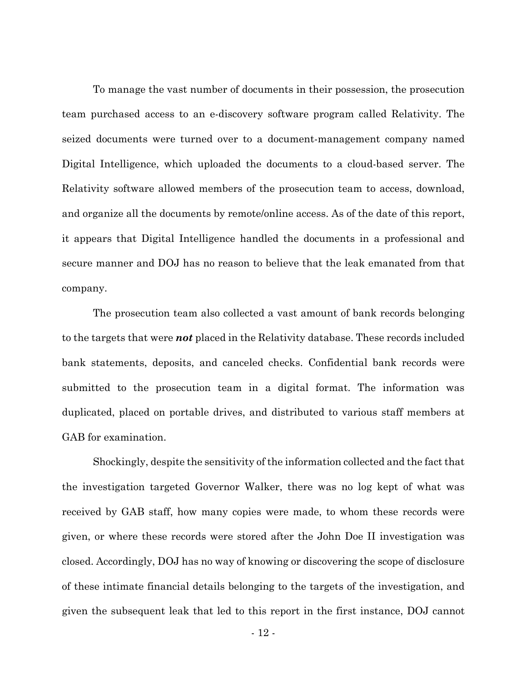To manage the vast number of documents in their possession, the prosecution team purchased access to an e-discovery software program called Relativity. The seized documents were turned over to a document-management company named Digital Intelligence, which uploaded the documents to a cloud-based server. The Relativity software allowed members of the prosecution team to access, download, and organize all the documents by remote/online access. As of the date of this report, it appears that Digital Intelligence handled the documents in a professional and secure manner and DOJ has no reason to believe that the leak emanated from that company.

The prosecution team also collected a vast amount of bank records belonging to the targets that were *not* placed in the Relativity database. These records included bank statements, deposits, and canceled checks. Confidential bank records were submitted to the prosecution team in a digital format. The information was duplicated, placed on portable drives, and distributed to various staff members at GAB for examination.

Shockingly, despite the sensitivity of the information collected and the fact that the investigation targeted Governor Walker, there was no log kept of what was received by GAB staff, how many copies were made, to whom these records were given, or where these records were stored after the John Doe II investigation was closed. Accordingly, DOJ has no way of knowing or discovering the scope of disclosure of these intimate financial details belonging to the targets of the investigation, and given the subsequent leak that led to this report in the first instance, DOJ cannot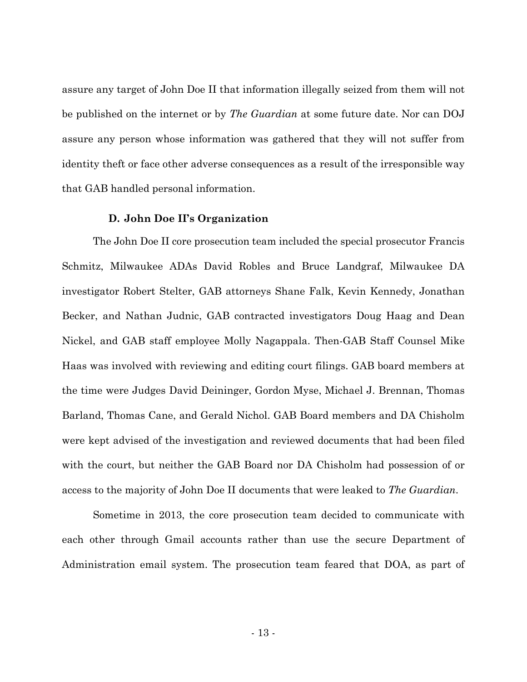assure any target of John Doe II that information illegally seized from them will not be published on the internet or by *The Guardian* at some future date. Nor can DOJ assure any person whose information was gathered that they will not suffer from identity theft or face other adverse consequences as a result of the irresponsible way that GAB handled personal information.

### **D. John Doe II's Organization**

 The John Doe II core prosecution team included the special prosecutor Francis Schmitz, Milwaukee ADAs David Robles and Bruce Landgraf, Milwaukee DA investigator Robert Stelter, GAB attorneys Shane Falk, Kevin Kennedy, Jonathan Becker, and Nathan Judnic, GAB contracted investigators Doug Haag and Dean Nickel, and GAB staff employee Molly Nagappala. Then-GAB Staff Counsel Mike Haas was involved with reviewing and editing court filings. GAB board members at the time were Judges David Deininger, Gordon Myse, Michael J. Brennan, Thomas Barland, Thomas Cane, and Gerald Nichol. GAB Board members and DA Chisholm were kept advised of the investigation and reviewed documents that had been filed with the court, but neither the GAB Board nor DA Chisholm had possession of or access to the majority of John Doe II documents that were leaked to *The Guardian*.

Sometime in 2013, the core prosecution team decided to communicate with each other through Gmail accounts rather than use the secure Department of Administration email system. The prosecution team feared that DOA, as part of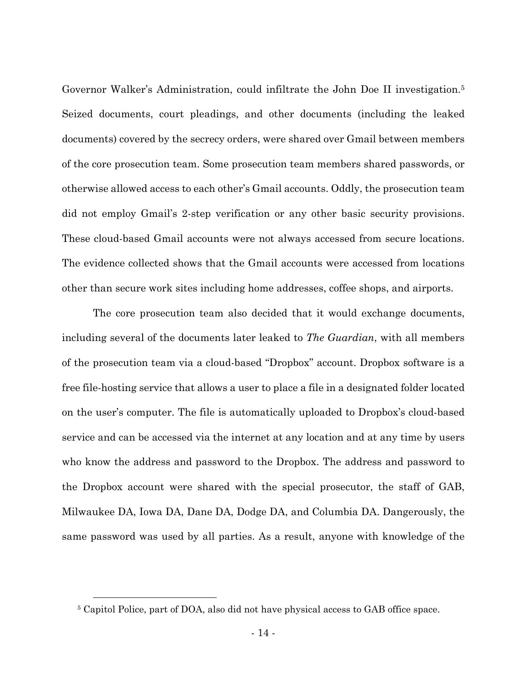Governor Walker's Administration, could infiltrate the John Doe II investigation.5 Seized documents, court pleadings, and other documents (including the leaked documents) covered by the secrecy orders, were shared over Gmail between members of the core prosecution team. Some prosecution team members shared passwords, or otherwise allowed access to each other's Gmail accounts. Oddly, the prosecution team did not employ Gmail's 2-step verification or any other basic security provisions. These cloud-based Gmail accounts were not always accessed from secure locations. The evidence collected shows that the Gmail accounts were accessed from locations other than secure work sites including home addresses, coffee shops, and airports.

The core prosecution team also decided that it would exchange documents, including several of the documents later leaked to *The Guardian*, with all members of the prosecution team via a cloud-based "Dropbox" account. Dropbox software is a free file-hosting service that allows a user to place a file in a designated folder located on the user's computer. The file is automatically uploaded to Dropbox's cloud-based service and can be accessed via the internet at any location and at any time by users who know the address and password to the Dropbox. The address and password to the Dropbox account were shared with the special prosecutor, the staff of GAB, Milwaukee DA, Iowa DA, Dane DA, Dodge DA, and Columbia DA. Dangerously, the same password was used by all parties. As a result, anyone with knowledge of the

 <sup>5</sup> Capitol Police, part of DOA, also did not have physical access to GAB office space.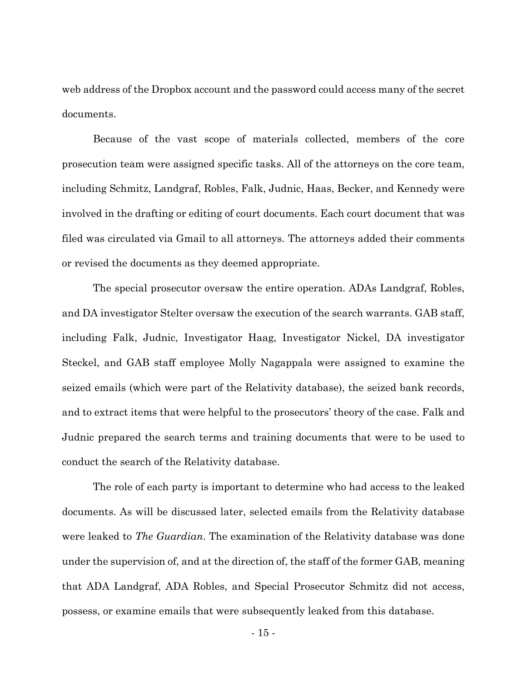web address of the Dropbox account and the password could access many of the secret documents.

 Because of the vast scope of materials collected, members of the core prosecution team were assigned specific tasks. All of the attorneys on the core team, including Schmitz, Landgraf, Robles, Falk, Judnic, Haas, Becker, and Kennedy were involved in the drafting or editing of court documents. Each court document that was filed was circulated via Gmail to all attorneys. The attorneys added their comments or revised the documents as they deemed appropriate.

 The special prosecutor oversaw the entire operation. ADAs Landgraf, Robles, and DA investigator Stelter oversaw the execution of the search warrants. GAB staff, including Falk, Judnic, Investigator Haag, Investigator Nickel, DA investigator Steckel, and GAB staff employee Molly Nagappala were assigned to examine the seized emails (which were part of the Relativity database), the seized bank records, and to extract items that were helpful to the prosecutors' theory of the case. Falk and Judnic prepared the search terms and training documents that were to be used to conduct the search of the Relativity database.

 The role of each party is important to determine who had access to the leaked documents. As will be discussed later, selected emails from the Relativity database were leaked to *The Guardian*. The examination of the Relativity database was done under the supervision of, and at the direction of, the staff of the former GAB, meaning that ADA Landgraf, ADA Robles, and Special Prosecutor Schmitz did not access, possess, or examine emails that were subsequently leaked from this database.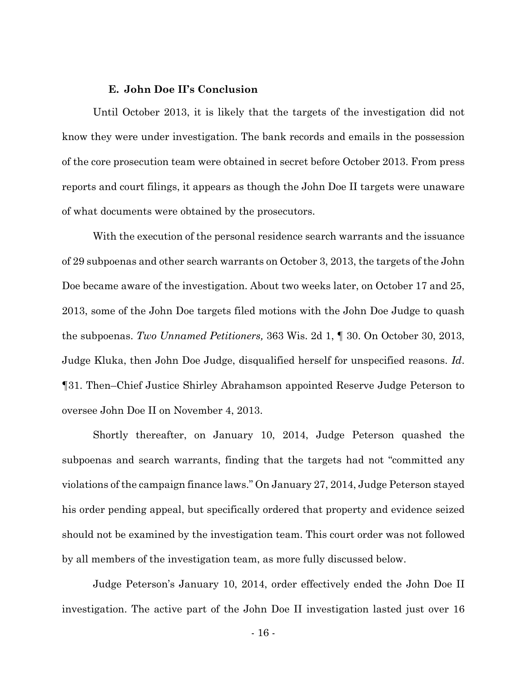### **E. John Doe II's Conclusion**

 Until October 2013, it is likely that the targets of the investigation did not know they were under investigation. The bank records and emails in the possession of the core prosecution team were obtained in secret before October 2013. From press reports and court filings, it appears as though the John Doe II targets were unaware of what documents were obtained by the prosecutors.

With the execution of the personal residence search warrants and the issuance of 29 subpoenas and other search warrants on October 3, 2013, the targets of the John Doe became aware of the investigation. About two weeks later, on October 17 and 25, 2013, some of the John Doe targets filed motions with the John Doe Judge to quash the subpoenas. *Two Unnamed Petitioners,* 363 Wis. 2d 1, ¶ 30. On October 30, 2013, Judge Kluka, then John Doe Judge, disqualified herself for unspecified reasons. *Id*. ¶31. Then–Chief Justice Shirley Abrahamson appointed Reserve Judge Peterson to oversee John Doe II on November 4, 2013.

Shortly thereafter, on January 10, 2014, Judge Peterson quashed the subpoenas and search warrants, finding that the targets had not "committed any violations of the campaign finance laws." On January 27, 2014, Judge Peterson stayed his order pending appeal, but specifically ordered that property and evidence seized should not be examined by the investigation team. This court order was not followed by all members of the investigation team, as more fully discussed below.

Judge Peterson's January 10, 2014, order effectively ended the John Doe II investigation. The active part of the John Doe II investigation lasted just over 16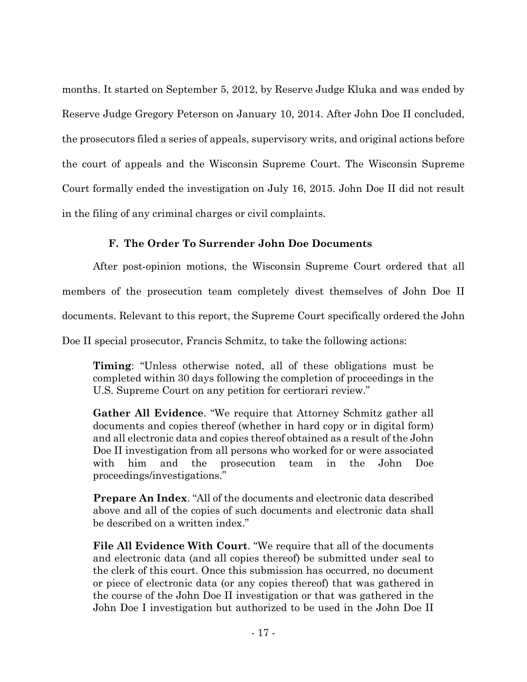months. It started on September 5, 2012, by Reserve Judge Kluka and was ended by Reserve Judge Gregory Peterson on January 10, 2014. After John Doe II concluded, the prosecutors filed a series of appeals, supervisory writs, and original actions before the court of appeals and the Wisconsin Supreme Court. The Wisconsin Supreme Court formally ended the investigation on July 16, 2015. John Doe II did not result in the filing of any criminal charges or civil complaints.

# **F. The Order To Surrender John Doe Documents**

After post-opinion motions, the Wisconsin Supreme Court ordered that all members of the prosecution team completely divest themselves of John Doe II documents. Relevant to this report, the Supreme Court specifically ordered the John Doe II special prosecutor, Francis Schmitz, to take the following actions:

**Timing**: "Unless otherwise noted, all of these obligations must be completed within 30 days following the completion of proceedings in the U.S. Supreme Court on any petition for certiorari review."

**Gather All Evidence**. "We require that Attorney Schmitz gather all documents and copies thereof (whether in hard copy or in digital form) and all electronic data and copies thereof obtained as a result of the John Doe II investigation from all persons who worked for or were associated with him and the prosecution team in the John Doe proceedings/investigations."

**Prepare An Index**. "All of the documents and electronic data described above and all of the copies of such documents and electronic data shall be described on a written index."

**File All Evidence With Court**. "We require that all of the documents and electronic data (and all copies thereof) be submitted under seal to the clerk of this court. Once this submission has occurred, no document or piece of electronic data (or any copies thereof) that was gathered in the course of the John Doe II investigation or that was gathered in the John Doe I investigation but authorized to be used in the John Doe II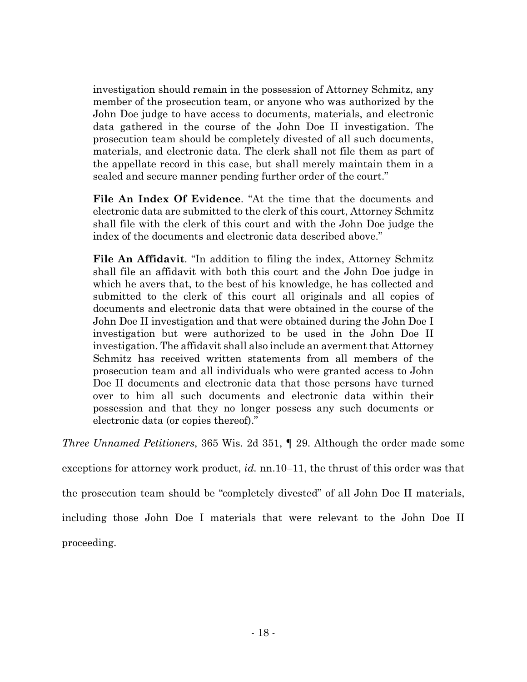investigation should remain in the possession of Attorney Schmitz, any member of the prosecution team, or anyone who was authorized by the John Doe judge to have access to documents, materials, and electronic data gathered in the course of the John Doe II investigation. The prosecution team should be completely divested of all such documents, materials, and electronic data. The clerk shall not file them as part of the appellate record in this case, but shall merely maintain them in a sealed and secure manner pending further order of the court."

**File An Index Of Evidence**. "At the time that the documents and electronic data are submitted to the clerk of this court, Attorney Schmitz shall file with the clerk of this court and with the John Doe judge the index of the documents and electronic data described above."

**File An Affidavit**. "In addition to filing the index, Attorney Schmitz shall file an affidavit with both this court and the John Doe judge in which he avers that, to the best of his knowledge, he has collected and submitted to the clerk of this court all originals and all copies of documents and electronic data that were obtained in the course of the John Doe II investigation and that were obtained during the John Doe I investigation but were authorized to be used in the John Doe II investigation. The affidavit shall also include an averment that Attorney Schmitz has received written statements from all members of the prosecution team and all individuals who were granted access to John Doe II documents and electronic data that those persons have turned over to him all such documents and electronic data within their possession and that they no longer possess any such documents or electronic data (or copies thereof)."

*Three Unnamed Petitioners*, 365 Wis. 2d 351, ¶ 29. Although the order made some

exceptions for attorney work product, *id.* nn.10–11, the thrust of this order was that

the prosecution team should be "completely divested" of all John Doe II materials,

including those John Doe I materials that were relevant to the John Doe II

proceeding.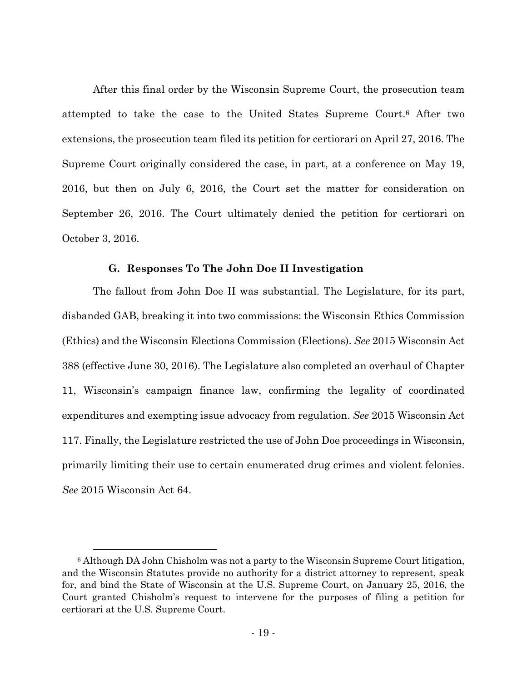After this final order by the Wisconsin Supreme Court, the prosecution team attempted to take the case to the United States Supreme Court.6 After two extensions, the prosecution team filed its petition for certiorari on April 27, 2016. The Supreme Court originally considered the case, in part, at a conference on May 19, 2016, but then on July 6, 2016, the Court set the matter for consideration on September 26, 2016. The Court ultimately denied the petition for certiorari on October 3, 2016.

### **G. Responses To The John Doe II Investigation**

The fallout from John Doe II was substantial. The Legislature, for its part, disbanded GAB, breaking it into two commissions: the Wisconsin Ethics Commission (Ethics) and the Wisconsin Elections Commission (Elections). *See* 2015 Wisconsin Act 388 (effective June 30, 2016). The Legislature also completed an overhaul of Chapter 11, Wisconsin's campaign finance law, confirming the legality of coordinated expenditures and exempting issue advocacy from regulation. *See* 2015 Wisconsin Act 117. Finally, the Legislature restricted the use of John Doe proceedings in Wisconsin, primarily limiting their use to certain enumerated drug crimes and violent felonies. *See* 2015 Wisconsin Act 64.

 <sup>6</sup> Although DA John Chisholm was not a party to the Wisconsin Supreme Court litigation, and the Wisconsin Statutes provide no authority for a district attorney to represent, speak for, and bind the State of Wisconsin at the U.S. Supreme Court, on January 25, 2016, the Court granted Chisholm's request to intervene for the purposes of filing a petition for certiorari at the U.S. Supreme Court.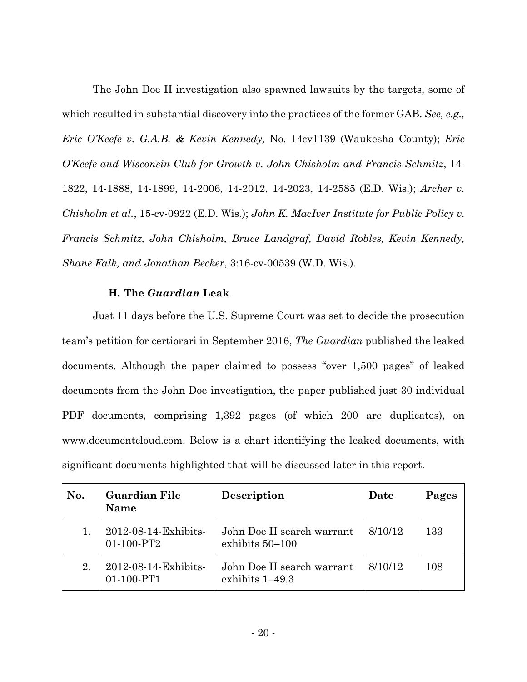The John Doe II investigation also spawned lawsuits by the targets, some of which resulted in substantial discovery into the practices of the former GAB. *See, e.g., Eric O'Keefe v. G.A.B. & Kevin Kennedy,* No. 14cv1139 (Waukesha County); *Eric O'Keefe and Wisconsin Club for Growth v. John Chisholm and Francis Schmitz*, 14- 1822, 14-1888, 14-1899, 14-2006, 14-2012, 14-2023, 14-2585 (E.D. Wis.); *Archer v. Chisholm et al.*, 15-cv-0922 (E.D. Wis.); *John K. MacIver Institute for Public Policy v. Francis Schmitz, John Chisholm, Bruce Landgraf, David Robles, Kevin Kennedy, Shane Falk, and Jonathan Becker*, 3:16-cv-00539 (W.D. Wis.).

# **H. The** *Guardian* **Leak**

Just 11 days before the U.S. Supreme Court was set to decide the prosecution team's petition for certiorari in September 2016, *The Guardian* published the leaked documents. Although the paper claimed to possess "over 1,500 pages" of leaked documents from the John Doe investigation, the paper published just 30 individual PDF documents, comprising 1,392 pages (of which 200 are duplicates), on www.documentcloud.com. Below is a chart identifying the leaked documents, with significant documents highlighted that will be discussed later in this report.

| No. | <b>Guardian File</b><br><b>Name</b> | Description                                     | Date    | Pages |
|-----|-------------------------------------|-------------------------------------------------|---------|-------|
|     | 2012-08-14-Exhibits-<br>01-100-PT2  | John Doe II search warrant<br>exhibits 50-100   | 8/10/12 | 133   |
| 2.  | 2012-08-14-Exhibits-<br>01-100-PT1  | John Doe II search warrant<br>exhibits $1-49.3$ | 8/10/12 | 108   |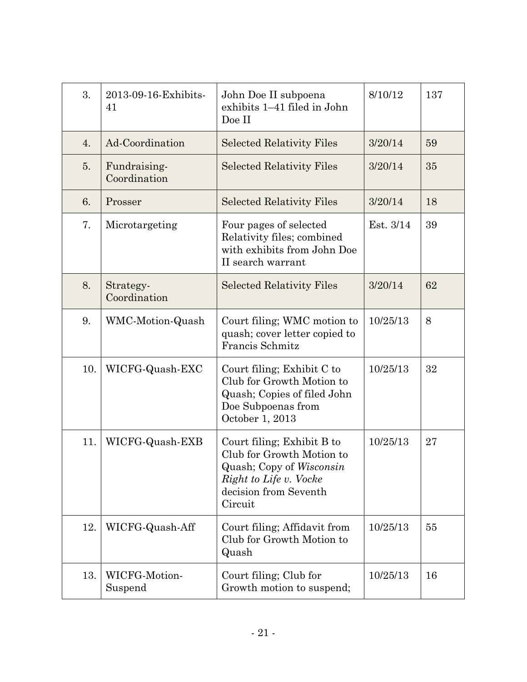| 3.  | 2013-09-16-Exhibits-<br>John Doe II subpoena<br>exhibits 1-41 filed in John<br>41<br>Doe II |                                                                                                                                                   | 8/10/12   | 137 |
|-----|---------------------------------------------------------------------------------------------|---------------------------------------------------------------------------------------------------------------------------------------------------|-----------|-----|
| 4.  | Ad-Coordination                                                                             | <b>Selected Relativity Files</b>                                                                                                                  | 3/20/14   | 59  |
| 5.  | Fundraising-<br>Coordination                                                                | <b>Selected Relativity Files</b>                                                                                                                  | 3/20/14   | 35  |
| 6.  | Prosser                                                                                     | <b>Selected Relativity Files</b>                                                                                                                  | 3/20/14   | 18  |
| 7.  | Microtargeting                                                                              | Four pages of selected<br>Relativity files; combined<br>with exhibits from John Doe<br>II search warrant                                          | Est. 3/14 | 39  |
| 8.  | Strategy-<br>Coordination                                                                   | <b>Selected Relativity Files</b>                                                                                                                  | 3/20/14   | 62  |
| 9.  | WMC-Motion-Quash                                                                            | Court filing; WMC motion to<br>quash; cover letter copied to<br>Francis Schmitz                                                                   | 10/25/13  | 8   |
| 10. | WICFG-Quash-EXC                                                                             | Court filing; Exhibit C to<br>Club for Growth Motion to<br>Quash; Copies of filed John<br>Doe Subpoenas from<br>October 1, 2013                   | 10/25/13  | 32  |
| 11. | WICFG-Quash-EXB                                                                             | Court filing; Exhibit B to<br>Club for Growth Motion to<br>Quash; Copy of Wisconsin<br>Right to Life v. Vocke<br>decision from Seventh<br>Circuit | 10/25/13  | 27  |
| 12. | WICFG-Quash-Aff                                                                             | Court filing; Affidavit from<br>Club for Growth Motion to<br>Quash                                                                                | 10/25/13  | 55  |
| 13. | WICFG-Motion-<br>Suspend                                                                    | Court filing; Club for<br>Growth motion to suspend;                                                                                               | 10/25/13  | 16  |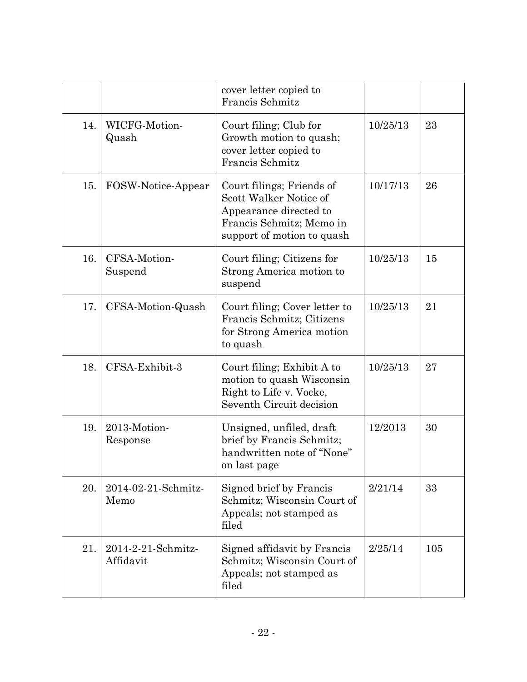|     |                                 | cover letter copied to<br>Francis Schmitz                                                                                               |          |     |
|-----|---------------------------------|-----------------------------------------------------------------------------------------------------------------------------------------|----------|-----|
| 14. | WICFG-Motion-<br>Quash          | Court filing; Club for<br>Growth motion to quash;<br>cover letter copied to<br>Francis Schmitz                                          | 10/25/13 | 23  |
| 15. | FOSW-Notice-Appear              | Court filings; Friends of<br>Scott Walker Notice of<br>Appearance directed to<br>Francis Schmitz; Memo in<br>support of motion to quash | 10/17/13 | 26  |
| 16. | CFSA-Motion-<br>Suspend         | Court filing; Citizens for<br>Strong America motion to<br>suspend                                                                       | 10/25/13 | 15  |
| 17. | CFSA-Motion-Quash               | Court filing; Cover letter to<br>Francis Schmitz; Citizens<br>for Strong America motion<br>to quash                                     | 10/25/13 | 21  |
| 18. | CFSA-Exhibit-3                  | Court filing; Exhibit A to<br>motion to quash Wisconsin<br>Right to Life v. Vocke,<br>Seventh Circuit decision                          | 10/25/13 | 27  |
| 19. | 2013-Motion-<br>Response        | Unsigned, unfiled, draft<br>brief by Francis Schmitz;<br>handwritten note of "None"<br>on last page                                     | 12/2013  | 30  |
| 20. | 2014-02-21-Schmitz-<br>Memo     | Signed brief by Francis<br>Schmitz; Wisconsin Court of<br>Appeals; not stamped as<br>filed                                              | 2/21/14  | 33  |
| 21. | 2014-2-21-Schmitz-<br>Affidavit | Signed affidavit by Francis<br>Schmitz; Wisconsin Court of<br>Appeals; not stamped as<br>filed                                          | 2/25/14  | 105 |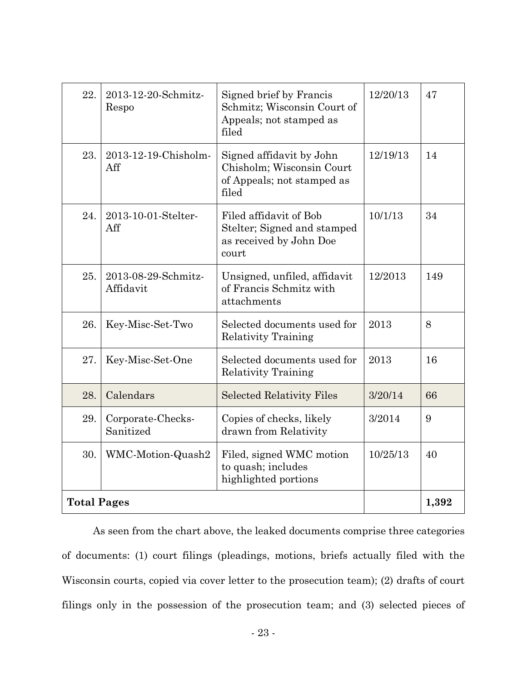| 22.                | 2013-12-20-Schmitz-<br>Respo     | Signed brief by Francis<br>Schmitz; Wisconsin Court of<br>Appeals; not stamped as<br>filed   | 12/20/13 | 47  |
|--------------------|----------------------------------|----------------------------------------------------------------------------------------------|----------|-----|
| 23.                | 2013-12-19-Chisholm-<br>Aff      | Signed affidavit by John<br>Chisholm; Wisconsin Court<br>of Appeals; not stamped as<br>filed | 12/19/13 | 14  |
| 24.                | 2013-10-01-Stelter-<br>Aff       | Filed affidavit of Bob<br>Stelter; Signed and stamped<br>as received by John Doe<br>court    | 10/1/13  | 34  |
| 25.                | 2013-08-29-Schmitz-<br>Affidavit | Unsigned, unfiled, affidavit<br>of Francis Schmitz with<br>attachments                       | 12/2013  | 149 |
| 26.                | Key-Misc-Set-Two                 | Selected documents used for<br><b>Relativity Training</b>                                    | 2013     | 8   |
| 27.                | Key-Misc-Set-One                 | Selected documents used for<br><b>Relativity Training</b>                                    | 2013     | 16  |
| 28.                | Calendars                        | <b>Selected Relativity Files</b>                                                             | 3/20/14  | 66  |
| 29.                | Corporate-Checks-<br>Sanitized   | Copies of checks, likely<br>drawn from Relativity                                            | 3/2014   | 9   |
| 30.                | WMC-Motion-Quash2                | Filed, signed WMC motion<br>to quash; includes<br>highlighted portions                       | 10/25/13 | 40  |
| <b>Total Pages</b> |                                  |                                                                                              | 1,392    |     |

 As seen from the chart above, the leaked documents comprise three categories of documents: (1) court filings (pleadings, motions, briefs actually filed with the Wisconsin courts, copied via cover letter to the prosecution team); (2) drafts of court filings only in the possession of the prosecution team; and (3) selected pieces of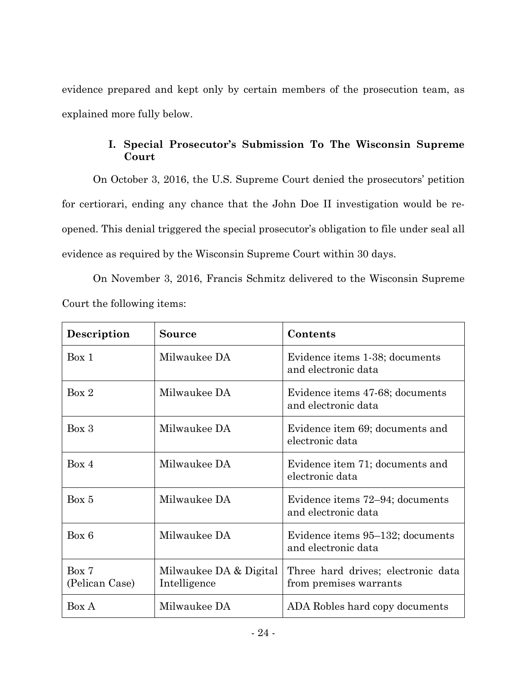evidence prepared and kept only by certain members of the prosecution team, as explained more fully below.

# **I. Special Prosecutor's Submission To The Wisconsin Supreme Court**

On October 3, 2016, the U.S. Supreme Court denied the prosecutors' petition for certiorari, ending any chance that the John Doe II investigation would be reopened. This denial triggered the special prosecutor's obligation to file under seal all evidence as required by the Wisconsin Supreme Court within 30 days.

On November 3, 2016, Francis Schmitz delivered to the Wisconsin Supreme Court the following items:

| Description             | <b>Source</b>                          | Contents                                                     |
|-------------------------|----------------------------------------|--------------------------------------------------------------|
| Box 1                   | Milwaukee DA                           | Evidence items 1-38; documents<br>and electronic data        |
| Box 2                   | Milwaukee DA                           | Evidence items 47-68; documents<br>and electronic data       |
| Box 3                   | Milwaukee DA                           | Evidence item 69; documents and<br>electronic data           |
| Box 4                   | Milwaukee DA                           | Evidence item 71; documents and<br>electronic data           |
| Box 5                   | Milwaukee DA                           | Evidence items 72–94; documents<br>and electronic data       |
| Box 6                   | Milwaukee DA                           | Evidence items 95-132; documents<br>and electronic data      |
| Box 7<br>(Pelican Case) | Milwaukee DA & Digital<br>Intelligence | Three hard drives; electronic data<br>from premises warrants |
| Box A                   | Milwaukee DA                           | ADA Robles hard copy documents                               |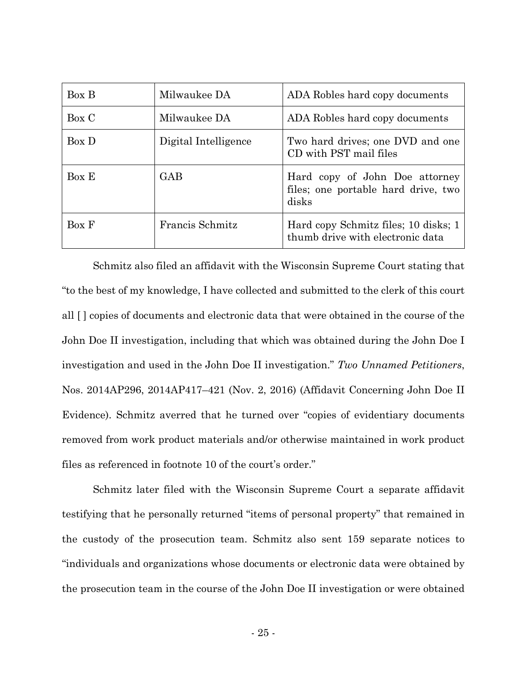| Box B | Milwaukee DA         | ADA Robles hard copy documents                                                 |
|-------|----------------------|--------------------------------------------------------------------------------|
| Box C | Milwaukee DA         | ADA Robles hard copy documents                                                 |
| Box D | Digital Intelligence | Two hard drives; one DVD and one<br>CD with PST mail files                     |
| Box E | <b>GAB</b>           | Hard copy of John Doe attorney<br>files; one portable hard drive, two<br>disks |
| Box F | Francis Schmitz      | Hard copy Schmitz files; 10 disks; 1<br>thumb drive with electronic data       |

 Schmitz also filed an affidavit with the Wisconsin Supreme Court stating that "to the best of my knowledge, I have collected and submitted to the clerk of this court all [ ] copies of documents and electronic data that were obtained in the course of the John Doe II investigation, including that which was obtained during the John Doe I investigation and used in the John Doe II investigation." *Two Unnamed Petitioners*, Nos. 2014AP296, 2014AP417–421 (Nov. 2, 2016) (Affidavit Concerning John Doe II Evidence). Schmitz averred that he turned over "copies of evidentiary documents removed from work product materials and/or otherwise maintained in work product files as referenced in footnote 10 of the court's order."

Schmitz later filed with the Wisconsin Supreme Court a separate affidavit testifying that he personally returned "items of personal property" that remained in the custody of the prosecution team. Schmitz also sent 159 separate notices to "individuals and organizations whose documents or electronic data were obtained by the prosecution team in the course of the John Doe II investigation or were obtained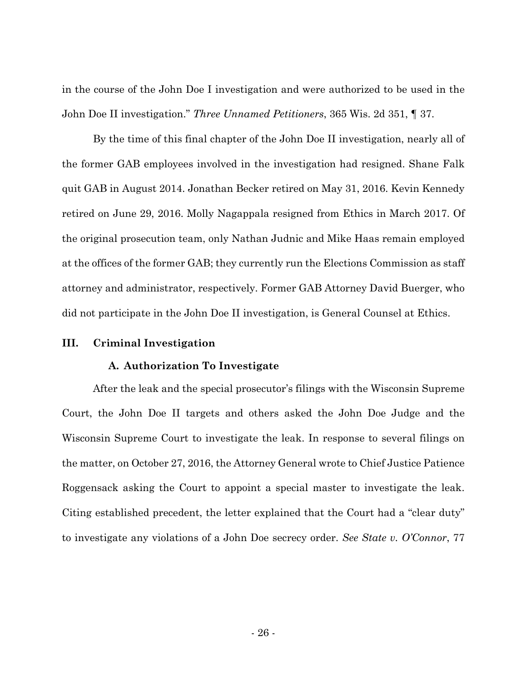in the course of the John Doe I investigation and were authorized to be used in the John Doe II investigation." *Three Unnamed Petitioners*, 365 Wis. 2d 351, ¶ 37.

 By the time of this final chapter of the John Doe II investigation, nearly all of the former GAB employees involved in the investigation had resigned. Shane Falk quit GAB in August 2014. Jonathan Becker retired on May 31, 2016. Kevin Kennedy retired on June 29, 2016. Molly Nagappala resigned from Ethics in March 2017. Of the original prosecution team, only Nathan Judnic and Mike Haas remain employed at the offices of the former GAB; they currently run the Elections Commission as staff attorney and administrator, respectively. Former GAB Attorney David Buerger, who did not participate in the John Doe II investigation, is General Counsel at Ethics.

### **III. Criminal Investigation**

### **A. Authorization To Investigate**

After the leak and the special prosecutor's filings with the Wisconsin Supreme Court, the John Doe II targets and others asked the John Doe Judge and the Wisconsin Supreme Court to investigate the leak. In response to several filings on the matter, on October 27, 2016, the Attorney General wrote to Chief Justice Patience Roggensack asking the Court to appoint a special master to investigate the leak. Citing established precedent, the letter explained that the Court had a "clear duty" to investigate any violations of a John Doe secrecy order. *See State v. O'Connor*, 77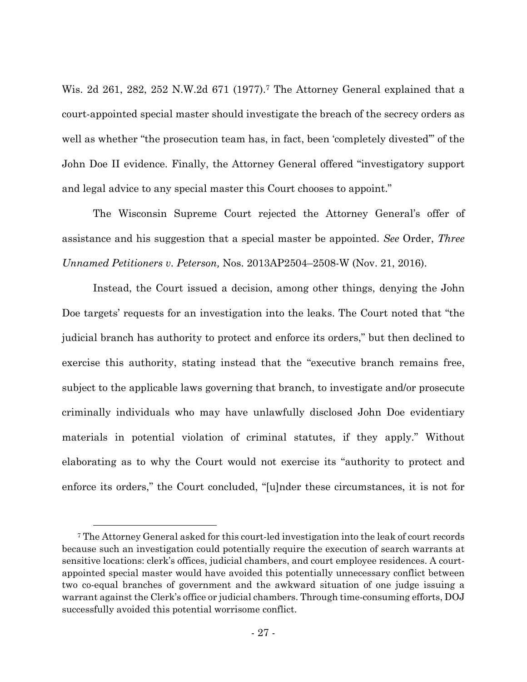Wis. 2d 261, 282, 252 N.W.2d 671 (1977).7 The Attorney General explained that a court-appointed special master should investigate the breach of the secrecy orders as well as whether "the prosecution team has, in fact, been 'completely divested'" of the John Doe II evidence. Finally, the Attorney General offered "investigatory support and legal advice to any special master this Court chooses to appoint."

The Wisconsin Supreme Court rejected the Attorney General's offer of assistance and his suggestion that a special master be appointed. *See* Order, *Three Unnamed Petitioners v. Peterson,* Nos. 2013AP2504–2508-W (Nov. 21, 2016).

Instead, the Court issued a decision, among other things, denying the John Doe targets' requests for an investigation into the leaks. The Court noted that "the judicial branch has authority to protect and enforce its orders," but then declined to exercise this authority, stating instead that the "executive branch remains free, subject to the applicable laws governing that branch, to investigate and/or prosecute criminally individuals who may have unlawfully disclosed John Doe evidentiary materials in potential violation of criminal statutes, if they apply." Without elaborating as to why the Court would not exercise its "authority to protect and enforce its orders," the Court concluded, "[u]nder these circumstances, it is not for

 <sup>7</sup> The Attorney General asked for this court-led investigation into the leak of court records because such an investigation could potentially require the execution of search warrants at sensitive locations: clerk's offices, judicial chambers, and court employee residences. A courtappointed special master would have avoided this potentially unnecessary conflict between two co-equal branches of government and the awkward situation of one judge issuing a warrant against the Clerk's office or judicial chambers. Through time-consuming efforts, DOJ successfully avoided this potential worrisome conflict.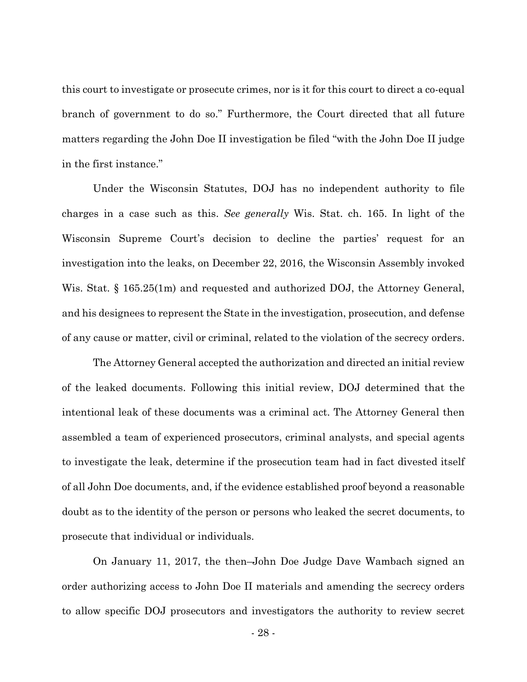this court to investigate or prosecute crimes, nor is it for this court to direct a co-equal branch of government to do so." Furthermore, the Court directed that all future matters regarding the John Doe II investigation be filed "with the John Doe II judge in the first instance."

Under the Wisconsin Statutes, DOJ has no independent authority to file charges in a case such as this. *See generally* Wis. Stat. ch. 165. In light of the Wisconsin Supreme Court's decision to decline the parties' request for an investigation into the leaks, on December 22, 2016, the Wisconsin Assembly invoked Wis. Stat. § 165.25(1m) and requested and authorized DOJ, the Attorney General, and his designees to represent the State in the investigation, prosecution, and defense of any cause or matter, civil or criminal, related to the violation of the secrecy orders.

The Attorney General accepted the authorization and directed an initial review of the leaked documents. Following this initial review, DOJ determined that the intentional leak of these documents was a criminal act. The Attorney General then assembled a team of experienced prosecutors, criminal analysts, and special agents to investigate the leak, determine if the prosecution team had in fact divested itself of all John Doe documents, and, if the evidence established proof beyond a reasonable doubt as to the identity of the person or persons who leaked the secret documents, to prosecute that individual or individuals.

On January 11, 2017, the then–John Doe Judge Dave Wambach signed an order authorizing access to John Doe II materials and amending the secrecy orders to allow specific DOJ prosecutors and investigators the authority to review secret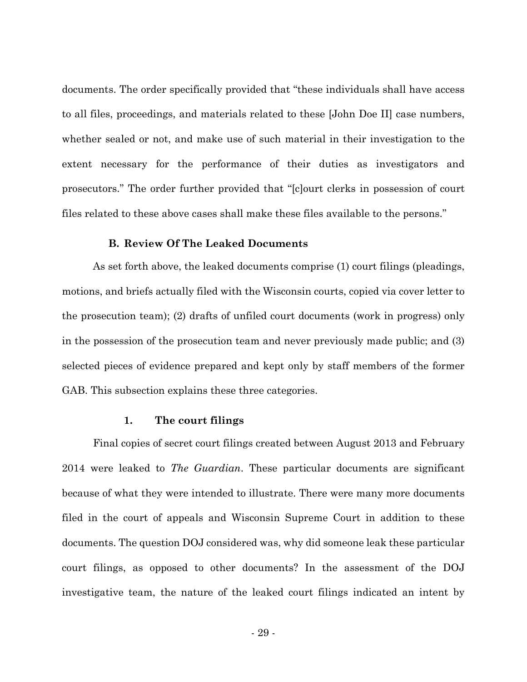documents. The order specifically provided that "these individuals shall have access to all files, proceedings, and materials related to these [John Doe II] case numbers, whether sealed or not, and make use of such material in their investigation to the extent necessary for the performance of their duties as investigators and prosecutors." The order further provided that "[c]ourt clerks in possession of court files related to these above cases shall make these files available to the persons."

### **B. Review Of The Leaked Documents**

As set forth above, the leaked documents comprise (1) court filings (pleadings, motions, and briefs actually filed with the Wisconsin courts, copied via cover letter to the prosecution team); (2) drafts of unfiled court documents (work in progress) only in the possession of the prosecution team and never previously made public; and (3) selected pieces of evidence prepared and kept only by staff members of the former GAB. This subsection explains these three categories.

#### **1. The court filings**

Final copies of secret court filings created between August 2013 and February 2014 were leaked to *The Guardian*. These particular documents are significant because of what they were intended to illustrate. There were many more documents filed in the court of appeals and Wisconsin Supreme Court in addition to these documents. The question DOJ considered was, why did someone leak these particular court filings, as opposed to other documents? In the assessment of the DOJ investigative team, the nature of the leaked court filings indicated an intent by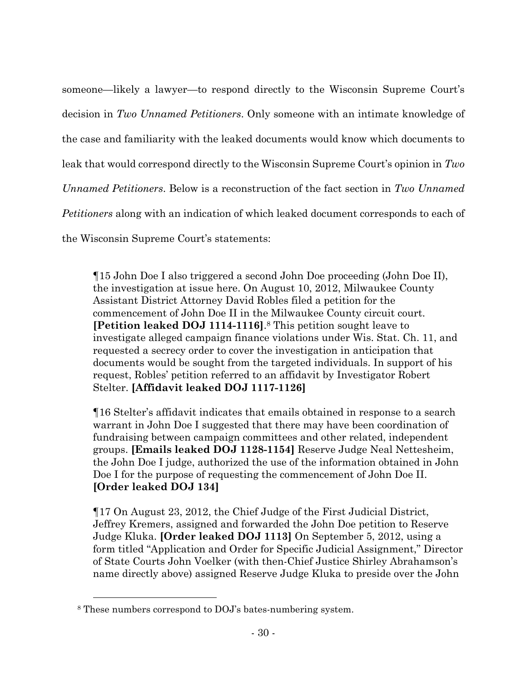someone—likely a lawyer—to respond directly to the Wisconsin Supreme Court's decision in *Two Unnamed Petitioners*. Only someone with an intimate knowledge of the case and familiarity with the leaked documents would know which documents to leak that would correspond directly to the Wisconsin Supreme Court's opinion in *Two Unnamed Petitioners*. Below is a reconstruction of the fact section in *Two Unnamed Petitioners* along with an indication of which leaked document corresponds to each of the Wisconsin Supreme Court's statements:

¶15 John Doe I also triggered a second John Doe proceeding (John Doe II), the investigation at issue here. On August 10, 2012, Milwaukee County Assistant District Attorney David Robles filed a petition for the commencement of John Doe II in the Milwaukee County circuit court. **[Petition leaked DOJ 1114-1116]**.8 This petition sought leave to investigate alleged campaign finance violations under Wis. Stat. Ch. 11, and requested a secrecy order to cover the investigation in anticipation that documents would be sought from the targeted individuals. In support of his request, Robles' petition referred to an affidavit by Investigator Robert Stelter. **[Affidavit leaked DOJ 1117-1126]**

¶16 Stelter's affidavit indicates that emails obtained in response to a search warrant in John Doe I suggested that there may have been coordination of fundraising between campaign committees and other related, independent groups. **[Emails leaked DOJ 1128-1154]** Reserve Judge Neal Nettesheim, the John Doe I judge, authorized the use of the information obtained in John Doe I for the purpose of requesting the commencement of John Doe II. **[Order leaked DOJ 134]** 

¶17 On August 23, 2012, the Chief Judge of the First Judicial District, Jeffrey Kremers, assigned and forwarded the John Doe petition to Reserve Judge Kluka. **[Order leaked DOJ 1113]** On September 5, 2012, using a form titled "Application and Order for Specific Judicial Assignment," Director of State Courts John Voelker (with then-Chief Justice Shirley Abrahamson's name directly above) assigned Reserve Judge Kluka to preside over the John

 <sup>8</sup> These numbers correspond to DOJ's bates-numbering system.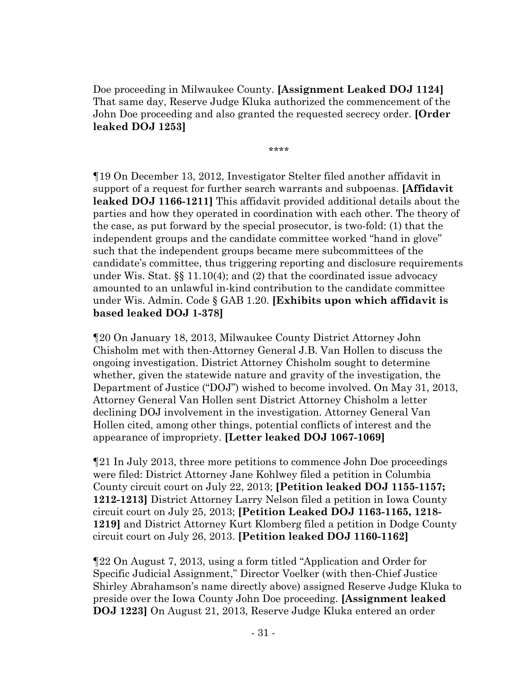Doe proceeding in Milwaukee County. **[Assignment Leaked DOJ 1124]** That same day, Reserve Judge Kluka authorized the commencement of the John Doe proceeding and also granted the requested secrecy order. **[Order leaked DOJ 1253]** 

\*\*\*\*

¶19 On December 13, 2012, Investigator Stelter filed another affidavit in support of a request for further search warrants and subpoenas. **[Affidavit leaked DOJ 1166-1211]** This affidavit provided additional details about the parties and how they operated in coordination with each other. The theory of the case, as put forward by the special prosecutor, is two-fold: (1) that the independent groups and the candidate committee worked "hand in glove" such that the independent groups became mere subcommittees of the candidate's committee, thus triggering reporting and disclosure requirements under Wis. Stat. §§ 11.10(4); and (2) that the coordinated issue advocacy amounted to an unlawful in-kind contribution to the candidate committee under Wis. Admin. Code § GAB 1.20. **[Exhibits upon which affidavit is based leaked DOJ 1-378]** 

¶20 On January 18, 2013, Milwaukee County District Attorney John Chisholm met with then-Attorney General J.B. Van Hollen to discuss the ongoing investigation. District Attorney Chisholm sought to determine whether, given the statewide nature and gravity of the investigation, the Department of Justice ("DOJ") wished to become involved. On May 31, 2013, Attorney General Van Hollen sent District Attorney Chisholm a letter declining DOJ involvement in the investigation. Attorney General Van Hollen cited, among other things, potential conflicts of interest and the appearance of impropriety. **[Letter leaked DOJ 1067-1069]** 

¶21 In July 2013, three more petitions to commence John Doe proceedings were filed: District Attorney Jane Kohlwey filed a petition in Columbia County circuit court on July 22, 2013; **[Petition leaked DOJ 1155-1157; 1212-1213]** District Attorney Larry Nelson filed a petition in Iowa County circuit court on July 25, 2013; **[Petition Leaked DOJ 1163-1165, 1218- 1219]** and District Attorney Kurt Klomberg filed a petition in Dodge County circuit court on July 26, 2013. **[Petition leaked DOJ 1160-1162]** 

¶22 On August 7, 2013, using a form titled "Application and Order for Specific Judicial Assignment," Director Voelker (with then-Chief Justice Shirley Abrahamson's name directly above) assigned Reserve Judge Kluka to preside over the Iowa County John Doe proceeding. **[Assignment leaked DOJ 1223]** On August 21, 2013, Reserve Judge Kluka entered an order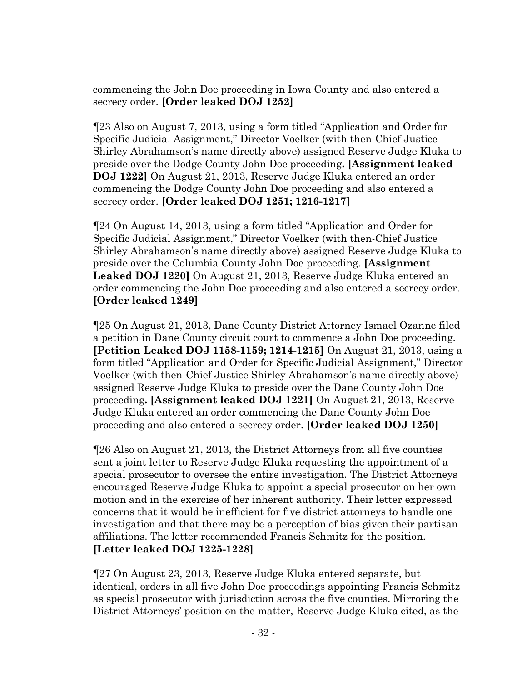commencing the John Doe proceeding in Iowa County and also entered a secrecy order. **[Order leaked DOJ 1252]** 

¶23 Also on August 7, 2013, using a form titled "Application and Order for Specific Judicial Assignment," Director Voelker (with then-Chief Justice Shirley Abrahamson's name directly above) assigned Reserve Judge Kluka to preside over the Dodge County John Doe proceeding**. [Assignment leaked DOJ 1222]** On August 21, 2013, Reserve Judge Kluka entered an order commencing the Dodge County John Doe proceeding and also entered a secrecy order. **[Order leaked DOJ 1251; 1216-1217]** 

¶24 On August 14, 2013, using a form titled "Application and Order for Specific Judicial Assignment," Director Voelker (with then-Chief Justice Shirley Abrahamson's name directly above) assigned Reserve Judge Kluka to preside over the Columbia County John Doe proceeding. **[Assignment Leaked DOJ 1220]** On August 21, 2013, Reserve Judge Kluka entered an order commencing the John Doe proceeding and also entered a secrecy order. **[Order leaked 1249]** 

¶25 On August 21, 2013, Dane County District Attorney Ismael Ozanne filed a petition in Dane County circuit court to commence a John Doe proceeding. **[Petition Leaked DOJ 1158-1159; 1214-1215]** On August 21, 2013, using a form titled "Application and Order for Specific Judicial Assignment," Director Voelker (with then-Chief Justice Shirley Abrahamson's name directly above) assigned Reserve Judge Kluka to preside over the Dane County John Doe proceeding**. [Assignment leaked DOJ 1221]** On August 21, 2013, Reserve Judge Kluka entered an order commencing the Dane County John Doe proceeding and also entered a secrecy order. **[Order leaked DOJ 1250]** 

¶26 Also on August 21, 2013, the District Attorneys from all five counties sent a joint letter to Reserve Judge Kluka requesting the appointment of a special prosecutor to oversee the entire investigation. The District Attorneys encouraged Reserve Judge Kluka to appoint a special prosecutor on her own motion and in the exercise of her inherent authority. Their letter expressed concerns that it would be inefficient for five district attorneys to handle one investigation and that there may be a perception of bias given their partisan affiliations. The letter recommended Francis Schmitz for the position. **[Letter leaked DOJ 1225-1228]** 

¶27 On August 23, 2013, Reserve Judge Kluka entered separate, but identical, orders in all five John Doe proceedings appointing Francis Schmitz as special prosecutor with jurisdiction across the five counties. Mirroring the District Attorneys' position on the matter, Reserve Judge Kluka cited, as the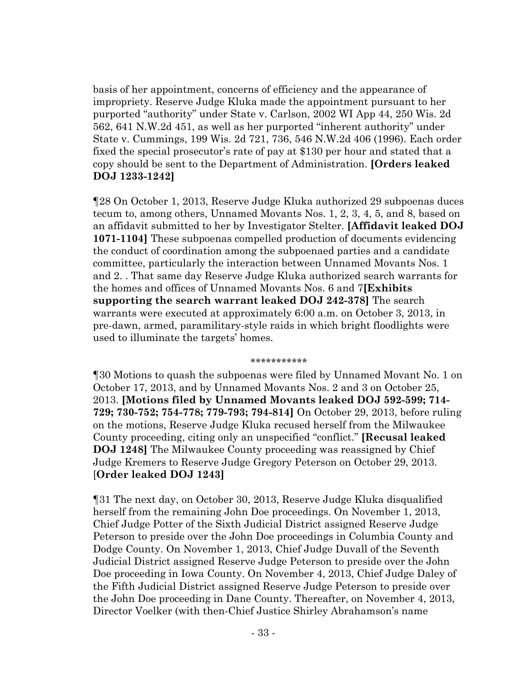basis of her appointment, concerns of efficiency and the appearance of impropriety. Reserve Judge Kluka made the appointment pursuant to her purported "authority" under State v. Carlson, 2002 WI App 44, 250 Wis. 2d 562, 641 N.W.2d 451, as well as her purported "inherent authority" under State v. Cummings, 199 Wis. 2d 721, 736, 546 N.W.2d 406 (1996). Each order fixed the special prosecutor's rate of pay at \$130 per hour and stated that a copy should be sent to the Department of Administration. **[Orders leaked DOJ 1233-1242]** 

¶28 On October 1, 2013, Reserve Judge Kluka authorized 29 subpoenas duces tecum to, among others, Unnamed Movants Nos. 1, 2, 3, 4, 5, and 8, based on an affidavit submitted to her by Investigator Stelter. **[Affidavit leaked DOJ 1071-1104]** These subpoenas compelled production of documents evidencing the conduct of coordination among the subpoenaed parties and a candidate committee, particularly the interaction between Unnamed Movants Nos. 1 and 2. . That same day Reserve Judge Kluka authorized search warrants for the homes and offices of Unnamed Movants Nos. 6 and 7**[Exhibits supporting the search warrant leaked DOJ 242-378]** The search warrants were executed at approximately 6:00 a.m. on October 3, 2013, in pre-dawn, armed, paramilitary-style raids in which bright floodlights were used to illuminate the targets' homes.

\*\*\*\*\*\*\*\*\*\*\*

¶30 Motions to quash the subpoenas were filed by Unnamed Movant No. 1 on October 17, 2013, and by Unnamed Movants Nos. 2 and 3 on October 25, 2013. **[Motions filed by Unnamed Movants leaked DOJ 592-599; 714- 729; 730-752; 754-778; 779-793; 794-814]** On October 29, 2013, before ruling on the motions, Reserve Judge Kluka recused herself from the Milwaukee County proceeding, citing only an unspecified "conflict." **[Recusal leaked DOJ 1248]** The Milwaukee County proceeding was reassigned by Chief Judge Kremers to Reserve Judge Gregory Peterson on October 29, 2013. [**Order leaked DOJ 1243]** 

¶31 The next day, on October 30, 2013, Reserve Judge Kluka disqualified herself from the remaining John Doe proceedings. On November 1, 2013, Chief Judge Potter of the Sixth Judicial District assigned Reserve Judge Peterson to preside over the John Doe proceedings in Columbia County and Dodge County. On November 1, 2013, Chief Judge Duvall of the Seventh Judicial District assigned Reserve Judge Peterson to preside over the John Doe proceeding in Iowa County. On November 4, 2013, Chief Judge Daley of the Fifth Judicial District assigned Reserve Judge Peterson to preside over the John Doe proceeding in Dane County. Thereafter, on November 4, 2013, Director Voelker (with then-Chief Justice Shirley Abrahamson's name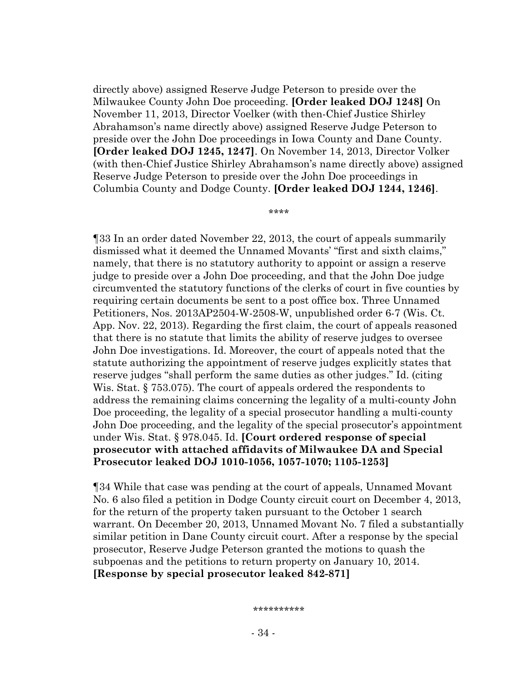directly above) assigned Reserve Judge Peterson to preside over the Milwaukee County John Doe proceeding. **[Order leaked DOJ 1248]** On November 11, 2013, Director Voelker (with then-Chief Justice Shirley Abrahamson's name directly above) assigned Reserve Judge Peterson to preside over the John Doe proceedings in Iowa County and Dane County. **[Order leaked DOJ 1245, 1247]**. On November 14, 2013, Director Volker (with then-Chief Justice Shirley Abrahamson's name directly above) assigned Reserve Judge Peterson to preside over the John Doe proceedings in Columbia County and Dodge County. **[Order leaked DOJ 1244, 1246]**.

\*\*\*\*

¶33 In an order dated November 22, 2013, the court of appeals summarily dismissed what it deemed the Unnamed Movants' "first and sixth claims," namely, that there is no statutory authority to appoint or assign a reserve judge to preside over a John Doe proceeding, and that the John Doe judge circumvented the statutory functions of the clerks of court in five counties by requiring certain documents be sent to a post office box. Three Unnamed Petitioners, Nos. 2013AP2504-W-2508-W, unpublished order 6-7 (Wis. Ct. App. Nov. 22, 2013). Regarding the first claim, the court of appeals reasoned that there is no statute that limits the ability of reserve judges to oversee John Doe investigations. Id. Moreover, the court of appeals noted that the statute authorizing the appointment of reserve judges explicitly states that reserve judges "shall perform the same duties as other judges." Id. (citing Wis. Stat. § 753.075). The court of appeals ordered the respondents to address the remaining claims concerning the legality of a multi-county John Doe proceeding, the legality of a special prosecutor handling a multi-county John Doe proceeding, and the legality of the special prosecutor's appointment under Wis. Stat. § 978.045. Id. **[Court ordered response of special prosecutor with attached affidavits of Milwaukee DA and Special Prosecutor leaked DOJ 1010-1056, 1057-1070; 1105-1253]** 

¶34 While that case was pending at the court of appeals, Unnamed Movant No. 6 also filed a petition in Dodge County circuit court on December 4, 2013, for the return of the property taken pursuant to the October 1 search warrant. On December 20, 2013, Unnamed Movant No. 7 filed a substantially similar petition in Dane County circuit court. After a response by the special prosecutor, Reserve Judge Peterson granted the motions to quash the subpoenas and the petitions to return property on January 10, 2014. **[Response by special prosecutor leaked 842-871]** 

\*\*\*\*\*\*\*\*\*\*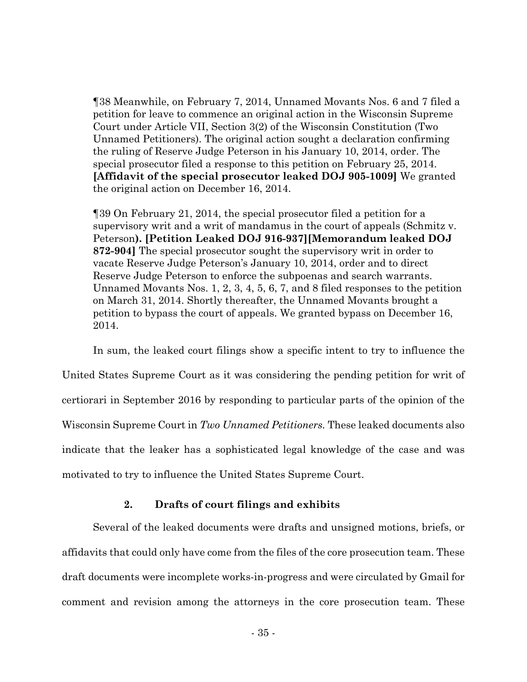¶38 Meanwhile, on February 7, 2014, Unnamed Movants Nos. 6 and 7 filed a petition for leave to commence an original action in the Wisconsin Supreme Court under Article VII, Section 3(2) of the Wisconsin Constitution (Two Unnamed Petitioners). The original action sought a declaration confirming the ruling of Reserve Judge Peterson in his January 10, 2014, order. The special prosecutor filed a response to this petition on February 25, 2014. **[Affidavit of the special prosecutor leaked DOJ 905-1009]** We granted the original action on December 16, 2014.

¶39 On February 21, 2014, the special prosecutor filed a petition for a supervisory writ and a writ of mandamus in the court of appeals (Schmitz v. Peterson**). [Petition Leaked DOJ 916-937][Memorandum leaked DOJ 872-904]** The special prosecutor sought the supervisory writ in order to vacate Reserve Judge Peterson's January 10, 2014, order and to direct Reserve Judge Peterson to enforce the subpoenas and search warrants. Unnamed Movants Nos. 1, 2, 3, 4, 5, 6, 7, and 8 filed responses to the petition on March 31, 2014. Shortly thereafter, the Unnamed Movants brought a petition to bypass the court of appeals. We granted bypass on December 16, 2014.

In sum, the leaked court filings show a specific intent to try to influence the United States Supreme Court as it was considering the pending petition for writ of certiorari in September 2016 by responding to particular parts of the opinion of the Wisconsin Supreme Court in *Two Unnamed Petitioners.* These leaked documents also indicate that the leaker has a sophisticated legal knowledge of the case and was motivated to try to influence the United States Supreme Court.

# **2. Drafts of court filings and exhibits**

Several of the leaked documents were drafts and unsigned motions, briefs, or affidavits that could only have come from the files of the core prosecution team. These draft documents were incomplete works-in-progress and were circulated by Gmail for comment and revision among the attorneys in the core prosecution team. These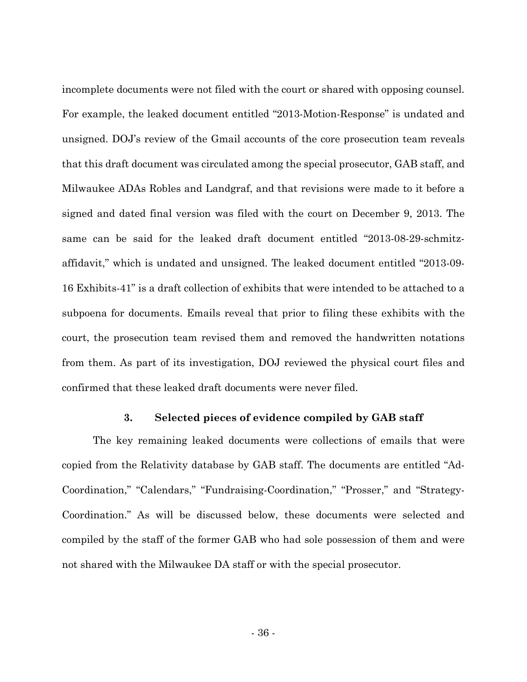incomplete documents were not filed with the court or shared with opposing counsel. For example, the leaked document entitled "2013-Motion-Response" is undated and unsigned. DOJ's review of the Gmail accounts of the core prosecution team reveals that this draft document was circulated among the special prosecutor, GAB staff, and Milwaukee ADAs Robles and Landgraf, and that revisions were made to it before a signed and dated final version was filed with the court on December 9, 2013. The same can be said for the leaked draft document entitled "2013-08-29-schmitzaffidavit," which is undated and unsigned. The leaked document entitled "2013-09- 16 Exhibits-41" is a draft collection of exhibits that were intended to be attached to a subpoena for documents. Emails reveal that prior to filing these exhibits with the court, the prosecution team revised them and removed the handwritten notations from them. As part of its investigation, DOJ reviewed the physical court files and confirmed that these leaked draft documents were never filed.

#### **3. Selected pieces of evidence compiled by GAB staff**

The key remaining leaked documents were collections of emails that were copied from the Relativity database by GAB staff. The documents are entitled "Ad-Coordination," "Calendars," "Fundraising-Coordination," "Prosser," and "Strategy-Coordination." As will be discussed below, these documents were selected and compiled by the staff of the former GAB who had sole possession of them and were not shared with the Milwaukee DA staff or with the special prosecutor.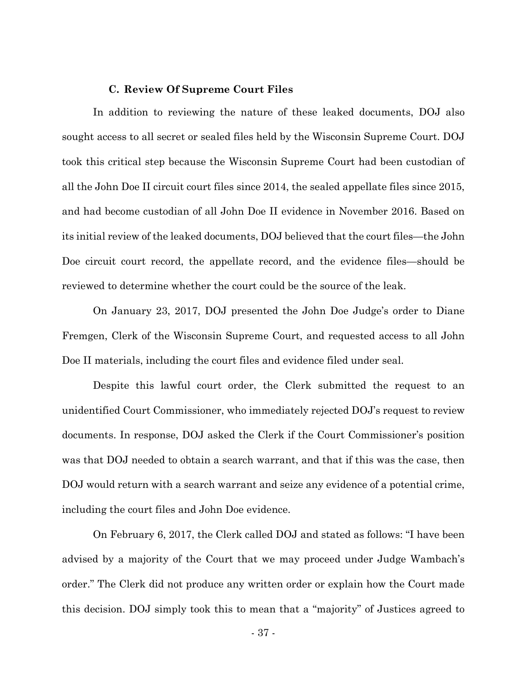#### **C. Review Of Supreme Court Files**

In addition to reviewing the nature of these leaked documents, DOJ also sought access to all secret or sealed files held by the Wisconsin Supreme Court. DOJ took this critical step because the Wisconsin Supreme Court had been custodian of all the John Doe II circuit court files since 2014, the sealed appellate files since 2015, and had become custodian of all John Doe II evidence in November 2016. Based on its initial review of the leaked documents, DOJ believed that the court files—the John Doe circuit court record, the appellate record, and the evidence files—should be reviewed to determine whether the court could be the source of the leak.

On January 23, 2017, DOJ presented the John Doe Judge's order to Diane Fremgen, Clerk of the Wisconsin Supreme Court, and requested access to all John Doe II materials, including the court files and evidence filed under seal.

Despite this lawful court order, the Clerk submitted the request to an unidentified Court Commissioner, who immediately rejected DOJ's request to review documents. In response, DOJ asked the Clerk if the Court Commissioner's position was that DOJ needed to obtain a search warrant, and that if this was the case, then DOJ would return with a search warrant and seize any evidence of a potential crime, including the court files and John Doe evidence.

On February 6, 2017, the Clerk called DOJ and stated as follows: "I have been advised by a majority of the Court that we may proceed under Judge Wambach's order." The Clerk did not produce any written order or explain how the Court made this decision. DOJ simply took this to mean that a "majority" of Justices agreed to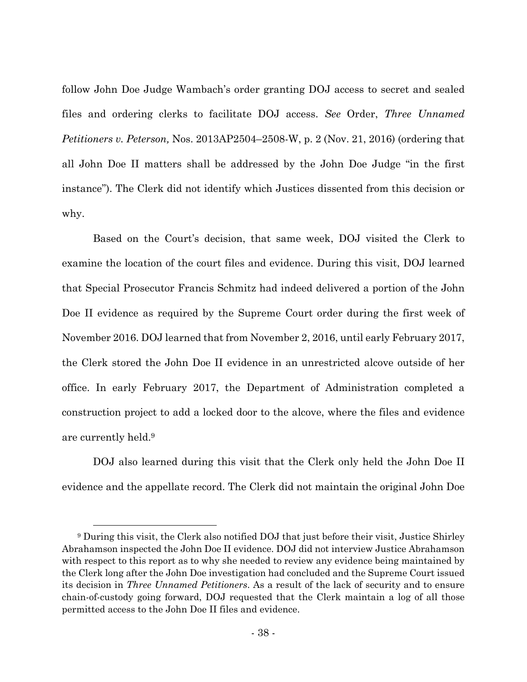follow John Doe Judge Wambach's order granting DOJ access to secret and sealed files and ordering clerks to facilitate DOJ access. *See* Order, *Three Unnamed Petitioners v. Peterson,* Nos. 2013AP2504–2508-W, p. 2 (Nov. 21, 2016) (ordering that all John Doe II matters shall be addressed by the John Doe Judge "in the first instance"). The Clerk did not identify which Justices dissented from this decision or why.

Based on the Court's decision, that same week, DOJ visited the Clerk to examine the location of the court files and evidence. During this visit, DOJ learned that Special Prosecutor Francis Schmitz had indeed delivered a portion of the John Doe II evidence as required by the Supreme Court order during the first week of November 2016. DOJ learned that from November 2, 2016, until early February 2017, the Clerk stored the John Doe II evidence in an unrestricted alcove outside of her office. In early February 2017, the Department of Administration completed a construction project to add a locked door to the alcove, where the files and evidence are currently held.9

DOJ also learned during this visit that the Clerk only held the John Doe II evidence and the appellate record. The Clerk did not maintain the original John Doe

 <sup>9</sup> During this visit, the Clerk also notified DOJ that just before their visit, Justice Shirley Abrahamson inspected the John Doe II evidence. DOJ did not interview Justice Abrahamson with respect to this report as to why she needed to review any evidence being maintained by the Clerk long after the John Doe investigation had concluded and the Supreme Court issued its decision in *Three Unnamed Petitioners*. As a result of the lack of security and to ensure chain-of-custody going forward, DOJ requested that the Clerk maintain a log of all those permitted access to the John Doe II files and evidence.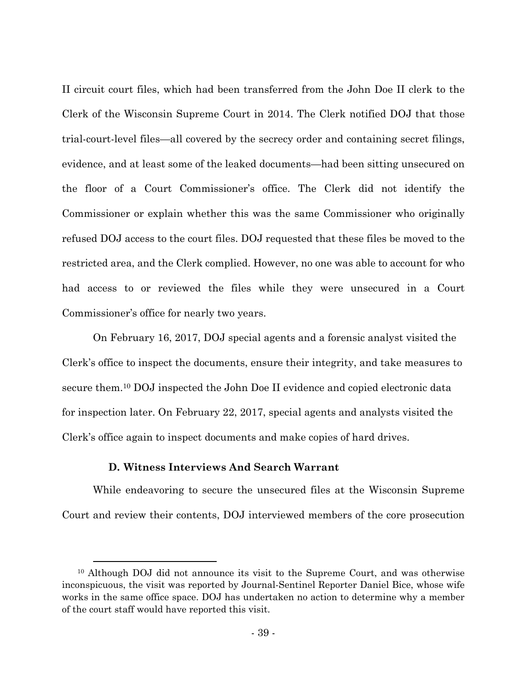II circuit court files, which had been transferred from the John Doe II clerk to the Clerk of the Wisconsin Supreme Court in 2014. The Clerk notified DOJ that those trial-court-level files—all covered by the secrecy order and containing secret filings, evidence, and at least some of the leaked documents—had been sitting unsecured on the floor of a Court Commissioner's office. The Clerk did not identify the Commissioner or explain whether this was the same Commissioner who originally refused DOJ access to the court files. DOJ requested that these files be moved to the restricted area, and the Clerk complied. However, no one was able to account for who had access to or reviewed the files while they were unsecured in a Court Commissioner's office for nearly two years.

On February 16, 2017, DOJ special agents and a forensic analyst visited the Clerk's office to inspect the documents, ensure their integrity, and take measures to secure them.10 DOJ inspected the John Doe II evidence and copied electronic data for inspection later. On February 22, 2017, special agents and analysts visited the Clerk's office again to inspect documents and make copies of hard drives.

## **D. Witness Interviews And Search Warrant**

While endeavoring to secure the unsecured files at the Wisconsin Supreme Court and review their contents, DOJ interviewed members of the core prosecution

 <sup>10</sup> Although DOJ did not announce its visit to the Supreme Court, and was otherwise inconspicuous, the visit was reported by Journal-Sentinel Reporter Daniel Bice, whose wife works in the same office space. DOJ has undertaken no action to determine why a member of the court staff would have reported this visit.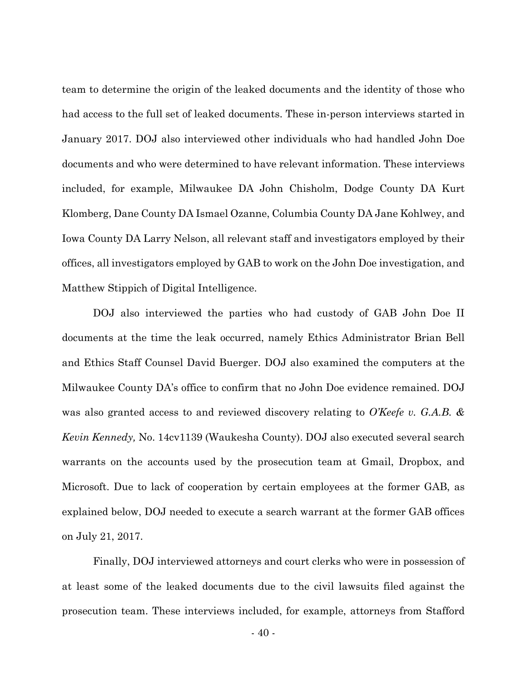team to determine the origin of the leaked documents and the identity of those who had access to the full set of leaked documents. These in-person interviews started in January 2017. DOJ also interviewed other individuals who had handled John Doe documents and who were determined to have relevant information. These interviews included, for example, Milwaukee DA John Chisholm, Dodge County DA Kurt Klomberg, Dane County DA Ismael Ozanne, Columbia County DA Jane Kohlwey, and Iowa County DA Larry Nelson, all relevant staff and investigators employed by their offices, all investigators employed by GAB to work on the John Doe investigation, and Matthew Stippich of Digital Intelligence.

DOJ also interviewed the parties who had custody of GAB John Doe II documents at the time the leak occurred, namely Ethics Administrator Brian Bell and Ethics Staff Counsel David Buerger. DOJ also examined the computers at the Milwaukee County DA's office to confirm that no John Doe evidence remained. DOJ was also granted access to and reviewed discovery relating to *O'Keefe v. G.A.B. & Kevin Kennedy,* No. 14cv1139 (Waukesha County). DOJ also executed several search warrants on the accounts used by the prosecution team at Gmail, Dropbox, and Microsoft. Due to lack of cooperation by certain employees at the former GAB, as explained below, DOJ needed to execute a search warrant at the former GAB offices on July 21, 2017.

Finally, DOJ interviewed attorneys and court clerks who were in possession of at least some of the leaked documents due to the civil lawsuits filed against the prosecution team. These interviews included, for example, attorneys from Stafford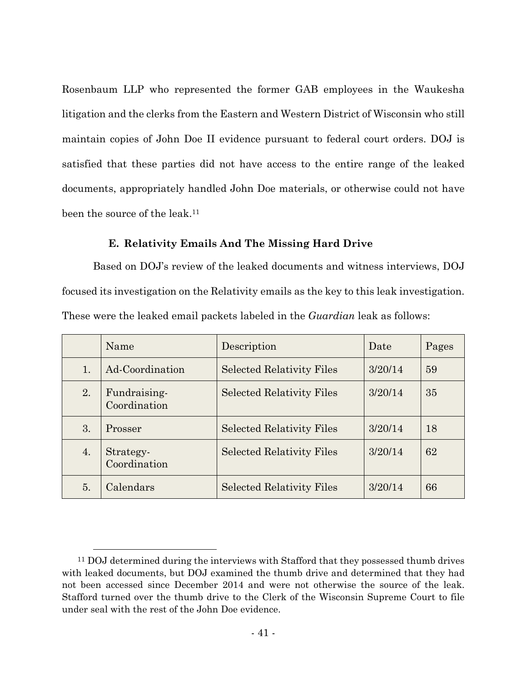Rosenbaum LLP who represented the former GAB employees in the Waukesha litigation and the clerks from the Eastern and Western District of Wisconsin who still maintain copies of John Doe II evidence pursuant to federal court orders. DOJ is satisfied that these parties did not have access to the entire range of the leaked documents, appropriately handled John Doe materials, or otherwise could not have been the source of the leak.<sup>11</sup>

## **E. Relativity Emails And The Missing Hard Drive**

Based on DOJ's review of the leaked documents and witness interviews, DOJ focused its investigation on the Relativity emails as the key to this leak investigation. These were the leaked email packets labeled in the *Guardian* leak as follows:

|    | Name                         | Description                      | Date    | Pages |
|----|------------------------------|----------------------------------|---------|-------|
| 1. | Ad-Coordination              | <b>Selected Relativity Files</b> | 3/20/14 | 59    |
| 2. | Fundraising-<br>Coordination | <b>Selected Relativity Files</b> | 3/20/14 | 35    |
| 3. | Prosser                      | <b>Selected Relativity Files</b> | 3/20/14 | 18    |
| 4. | Strategy-<br>Coordination    | <b>Selected Relativity Files</b> | 3/20/14 | 62    |
| 5. | Calendars                    | <b>Selected Relativity Files</b> | 3/20/14 | 66    |

<sup>&</sup>lt;sup>11</sup> DOJ determined during the interviews with Stafford that they possessed thumb drives with leaked documents, but DOJ examined the thumb drive and determined that they had not been accessed since December 2014 and were not otherwise the source of the leak. Stafford turned over the thumb drive to the Clerk of the Wisconsin Supreme Court to file under seal with the rest of the John Doe evidence.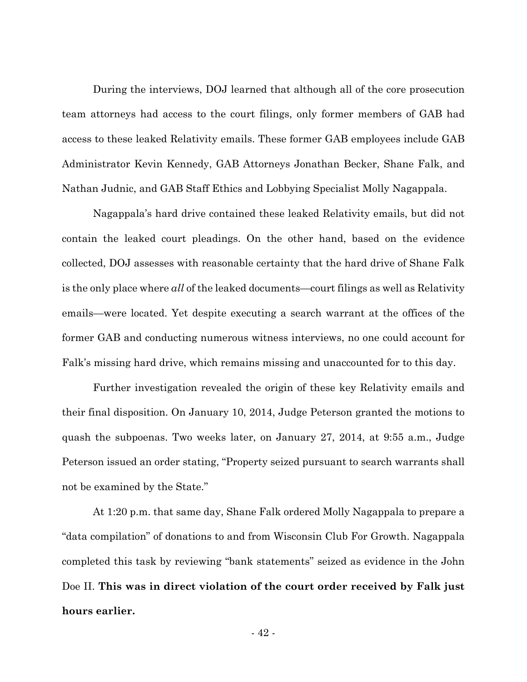During the interviews, DOJ learned that although all of the core prosecution team attorneys had access to the court filings, only former members of GAB had access to these leaked Relativity emails. These former GAB employees include GAB Administrator Kevin Kennedy, GAB Attorneys Jonathan Becker, Shane Falk, and Nathan Judnic, and GAB Staff Ethics and Lobbying Specialist Molly Nagappala.

Nagappala's hard drive contained these leaked Relativity emails, but did not contain the leaked court pleadings. On the other hand, based on the evidence collected, DOJ assesses with reasonable certainty that the hard drive of Shane Falk is the only place where *all* of the leaked documents—court filings as well as Relativity emails—were located. Yet despite executing a search warrant at the offices of the former GAB and conducting numerous witness interviews, no one could account for Falk's missing hard drive, which remains missing and unaccounted for to this day.

Further investigation revealed the origin of these key Relativity emails and their final disposition. On January 10, 2014, Judge Peterson granted the motions to quash the subpoenas. Two weeks later, on January 27, 2014, at 9:55 a.m., Judge Peterson issued an order stating, "Property seized pursuant to search warrants shall not be examined by the State."

At 1:20 p.m. that same day, Shane Falk ordered Molly Nagappala to prepare a "data compilation" of donations to and from Wisconsin Club For Growth. Nagappala completed this task by reviewing "bank statements" seized as evidence in the John Doe II. **This was in direct violation of the court order received by Falk just hours earlier.**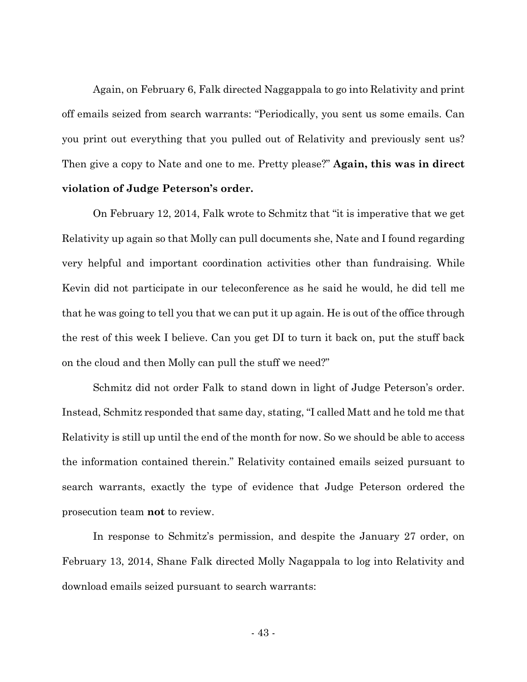Again, on February 6, Falk directed Naggappala to go into Relativity and print off emails seized from search warrants: "Periodically, you sent us some emails. Can you print out everything that you pulled out of Relativity and previously sent us? Then give a copy to Nate and one to me. Pretty please?" **Again, this was in direct violation of Judge Peterson's order.** 

On February 12, 2014, Falk wrote to Schmitz that "it is imperative that we get Relativity up again so that Molly can pull documents she, Nate and I found regarding very helpful and important coordination activities other than fundraising. While Kevin did not participate in our teleconference as he said he would, he did tell me that he was going to tell you that we can put it up again. He is out of the office through the rest of this week I believe. Can you get DI to turn it back on, put the stuff back on the cloud and then Molly can pull the stuff we need?"

Schmitz did not order Falk to stand down in light of Judge Peterson's order. Instead, Schmitz responded that same day, stating, "I called Matt and he told me that Relativity is still up until the end of the month for now. So we should be able to access the information contained therein." Relativity contained emails seized pursuant to search warrants, exactly the type of evidence that Judge Peterson ordered the prosecution team **not** to review.

In response to Schmitz's permission, and despite the January 27 order, on February 13, 2014, Shane Falk directed Molly Nagappala to log into Relativity and download emails seized pursuant to search warrants: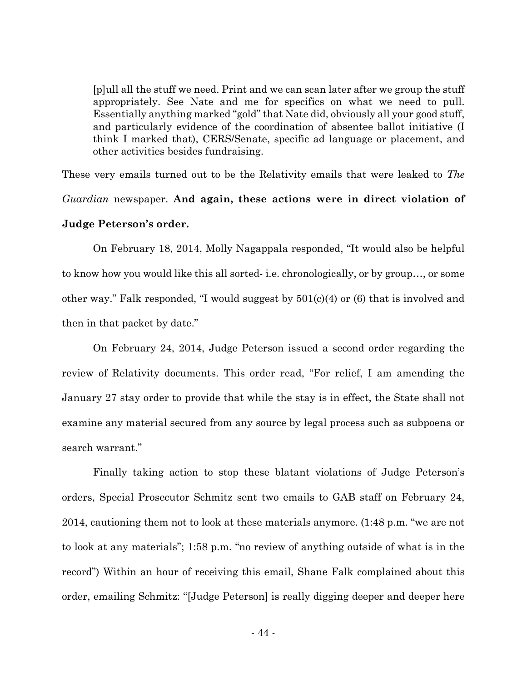[p]ull all the stuff we need. Print and we can scan later after we group the stuff appropriately. See Nate and me for specifics on what we need to pull. Essentially anything marked "gold" that Nate did, obviously all your good stuff, and particularly evidence of the coordination of absentee ballot initiative (I think I marked that), CERS/Senate, specific ad language or placement, and other activities besides fundraising.

These very emails turned out to be the Relativity emails that were leaked to *The Guardian* newspaper. **And again, these actions were in direct violation of Judge Peterson's order.**

 On February 18, 2014, Molly Nagappala responded, "It would also be helpful to know how you would like this all sorted- i.e. chronologically, or by group…, or some other way." Falk responded, "I would suggest by 501(c)(4) or (6) that is involved and then in that packet by date."

 On February 24, 2014, Judge Peterson issued a second order regarding the review of Relativity documents. This order read, "For relief, I am amending the January 27 stay order to provide that while the stay is in effect, the State shall not examine any material secured from any source by legal process such as subpoena or search warrant."

 Finally taking action to stop these blatant violations of Judge Peterson's orders, Special Prosecutor Schmitz sent two emails to GAB staff on February 24, 2014, cautioning them not to look at these materials anymore. (1:48 p.m. "we are not to look at any materials"; 1:58 p.m. "no review of anything outside of what is in the record") Within an hour of receiving this email, Shane Falk complained about this order, emailing Schmitz: "[Judge Peterson] is really digging deeper and deeper here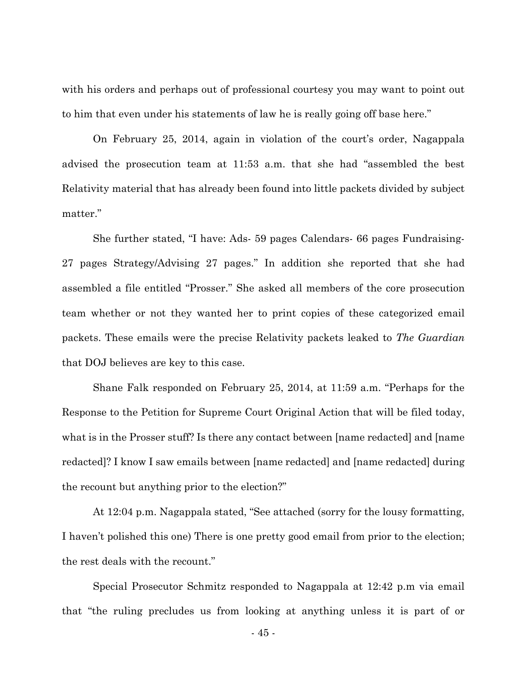with his orders and perhaps out of professional courtesy you may want to point out to him that even under his statements of law he is really going off base here."

On February 25, 2014, again in violation of the court's order, Nagappala advised the prosecution team at 11:53 a.m. that she had "assembled the best Relativity material that has already been found into little packets divided by subject matter."

She further stated, "I have: Ads- 59 pages Calendars- 66 pages Fundraising-27 pages Strategy/Advising 27 pages." In addition she reported that she had assembled a file entitled "Prosser." She asked all members of the core prosecution team whether or not they wanted her to print copies of these categorized email packets. These emails were the precise Relativity packets leaked to *The Guardian* that DOJ believes are key to this case.

Shane Falk responded on February 25, 2014, at 11:59 a.m. "Perhaps for the Response to the Petition for Supreme Court Original Action that will be filed today, what is in the Prosser stuff? Is there any contact between [name redacted] and [name redacted]? I know I saw emails between [name redacted] and [name redacted] during the recount but anything prior to the election?"

At 12:04 p.m. Nagappala stated, "See attached (sorry for the lousy formatting, I haven't polished this one) There is one pretty good email from prior to the election; the rest deals with the recount."

Special Prosecutor Schmitz responded to Nagappala at 12:42 p.m via email that "the ruling precludes us from looking at anything unless it is part of or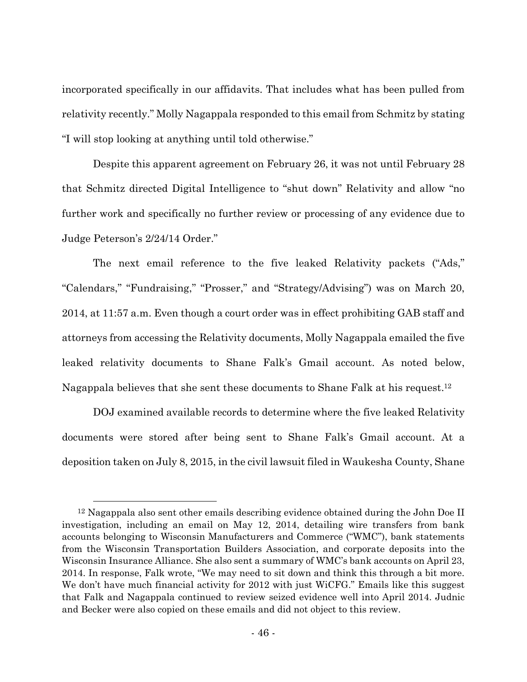incorporated specifically in our affidavits. That includes what has been pulled from relativity recently." Molly Nagappala responded to this email from Schmitz by stating "I will stop looking at anything until told otherwise."

Despite this apparent agreement on February 26, it was not until February 28 that Schmitz directed Digital Intelligence to "shut down" Relativity and allow "no further work and specifically no further review or processing of any evidence due to Judge Peterson's 2/24/14 Order."

The next email reference to the five leaked Relativity packets ("Ads," "Calendars," "Fundraising," "Prosser," and "Strategy/Advising") was on March 20, 2014, at 11:57 a.m. Even though a court order was in effect prohibiting GAB staff and attorneys from accessing the Relativity documents, Molly Nagappala emailed the five leaked relativity documents to Shane Falk's Gmail account. As noted below, Nagappala believes that she sent these documents to Shane Falk at his request.12

DOJ examined available records to determine where the five leaked Relativity documents were stored after being sent to Shane Falk's Gmail account. At a deposition taken on July 8, 2015, in the civil lawsuit filed in Waukesha County, Shane

 $12$  Nagappala also sent other emails describing evidence obtained during the John Doe II investigation, including an email on May 12, 2014, detailing wire transfers from bank accounts belonging to Wisconsin Manufacturers and Commerce ("WMC"), bank statements from the Wisconsin Transportation Builders Association, and corporate deposits into the Wisconsin Insurance Alliance. She also sent a summary of WMC's bank accounts on April 23, 2014. In response, Falk wrote, "We may need to sit down and think this through a bit more. We don't have much financial activity for 2012 with just WiCFG." Emails like this suggest that Falk and Nagappala continued to review seized evidence well into April 2014. Judnic and Becker were also copied on these emails and did not object to this review.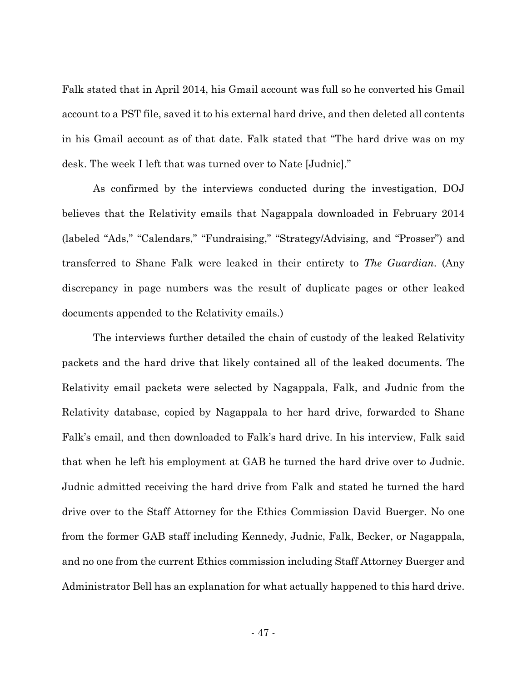Falk stated that in April 2014, his Gmail account was full so he converted his Gmail account to a PST file, saved it to his external hard drive, and then deleted all contents in his Gmail account as of that date. Falk stated that "The hard drive was on my desk. The week I left that was turned over to Nate [Judnic]."

As confirmed by the interviews conducted during the investigation, DOJ believes that the Relativity emails that Nagappala downloaded in February 2014 (labeled "Ads," "Calendars," "Fundraising," "Strategy/Advising, and "Prosser") and transferred to Shane Falk were leaked in their entirety to *The Guardian*. (Any discrepancy in page numbers was the result of duplicate pages or other leaked documents appended to the Relativity emails.)

The interviews further detailed the chain of custody of the leaked Relativity packets and the hard drive that likely contained all of the leaked documents. The Relativity email packets were selected by Nagappala, Falk, and Judnic from the Relativity database, copied by Nagappala to her hard drive, forwarded to Shane Falk's email, and then downloaded to Falk's hard drive. In his interview, Falk said that when he left his employment at GAB he turned the hard drive over to Judnic. Judnic admitted receiving the hard drive from Falk and stated he turned the hard drive over to the Staff Attorney for the Ethics Commission David Buerger. No one from the former GAB staff including Kennedy, Judnic, Falk, Becker, or Nagappala, and no one from the current Ethics commission including Staff Attorney Buerger and Administrator Bell has an explanation for what actually happened to this hard drive.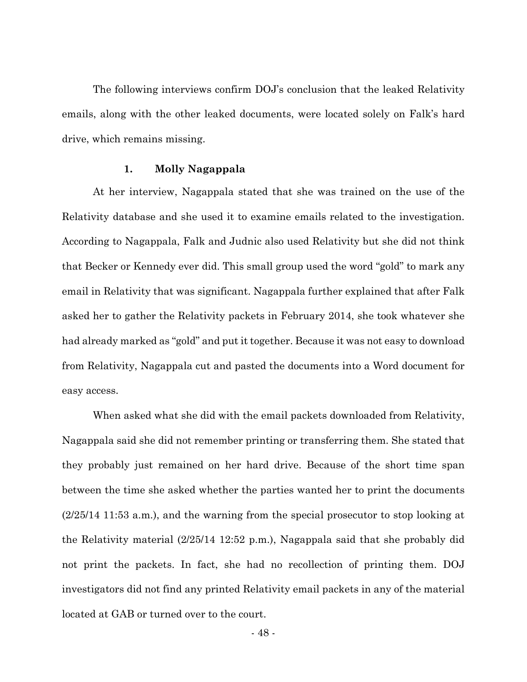The following interviews confirm DOJ's conclusion that the leaked Relativity emails, along with the other leaked documents, were located solely on Falk's hard drive, which remains missing.

#### **1. Molly Nagappala**

At her interview, Nagappala stated that she was trained on the use of the Relativity database and she used it to examine emails related to the investigation. According to Nagappala, Falk and Judnic also used Relativity but she did not think that Becker or Kennedy ever did. This small group used the word "gold" to mark any email in Relativity that was significant. Nagappala further explained that after Falk asked her to gather the Relativity packets in February 2014, she took whatever she had already marked as "gold" and put it together. Because it was not easy to download from Relativity, Nagappala cut and pasted the documents into a Word document for easy access.

When asked what she did with the email packets downloaded from Relativity, Nagappala said she did not remember printing or transferring them. She stated that they probably just remained on her hard drive. Because of the short time span between the time she asked whether the parties wanted her to print the documents (2/25/14 11:53 a.m.), and the warning from the special prosecutor to stop looking at the Relativity material (2/25/14 12:52 p.m.), Nagappala said that she probably did not print the packets. In fact, she had no recollection of printing them. DOJ investigators did not find any printed Relativity email packets in any of the material located at GAB or turned over to the court.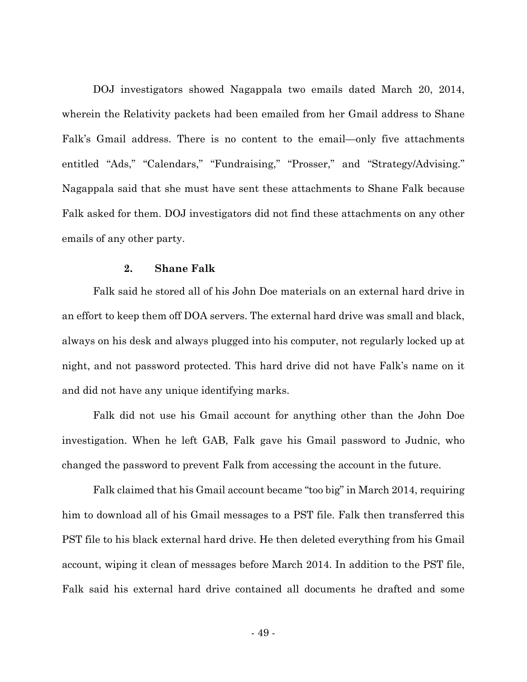DOJ investigators showed Nagappala two emails dated March 20, 2014, wherein the Relativity packets had been emailed from her Gmail address to Shane Falk's Gmail address. There is no content to the email—only five attachments entitled "Ads," "Calendars," "Fundraising," "Prosser," and "Strategy/Advising." Nagappala said that she must have sent these attachments to Shane Falk because Falk asked for them. DOJ investigators did not find these attachments on any other emails of any other party.

#### **2. Shane Falk**

Falk said he stored all of his John Doe materials on an external hard drive in an effort to keep them off DOA servers. The external hard drive was small and black, always on his desk and always plugged into his computer, not regularly locked up at night, and not password protected. This hard drive did not have Falk's name on it and did not have any unique identifying marks.

Falk did not use his Gmail account for anything other than the John Doe investigation. When he left GAB, Falk gave his Gmail password to Judnic, who changed the password to prevent Falk from accessing the account in the future.

Falk claimed that his Gmail account became "too big" in March 2014, requiring him to download all of his Gmail messages to a PST file. Falk then transferred this PST file to his black external hard drive. He then deleted everything from his Gmail account, wiping it clean of messages before March 2014. In addition to the PST file, Falk said his external hard drive contained all documents he drafted and some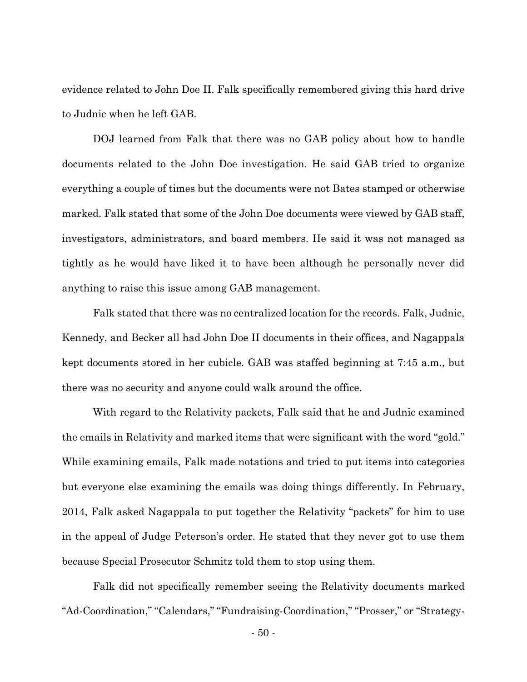evidence related to John Doe II. Falk specifically remembered giving this hard drive to Judnic when he left GAB.

DOJ learned from Falk that there was no GAB policy about how to handle documents related to the John Doe investigation. He said GAB tried to organize everything a couple of times but the documents were not Bates stamped or otherwise marked. Falk stated that some of the John Doe documents were viewed by GAB staff, investigators, administrators, and board members. He said it was not managed as tightly as he would have liked it to have been although he personally never did anything to raise this issue among GAB management.

Falk stated that there was no centralized location for the records. Falk, Judnic, Kennedy, and Becker all had John Doe II documents in their offices, and Nagappala kept documents stored in her cubicle. GAB was staffed beginning at 7:45 a.m., but there was no security and anyone could walk around the office.

With regard to the Relativity packets, Falk said that he and Judnic examined the emails in Relativity and marked items that were significant with the word "gold." While examining emails, Falk made notations and tried to put items into categories but everyone else examining the emails was doing things differently. In February, 2014, Falk asked Nagappala to put together the Relativity "packets" for him to use in the appeal of Judge Peterson's order. He stated that they never got to use them because Special Prosecutor Schmitz told them to stop using them.

Falk did not specifically remember seeing the Relativity documents marked "Ad-Coordination," "Calendars," "Fundraising-Coordination," "Prosser," or "Strategy-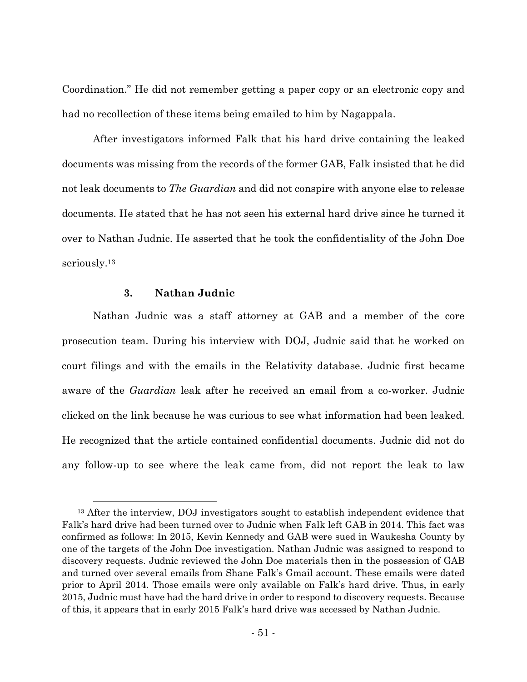Coordination." He did not remember getting a paper copy or an electronic copy and had no recollection of these items being emailed to him by Nagappala.

After investigators informed Falk that his hard drive containing the leaked documents was missing from the records of the former GAB, Falk insisted that he did not leak documents to *The Guardian* and did not conspire with anyone else to release documents. He stated that he has not seen his external hard drive since he turned it over to Nathan Judnic. He asserted that he took the confidentiality of the John Doe seriously.<sup>13</sup>

## **3. Nathan Judnic**

Nathan Judnic was a staff attorney at GAB and a member of the core prosecution team. During his interview with DOJ, Judnic said that he worked on court filings and with the emails in the Relativity database. Judnic first became aware of the *Guardian* leak after he received an email from a co-worker. Judnic clicked on the link because he was curious to see what information had been leaked. He recognized that the article contained confidential documents. Judnic did not do any follow-up to see where the leak came from, did not report the leak to law

<sup>&</sup>lt;sup>13</sup> After the interview, DOJ investigators sought to establish independent evidence that Falk's hard drive had been turned over to Judnic when Falk left GAB in 2014. This fact was confirmed as follows: In 2015, Kevin Kennedy and GAB were sued in Waukesha County by one of the targets of the John Doe investigation. Nathan Judnic was assigned to respond to discovery requests. Judnic reviewed the John Doe materials then in the possession of GAB and turned over several emails from Shane Falk's Gmail account. These emails were dated prior to April 2014. Those emails were only available on Falk's hard drive. Thus, in early 2015, Judnic must have had the hard drive in order to respond to discovery requests. Because of this, it appears that in early 2015 Falk's hard drive was accessed by Nathan Judnic.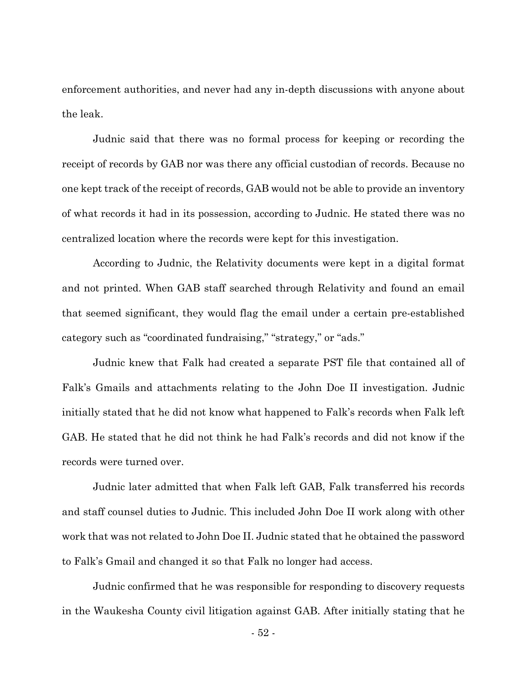enforcement authorities, and never had any in-depth discussions with anyone about the leak.

Judnic said that there was no formal process for keeping or recording the receipt of records by GAB nor was there any official custodian of records. Because no one kept track of the receipt of records, GAB would not be able to provide an inventory of what records it had in its possession, according to Judnic. He stated there was no centralized location where the records were kept for this investigation.

According to Judnic, the Relativity documents were kept in a digital format and not printed. When GAB staff searched through Relativity and found an email that seemed significant, they would flag the email under a certain pre-established category such as "coordinated fundraising," "strategy," or "ads."

Judnic knew that Falk had created a separate PST file that contained all of Falk's Gmails and attachments relating to the John Doe II investigation. Judnic initially stated that he did not know what happened to Falk's records when Falk left GAB. He stated that he did not think he had Falk's records and did not know if the records were turned over.

Judnic later admitted that when Falk left GAB, Falk transferred his records and staff counsel duties to Judnic. This included John Doe II work along with other work that was not related to John Doe II. Judnic stated that he obtained the password to Falk's Gmail and changed it so that Falk no longer had access.

Judnic confirmed that he was responsible for responding to discovery requests in the Waukesha County civil litigation against GAB. After initially stating that he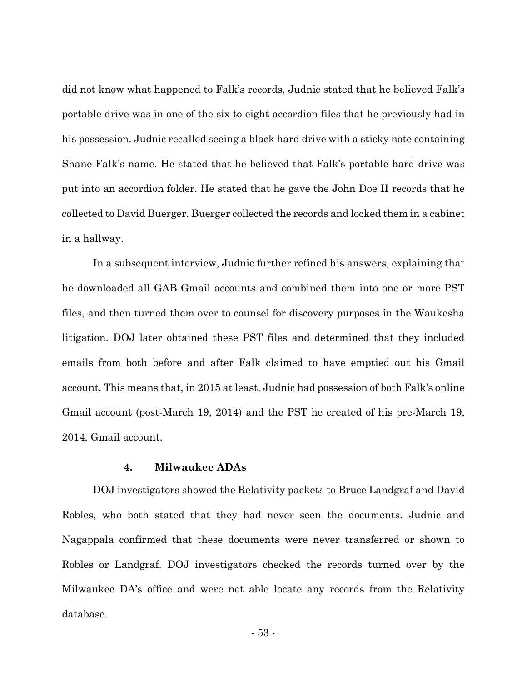did not know what happened to Falk's records, Judnic stated that he believed Falk's portable drive was in one of the six to eight accordion files that he previously had in his possession. Judnic recalled seeing a black hard drive with a sticky note containing Shane Falk's name. He stated that he believed that Falk's portable hard drive was put into an accordion folder. He stated that he gave the John Doe II records that he collected to David Buerger. Buerger collected the records and locked them in a cabinet in a hallway.

In a subsequent interview, Judnic further refined his answers, explaining that he downloaded all GAB Gmail accounts and combined them into one or more PST files, and then turned them over to counsel for discovery purposes in the Waukesha litigation. DOJ later obtained these PST files and determined that they included emails from both before and after Falk claimed to have emptied out his Gmail account. This means that, in 2015 at least, Judnic had possession of both Falk's online Gmail account (post-March 19, 2014) and the PST he created of his pre-March 19, 2014, Gmail account.

#### **4. Milwaukee ADAs**

DOJ investigators showed the Relativity packets to Bruce Landgraf and David Robles, who both stated that they had never seen the documents. Judnic and Nagappala confirmed that these documents were never transferred or shown to Robles or Landgraf. DOJ investigators checked the records turned over by the Milwaukee DA's office and were not able locate any records from the Relativity database.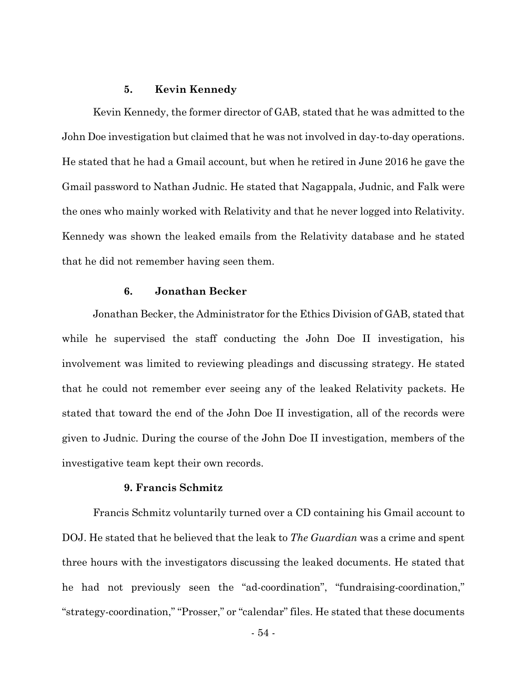#### **5. Kevin Kennedy**

Kevin Kennedy, the former director of GAB, stated that he was admitted to the John Doe investigation but claimed that he was not involved in day-to-day operations. He stated that he had a Gmail account, but when he retired in June 2016 he gave the Gmail password to Nathan Judnic. He stated that Nagappala, Judnic, and Falk were the ones who mainly worked with Relativity and that he never logged into Relativity. Kennedy was shown the leaked emails from the Relativity database and he stated that he did not remember having seen them.

#### **6. Jonathan Becker**

Jonathan Becker, the Administrator for the Ethics Division of GAB, stated that while he supervised the staff conducting the John Doe II investigation, his involvement was limited to reviewing pleadings and discussing strategy. He stated that he could not remember ever seeing any of the leaked Relativity packets. He stated that toward the end of the John Doe II investigation, all of the records were given to Judnic. During the course of the John Doe II investigation, members of the investigative team kept their own records.

### **9. Francis Schmitz**

Francis Schmitz voluntarily turned over a CD containing his Gmail account to DOJ. He stated that he believed that the leak to *The Guardian* was a crime and spent three hours with the investigators discussing the leaked documents. He stated that he had not previously seen the "ad-coordination", "fundraising-coordination," "strategy-coordination," "Prosser," or "calendar" files. He stated that these documents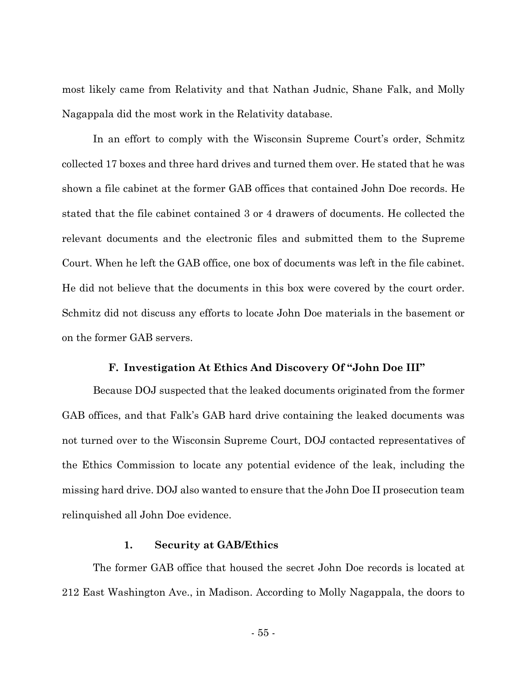most likely came from Relativity and that Nathan Judnic, Shane Falk, and Molly Nagappala did the most work in the Relativity database.

In an effort to comply with the Wisconsin Supreme Court's order, Schmitz collected 17 boxes and three hard drives and turned them over. He stated that he was shown a file cabinet at the former GAB offices that contained John Doe records. He stated that the file cabinet contained 3 or 4 drawers of documents. He collected the relevant documents and the electronic files and submitted them to the Supreme Court. When he left the GAB office, one box of documents was left in the file cabinet. He did not believe that the documents in this box were covered by the court order. Schmitz did not discuss any efforts to locate John Doe materials in the basement or on the former GAB servers.

#### **F. Investigation At Ethics And Discovery Of "John Doe III"**

Because DOJ suspected that the leaked documents originated from the former GAB offices, and that Falk's GAB hard drive containing the leaked documents was not turned over to the Wisconsin Supreme Court, DOJ contacted representatives of the Ethics Commission to locate any potential evidence of the leak, including the missing hard drive. DOJ also wanted to ensure that the John Doe II prosecution team relinquished all John Doe evidence.

#### **1. Security at GAB/Ethics**

The former GAB office that housed the secret John Doe records is located at 212 East Washington Ave., in Madison. According to Molly Nagappala, the doors to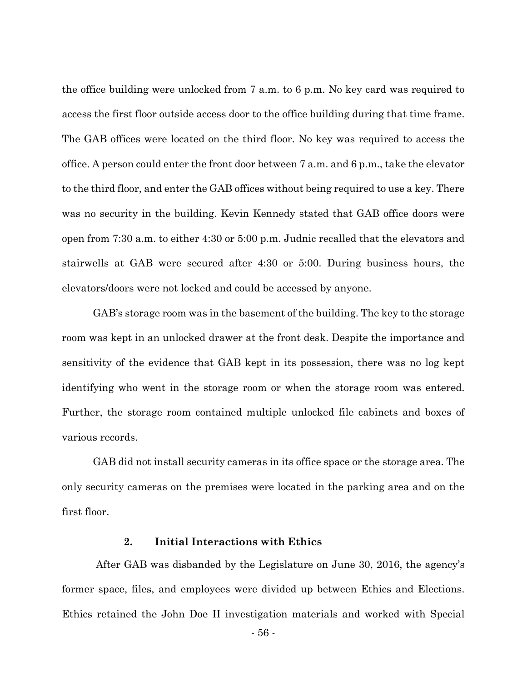the office building were unlocked from 7 a.m. to 6 p.m. No key card was required to access the first floor outside access door to the office building during that time frame. The GAB offices were located on the third floor. No key was required to access the office. A person could enter the front door between 7 a.m. and 6 p.m., take the elevator to the third floor, and enter the GAB offices without being required to use a key. There was no security in the building. Kevin Kennedy stated that GAB office doors were open from 7:30 a.m. to either 4:30 or 5:00 p.m. Judnic recalled that the elevators and stairwells at GAB were secured after 4:30 or 5:00. During business hours, the elevators/doors were not locked and could be accessed by anyone.

GAB's storage room was in the basement of the building. The key to the storage room was kept in an unlocked drawer at the front desk. Despite the importance and sensitivity of the evidence that GAB kept in its possession, there was no log kept identifying who went in the storage room or when the storage room was entered. Further, the storage room contained multiple unlocked file cabinets and boxes of various records.

GAB did not install security cameras in its office space or the storage area. The only security cameras on the premises were located in the parking area and on the first floor.

#### **2. Initial Interactions with Ethics**

After GAB was disbanded by the Legislature on June 30, 2016, the agency's former space, files, and employees were divided up between Ethics and Elections. Ethics retained the John Doe II investigation materials and worked with Special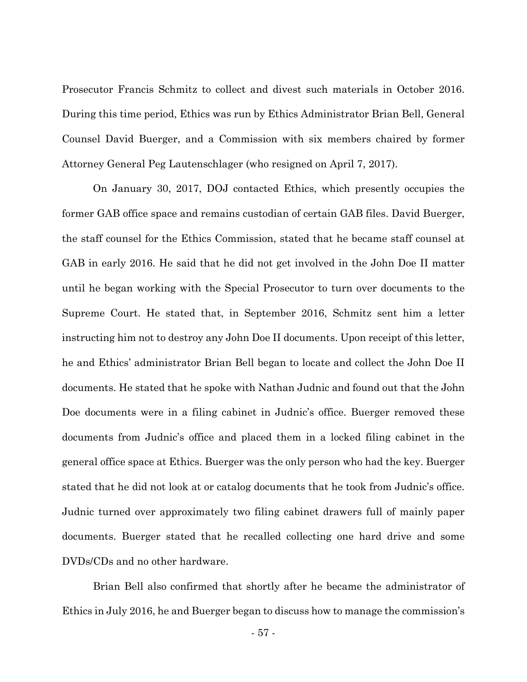Prosecutor Francis Schmitz to collect and divest such materials in October 2016. During this time period, Ethics was run by Ethics Administrator Brian Bell, General Counsel David Buerger, and a Commission with six members chaired by former Attorney General Peg Lautenschlager (who resigned on April 7, 2017).

On January 30, 2017, DOJ contacted Ethics, which presently occupies the former GAB office space and remains custodian of certain GAB files. David Buerger, the staff counsel for the Ethics Commission, stated that he became staff counsel at GAB in early 2016. He said that he did not get involved in the John Doe II matter until he began working with the Special Prosecutor to turn over documents to the Supreme Court. He stated that, in September 2016, Schmitz sent him a letter instructing him not to destroy any John Doe II documents. Upon receipt of this letter, he and Ethics' administrator Brian Bell began to locate and collect the John Doe II documents. He stated that he spoke with Nathan Judnic and found out that the John Doe documents were in a filing cabinet in Judnic's office. Buerger removed these documents from Judnic's office and placed them in a locked filing cabinet in the general office space at Ethics. Buerger was the only person who had the key. Buerger stated that he did not look at or catalog documents that he took from Judnic's office. Judnic turned over approximately two filing cabinet drawers full of mainly paper documents. Buerger stated that he recalled collecting one hard drive and some DVDs/CDs and no other hardware.

Brian Bell also confirmed that shortly after he became the administrator of Ethics in July 2016, he and Buerger began to discuss how to manage the commission's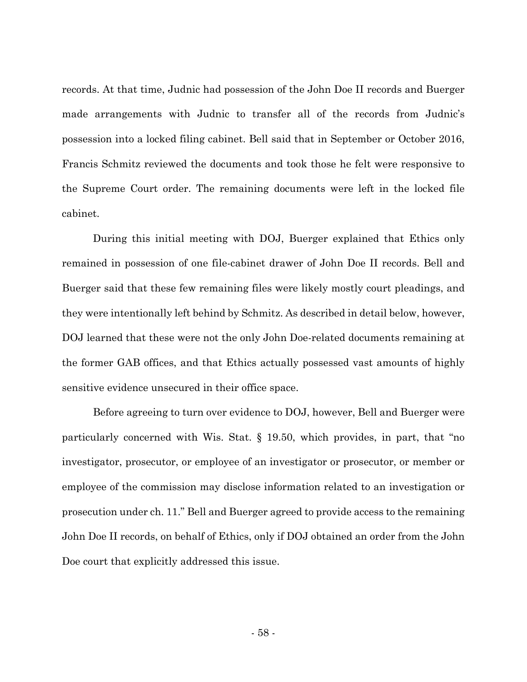records. At that time, Judnic had possession of the John Doe II records and Buerger made arrangements with Judnic to transfer all of the records from Judnic's possession into a locked filing cabinet. Bell said that in September or October 2016, Francis Schmitz reviewed the documents and took those he felt were responsive to the Supreme Court order. The remaining documents were left in the locked file cabinet.

 During this initial meeting with DOJ, Buerger explained that Ethics only remained in possession of one file-cabinet drawer of John Doe II records. Bell and Buerger said that these few remaining files were likely mostly court pleadings, and they were intentionally left behind by Schmitz. As described in detail below, however, DOJ learned that these were not the only John Doe-related documents remaining at the former GAB offices, and that Ethics actually possessed vast amounts of highly sensitive evidence unsecured in their office space.

Before agreeing to turn over evidence to DOJ, however, Bell and Buerger were particularly concerned with Wis. Stat. § 19.50, which provides, in part, that "no investigator, prosecutor, or employee of an investigator or prosecutor, or member or employee of the commission may disclose information related to an investigation or prosecution under ch. 11." Bell and Buerger agreed to provide access to the remaining John Doe II records, on behalf of Ethics, only if DOJ obtained an order from the John Doe court that explicitly addressed this issue.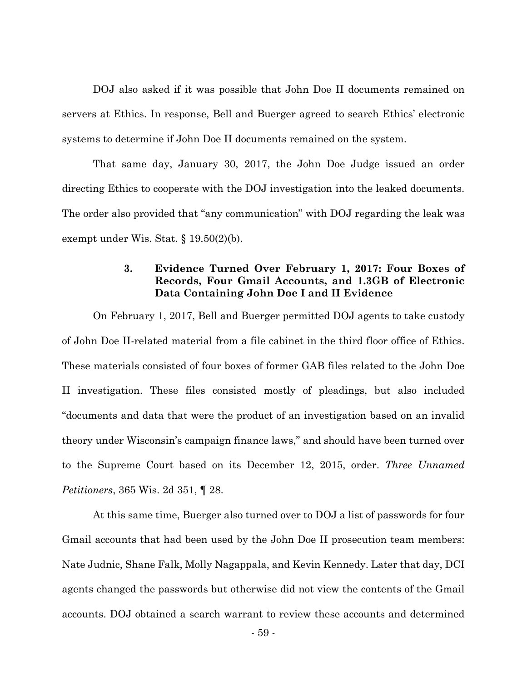DOJ also asked if it was possible that John Doe II documents remained on servers at Ethics. In response, Bell and Buerger agreed to search Ethics' electronic systems to determine if John Doe II documents remained on the system.

That same day, January 30, 2017, the John Doe Judge issued an order directing Ethics to cooperate with the DOJ investigation into the leaked documents. The order also provided that "any communication" with DOJ regarding the leak was exempt under Wis. Stat. § 19.50(2)(b).

# **3. Evidence Turned Over February 1, 2017: Four Boxes of Records, Four Gmail Accounts, and 1.3GB of Electronic Data Containing John Doe I and II Evidence**

On February 1, 2017, Bell and Buerger permitted DOJ agents to take custody of John Doe II-related material from a file cabinet in the third floor office of Ethics. These materials consisted of four boxes of former GAB files related to the John Doe II investigation. These files consisted mostly of pleadings, but also included "documents and data that were the product of an investigation based on an invalid theory under Wisconsin's campaign finance laws," and should have been turned over to the Supreme Court based on its December 12, 2015, order. *Three Unnamed Petitioners*, 365 Wis. 2d 351, ¶ 28.

At this same time, Buerger also turned over to DOJ a list of passwords for four Gmail accounts that had been used by the John Doe II prosecution team members: Nate Judnic, Shane Falk, Molly Nagappala, and Kevin Kennedy. Later that day, DCI agents changed the passwords but otherwise did not view the contents of the Gmail accounts. DOJ obtained a search warrant to review these accounts and determined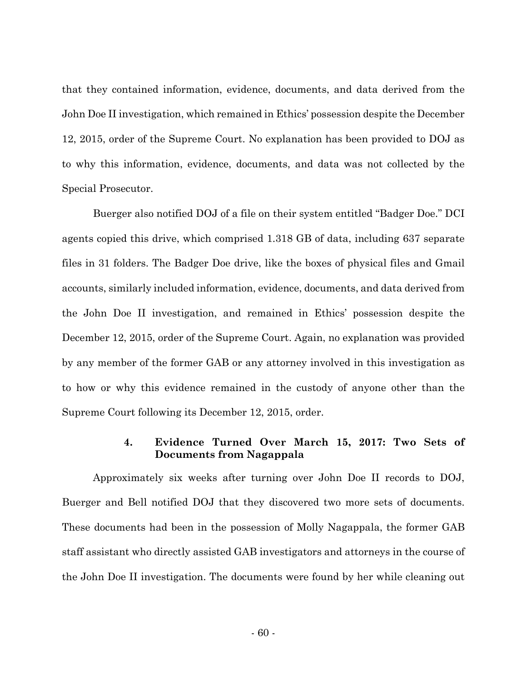that they contained information, evidence, documents, and data derived from the John Doe II investigation, which remained in Ethics' possession despite the December 12, 2015, order of the Supreme Court. No explanation has been provided to DOJ as to why this information, evidence, documents, and data was not collected by the Special Prosecutor.

Buerger also notified DOJ of a file on their system entitled "Badger Doe." DCI agents copied this drive, which comprised 1.318 GB of data, including 637 separate files in 31 folders. The Badger Doe drive, like the boxes of physical files and Gmail accounts, similarly included information, evidence, documents, and data derived from the John Doe II investigation, and remained in Ethics' possession despite the December 12, 2015, order of the Supreme Court. Again, no explanation was provided by any member of the former GAB or any attorney involved in this investigation as to how or why this evidence remained in the custody of anyone other than the Supreme Court following its December 12, 2015, order.

# **4. Evidence Turned Over March 15, 2017: Two Sets of Documents from Nagappala**

Approximately six weeks after turning over John Doe II records to DOJ, Buerger and Bell notified DOJ that they discovered two more sets of documents. These documents had been in the possession of Molly Nagappala, the former GAB staff assistant who directly assisted GAB investigators and attorneys in the course of the John Doe II investigation. The documents were found by her while cleaning out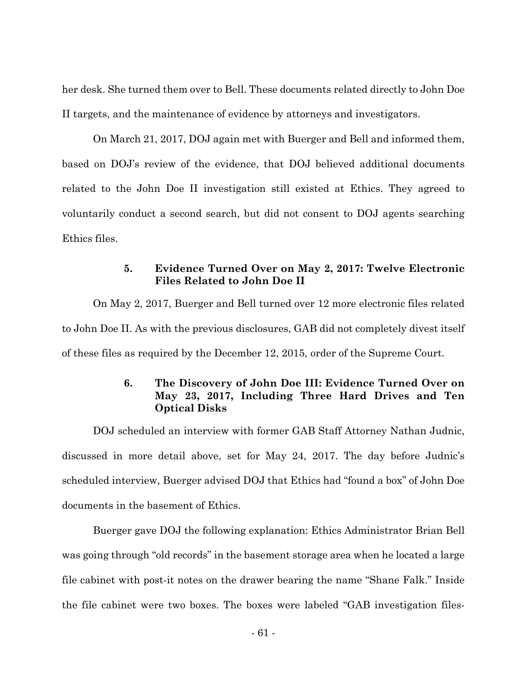her desk. She turned them over to Bell. These documents related directly to John Doe II targets, and the maintenance of evidence by attorneys and investigators.

On March 21, 2017, DOJ again met with Buerger and Bell and informed them, based on DOJ's review of the evidence, that DOJ believed additional documents related to the John Doe II investigation still existed at Ethics. They agreed to voluntarily conduct a second search, but did not consent to DOJ agents searching Ethics files.

# **5. Evidence Turned Over on May 2, 2017: Twelve Electronic Files Related to John Doe II**

On May 2, 2017, Buerger and Bell turned over 12 more electronic files related to John Doe II. As with the previous disclosures, GAB did not completely divest itself of these files as required by the December 12, 2015, order of the Supreme Court.

# **6. The Discovery of John Doe III: Evidence Turned Over on May 23, 2017, Including Three Hard Drives and Ten Optical Disks**

DOJ scheduled an interview with former GAB Staff Attorney Nathan Judnic, discussed in more detail above, set for May 24, 2017. The day before Judnic's scheduled interview, Buerger advised DOJ that Ethics had "found a box" of John Doe documents in the basement of Ethics.

 Buerger gave DOJ the following explanation: Ethics Administrator Brian Bell was going through "old records" in the basement storage area when he located a large file cabinet with post-it notes on the drawer bearing the name "Shane Falk." Inside the file cabinet were two boxes. The boxes were labeled "GAB investigation files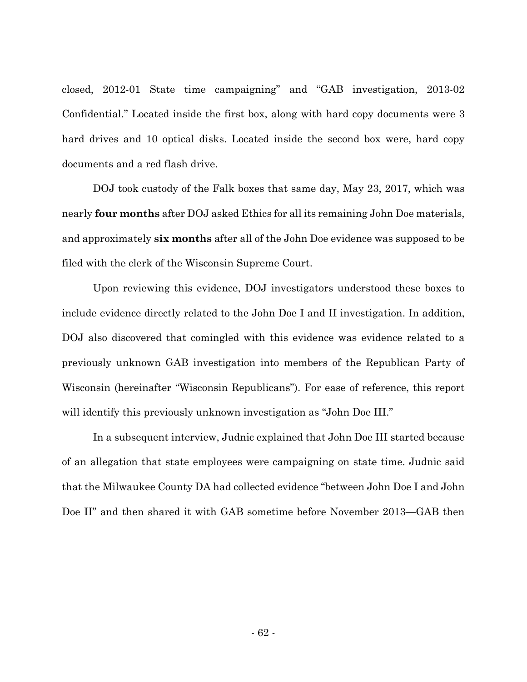closed, 2012-01 State time campaigning" and "GAB investigation, 2013-02 Confidential." Located inside the first box, along with hard copy documents were 3 hard drives and 10 optical disks. Located inside the second box were, hard copy documents and a red flash drive.

 DOJ took custody of the Falk boxes that same day, May 23, 2017, which was nearly **four months** after DOJ asked Ethics for all its remaining John Doe materials, and approximately **six months** after all of the John Doe evidence was supposed to be filed with the clerk of the Wisconsin Supreme Court.

 Upon reviewing this evidence, DOJ investigators understood these boxes to include evidence directly related to the John Doe I and II investigation. In addition, DOJ also discovered that comingled with this evidence was evidence related to a previously unknown GAB investigation into members of the Republican Party of Wisconsin (hereinafter "Wisconsin Republicans"). For ease of reference, this report will identify this previously unknown investigation as "John Doe III."

 In a subsequent interview, Judnic explained that John Doe III started because of an allegation that state employees were campaigning on state time. Judnic said that the Milwaukee County DA had collected evidence "between John Doe I and John Doe II" and then shared it with GAB sometime before November 2013—GAB then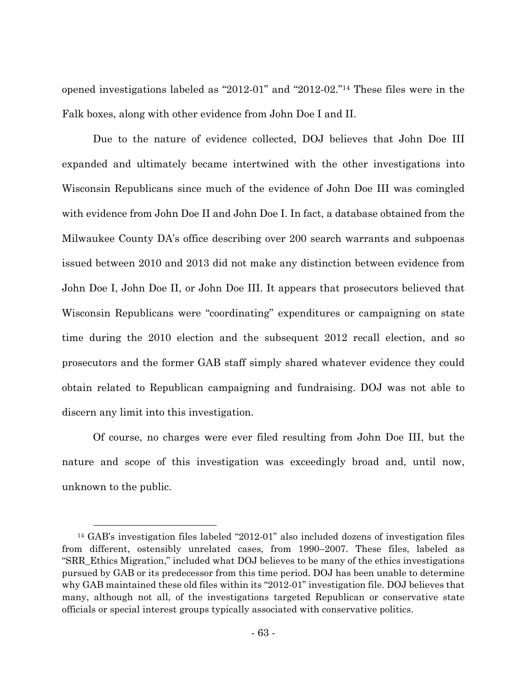opened investigations labeled as "2012-01" and "2012-02."14 These files were in the Falk boxes, along with other evidence from John Doe I and II.

 Due to the nature of evidence collected, DOJ believes that John Doe III expanded and ultimately became intertwined with the other investigations into Wisconsin Republicans since much of the evidence of John Doe III was comingled with evidence from John Doe II and John Doe I. In fact, a database obtained from the Milwaukee County DA's office describing over 200 search warrants and subpoenas issued between 2010 and 2013 did not make any distinction between evidence from John Doe I, John Doe II, or John Doe III. It appears that prosecutors believed that Wisconsin Republicans were "coordinating" expenditures or campaigning on state time during the 2010 election and the subsequent 2012 recall election, and so prosecutors and the former GAB staff simply shared whatever evidence they could obtain related to Republican campaigning and fundraising. DOJ was not able to discern any limit into this investigation.

 Of course, no charges were ever filed resulting from John Doe III, but the nature and scope of this investigation was exceedingly broad and, until now, unknown to the public.

 <sup>14</sup> GAB's investigation files labeled "2012-01" also included dozens of investigation files from different, ostensibly unrelated cases, from 1990–2007. These files, labeled as "SRR\_Ethics Migration," included what DOJ believes to be many of the ethics investigations pursued by GAB or its predecessor from this time period. DOJ has been unable to determine why GAB maintained these old files within its "2012-01" investigation file. DOJ believes that many, although not all, of the investigations targeted Republican or conservative state officials or special interest groups typically associated with conservative politics.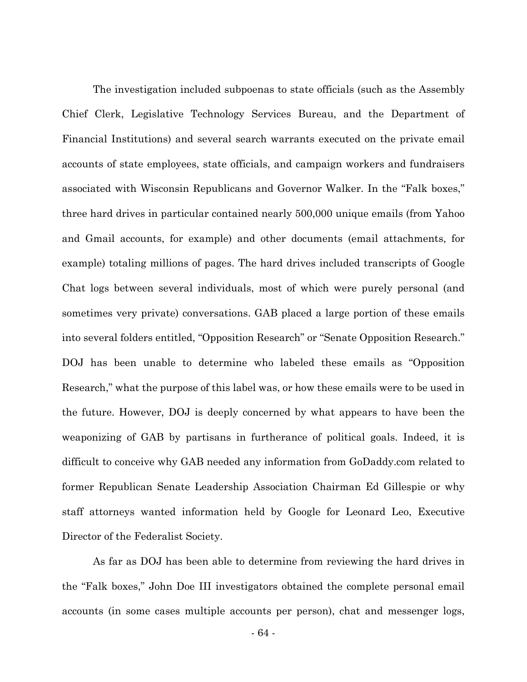The investigation included subpoenas to state officials (such as the Assembly Chief Clerk, Legislative Technology Services Bureau, and the Department of Financial Institutions) and several search warrants executed on the private email accounts of state employees, state officials, and campaign workers and fundraisers associated with Wisconsin Republicans and Governor Walker. In the "Falk boxes," three hard drives in particular contained nearly 500,000 unique emails (from Yahoo and Gmail accounts, for example) and other documents (email attachments, for example) totaling millions of pages. The hard drives included transcripts of Google Chat logs between several individuals, most of which were purely personal (and sometimes very private) conversations. GAB placed a large portion of these emails into several folders entitled, "Opposition Research" or "Senate Opposition Research." DOJ has been unable to determine who labeled these emails as "Opposition Research," what the purpose of this label was, or how these emails were to be used in the future. However, DOJ is deeply concerned by what appears to have been the weaponizing of GAB by partisans in furtherance of political goals. Indeed, it is difficult to conceive why GAB needed any information from GoDaddy.com related to former Republican Senate Leadership Association Chairman Ed Gillespie or why staff attorneys wanted information held by Google for Leonard Leo, Executive Director of the Federalist Society.

As far as DOJ has been able to determine from reviewing the hard drives in the "Falk boxes," John Doe III investigators obtained the complete personal email accounts (in some cases multiple accounts per person), chat and messenger logs,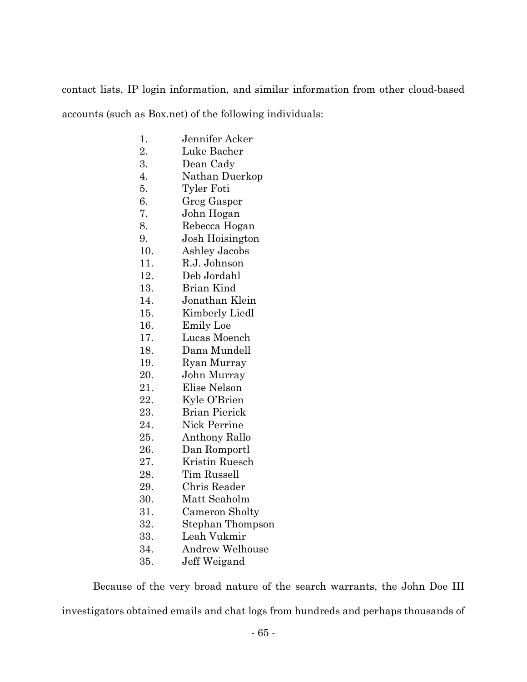contact lists, IP login information, and similar information from other cloud-based accounts (such as Box.net) of the following individuals:

- 1. Jennifer Acker
- 2. Luke Bacher
- 3. Dean Cady
- 4. Nathan Duerkop
- 5. Tyler Foti
- 6. Greg Gasper
- 7. John Hogan
- 8. Rebecca Hogan
- 9. Josh Hoisington
- 10. Ashley Jacobs
- 11. R.J. Johnson
- 12. Deb Jordahl
- 13. Brian Kind
- 14. Jonathan Klein
- 15. Kimberly Liedl
- 16. Emily Loe
- 17. Lucas Moench
- 18. Dana Mundell
- 19. Ryan Murray
- 20. John Murray
- 21. Elise Nelson
- 22. Kyle O'Brien
- 23. Brian Pierick
- 24. Nick Perrine
- 25. Anthony Rallo
- 26. Dan Romportl
- 27. Kristin Ruesch
- 28. Tim Russell
- 29. Chris Reader
- 30. Matt Seaholm
- 31. Cameron Sholty
- 32. Stephan Thompson
- 33. Leah Vukmir
- 34. Andrew Welhouse
- 35. Jeff Weigand

 Because of the very broad nature of the search warrants, the John Doe III investigators obtained emails and chat logs from hundreds and perhaps thousands of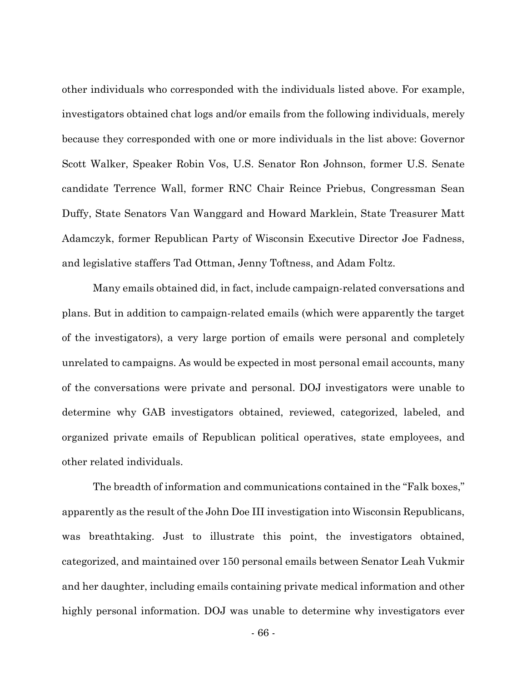other individuals who corresponded with the individuals listed above. For example, investigators obtained chat logs and/or emails from the following individuals, merely because they corresponded with one or more individuals in the list above: Governor Scott Walker, Speaker Robin Vos, U.S. Senator Ron Johnson, former U.S. Senate candidate Terrence Wall, former RNC Chair Reince Priebus, Congressman Sean Duffy, State Senators Van Wanggard and Howard Marklein, State Treasurer Matt Adamczyk, former Republican Party of Wisconsin Executive Director Joe Fadness, and legislative staffers Tad Ottman, Jenny Toftness, and Adam Foltz.

Many emails obtained did, in fact, include campaign-related conversations and plans. But in addition to campaign-related emails (which were apparently the target of the investigators), a very large portion of emails were personal and completely unrelated to campaigns. As would be expected in most personal email accounts, many of the conversations were private and personal. DOJ investigators were unable to determine why GAB investigators obtained, reviewed, categorized, labeled, and organized private emails of Republican political operatives, state employees, and other related individuals.

 The breadth of information and communications contained in the "Falk boxes," apparently as the result of the John Doe III investigation into Wisconsin Republicans, was breathtaking. Just to illustrate this point, the investigators obtained, categorized, and maintained over 150 personal emails between Senator Leah Vukmir and her daughter, including emails containing private medical information and other highly personal information. DOJ was unable to determine why investigators ever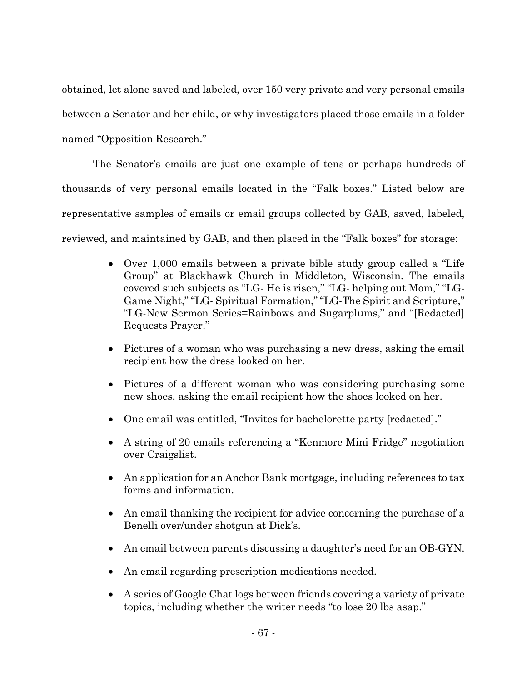obtained, let alone saved and labeled, over 150 very private and very personal emails between a Senator and her child, or why investigators placed those emails in a folder named "Opposition Research."

The Senator's emails are just one example of tens or perhaps hundreds of thousands of very personal emails located in the "Falk boxes." Listed below are representative samples of emails or email groups collected by GAB, saved, labeled, reviewed, and maintained by GAB, and then placed in the "Falk boxes" for storage:

- Over 1,000 emails between a private bible study group called a "Life Group" at Blackhawk Church in Middleton, Wisconsin. The emails covered such subjects as "LG- He is risen," "LG- helping out Mom," "LG-Game Night," "LG- Spiritual Formation," "LG-The Spirit and Scripture," "LG-New Sermon Series=Rainbows and Sugarplums," and "[Redacted] Requests Prayer."
- Pictures of a woman who was purchasing a new dress, asking the email recipient how the dress looked on her.
- Pictures of a different woman who was considering purchasing some new shoes, asking the email recipient how the shoes looked on her.
- One email was entitled, "Invites for bachelorette party [redacted]."
- A string of 20 emails referencing a "Kenmore Mini Fridge" negotiation over Craigslist.
- An application for an Anchor Bank mortgage, including references to tax forms and information.
- An email thanking the recipient for advice concerning the purchase of a Benelli over/under shotgun at Dick's.
- An email between parents discussing a daughter's need for an OB-GYN.
- An email regarding prescription medications needed.
- A series of Google Chat logs between friends covering a variety of private topics, including whether the writer needs "to lose 20 lbs asap."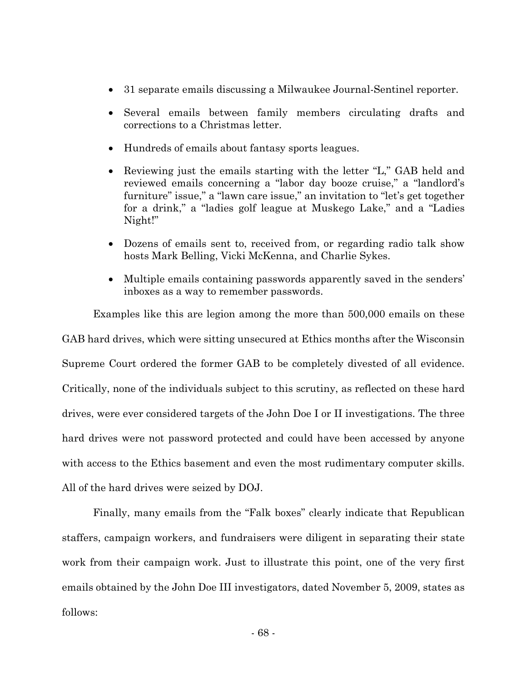- 31 separate emails discussing a Milwaukee Journal-Sentinel reporter.
- Several emails between family members circulating drafts and corrections to a Christmas letter.
- Hundreds of emails about fantasy sports leagues.
- Reviewing just the emails starting with the letter "L," GAB held and reviewed emails concerning a "labor day booze cruise," a "landlord's furniture" issue," a "lawn care issue," an invitation to "let's get together for a drink," a "ladies golf league at Muskego Lake," and a "Ladies Night!"
- Dozens of emails sent to, received from, or regarding radio talk show hosts Mark Belling, Vicki McKenna, and Charlie Sykes.
- Multiple emails containing passwords apparently saved in the senders' inboxes as a way to remember passwords.

Examples like this are legion among the more than 500,000 emails on these GAB hard drives, which were sitting unsecured at Ethics months after the Wisconsin Supreme Court ordered the former GAB to be completely divested of all evidence. Critically, none of the individuals subject to this scrutiny, as reflected on these hard drives, were ever considered targets of the John Doe I or II investigations. The three hard drives were not password protected and could have been accessed by anyone with access to the Ethics basement and even the most rudimentary computer skills. All of the hard drives were seized by DOJ.

Finally, many emails from the "Falk boxes" clearly indicate that Republican staffers, campaign workers, and fundraisers were diligent in separating their state work from their campaign work. Just to illustrate this point, one of the very first emails obtained by the John Doe III investigators, dated November 5, 2009, states as follows: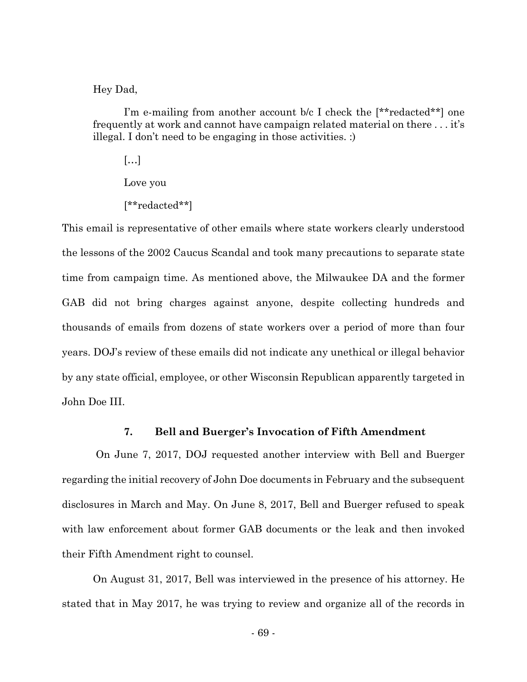Hey Dad,

I'm e-mailing from another account b/c I check the [\*\*redacted\*\*] one frequently at work and cannot have campaign related material on there . . . it's illegal. I don't need to be engaging in those activities. :)

[…]

Love you

[\*\*redacted\*\*]

This email is representative of other emails where state workers clearly understood the lessons of the 2002 Caucus Scandal and took many precautions to separate state time from campaign time. As mentioned above, the Milwaukee DA and the former GAB did not bring charges against anyone, despite collecting hundreds and thousands of emails from dozens of state workers over a period of more than four years. DOJ's review of these emails did not indicate any unethical or illegal behavior by any state official, employee, or other Wisconsin Republican apparently targeted in John Doe III.

## **7. Bell and Buerger's Invocation of Fifth Amendment**

On June 7, 2017, DOJ requested another interview with Bell and Buerger regarding the initial recovery of John Doe documents in February and the subsequent disclosures in March and May. On June 8, 2017, Bell and Buerger refused to speak with law enforcement about former GAB documents or the leak and then invoked their Fifth Amendment right to counsel.

On August 31, 2017, Bell was interviewed in the presence of his attorney. He stated that in May 2017, he was trying to review and organize all of the records in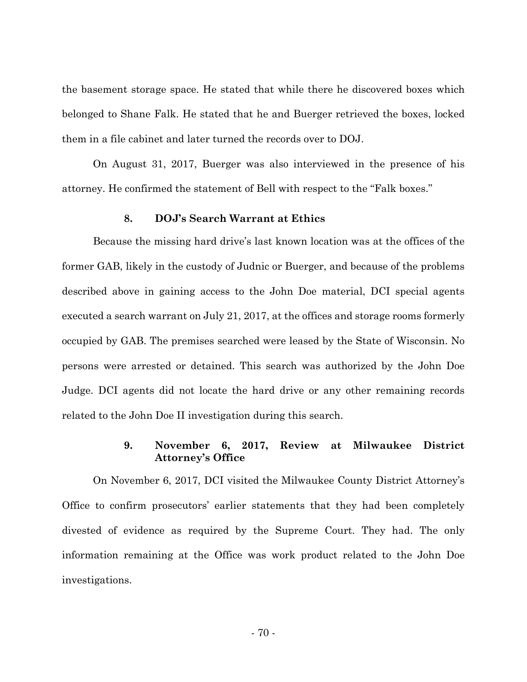the basement storage space. He stated that while there he discovered boxes which belonged to Shane Falk. He stated that he and Buerger retrieved the boxes, locked them in a file cabinet and later turned the records over to DOJ.

On August 31, 2017, Buerger was also interviewed in the presence of his attorney. He confirmed the statement of Bell with respect to the "Falk boxes."

### **8. DOJ's Search Warrant at Ethics**

Because the missing hard drive's last known location was at the offices of the former GAB, likely in the custody of Judnic or Buerger, and because of the problems described above in gaining access to the John Doe material, DCI special agents executed a search warrant on July 21, 2017, at the offices and storage rooms formerly occupied by GAB. The premises searched were leased by the State of Wisconsin. No persons were arrested or detained. This search was authorized by the John Doe Judge. DCI agents did not locate the hard drive or any other remaining records related to the John Doe II investigation during this search.

## **9. November 6, 2017, Review at Milwaukee District Attorney's Office**

On November 6, 2017, DCI visited the Milwaukee County District Attorney's Office to confirm prosecutors' earlier statements that they had been completely divested of evidence as required by the Supreme Court. They had. The only information remaining at the Office was work product related to the John Doe investigations.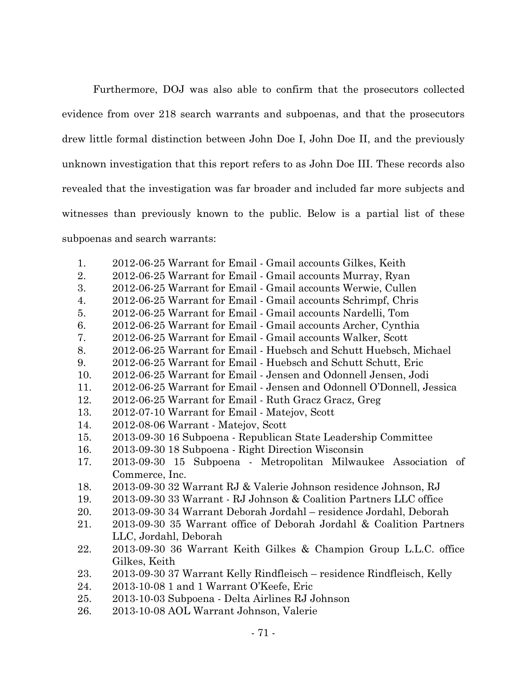Furthermore, DOJ was also able to confirm that the prosecutors collected evidence from over 218 search warrants and subpoenas, and that the prosecutors drew little formal distinction between John Doe I, John Doe II, and the previously unknown investigation that this report refers to as John Doe III. These records also revealed that the investigation was far broader and included far more subjects and witnesses than previously known to the public. Below is a partial list of these subpoenas and search warrants:

- 1. 2012-06-25 Warrant for Email Gmail accounts Gilkes, Keith
- 2. 2012-06-25 Warrant for Email Gmail accounts Murray, Ryan
- 3. 2012-06-25 Warrant for Email Gmail accounts Werwie, Cullen
- 4. 2012-06-25 Warrant for Email Gmail accounts Schrimpf, Chris
- 5. 2012-06-25 Warrant for Email Gmail accounts Nardelli, Tom
- 6. 2012-06-25 Warrant for Email Gmail accounts Archer, Cynthia
- 7. 2012-06-25 Warrant for Email Gmail accounts Walker, Scott
- 8. 2012-06-25 Warrant for Email Huebsch and Schutt Huebsch, Michael
- 9. 2012-06-25 Warrant for Email Huebsch and Schutt Schutt, Eric
- 10. 2012-06-25 Warrant for Email Jensen and Odonnell Jensen, Jodi
- 11. 2012-06-25 Warrant for Email Jensen and Odonnell O'Donnell, Jessica
- 12. 2012-06-25 Warrant for Email Ruth Gracz Gracz, Greg
- 13. 2012-07-10 Warrant for Email Matejov, Scott
- 14. 2012-08-06 Warrant Matejov, Scott
- 15. 2013-09-30 16 Subpoena Republican State Leadership Committee
- 16. 2013-09-30 18 Subpoena Right Direction Wisconsin
- 17. 2013-09-30 15 Subpoena Metropolitan Milwaukee Association of Commerce, Inc.
- 18. 2013-09-30 32 Warrant RJ & Valerie Johnson residence Johnson, RJ
- 19. 2013-09-30 33 Warrant RJ Johnson & Coalition Partners LLC office
- 20. 2013-09-30 34 Warrant Deborah Jordahl residence Jordahl, Deborah
- 21. 2013-09-30 35 Warrant office of Deborah Jordahl & Coalition Partners LLC, Jordahl, Deborah
- 22. 2013-09-30 36 Warrant Keith Gilkes & Champion Group L.L.C. office Gilkes, Keith
- 23. 2013-09-30 37 Warrant Kelly Rindfleisch residence Rindfleisch, Kelly
- 24. 2013-10-08 1 and 1 Warrant O'Keefe, Eric
- 25. 2013-10-03 Subpoena Delta Airlines RJ Johnson
- 26. 2013-10-08 AOL Warrant Johnson, Valerie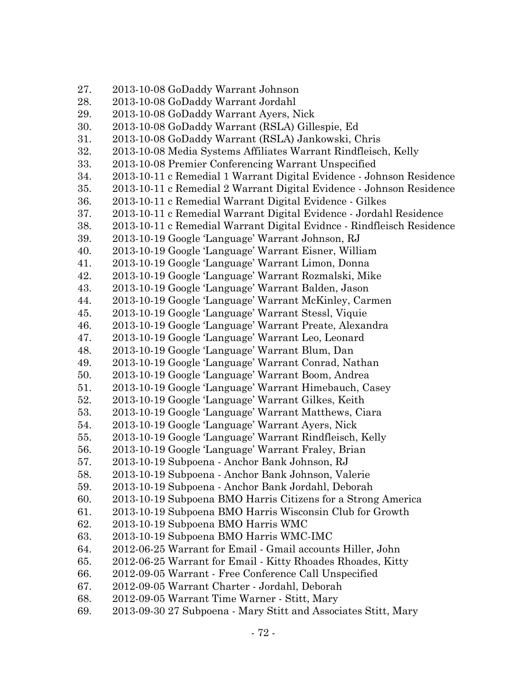| 27. | 2013-10-08 GoDaddy Warrant Johnson                                    |
|-----|-----------------------------------------------------------------------|
| 28. | 2013-10-08 GoDaddy Warrant Jordahl                                    |
| 29. | 2013-10-08 GoDaddy Warrant Ayers, Nick                                |
| 30. | 2013-10-08 GoDaddy Warrant (RSLA) Gillespie, Ed                       |
| 31. | 2013-10-08 GoDaddy Warrant (RSLA) Jankowski, Chris                    |
| 32. | 2013-10-08 Media Systems Affiliates Warrant Rindfleisch, Kelly        |
| 33. | 2013-10-08 Premier Conferencing Warrant Unspecified                   |
| 34. | 2013-10-11 c Remedial 1 Warrant Digital Evidence - Johnson Residence  |
| 35. | 2013-10-11 c Remedial 2 Warrant Digital Evidence - Johnson Residence  |
| 36. | 2013-10-11 c Remedial Warrant Digital Evidence - Gilkes               |
| 37. | 2013-10-11 c Remedial Warrant Digital Evidence - Jordahl Residence    |
| 38. | 2013-10-11 c Remedial Warrant Digital Evidnce - Rindfleisch Residence |
| 39. | 2013-10-19 Google Language' Warrant Johnson, RJ                       |
| 40. | 2013-10-19 Google 'Language' Warrant Eisner, William                  |
| 41. | 2013-10-19 Google 'Language' Warrant Limon, Donna                     |
| 42. | 2013-10-19 Google 'Language' Warrant Rozmalski, Mike                  |
| 43. | 2013-10-19 Google 'Language' Warrant Balden, Jason                    |
| 44. | 2013-10-19 Google Language' Warrant McKinley, Carmen                  |
| 45. | 2013-10-19 Google Language' Warrant Stessl, Viquie                    |
| 46. | 2013-10-19 Google Language' Warrant Preate, Alexandra                 |
| 47. | 2013-10-19 Google Language' Warrant Leo, Leonard                      |
| 48. | 2013-10-19 Google Language' Warrant Blum, Dan                         |
| 49. | 2013-10-19 Google 'Language' Warrant Conrad, Nathan                   |
| 50. | 2013-10-19 Google Language' Warrant Boom, Andrea                      |
| 51. | 2013-10-19 Google 'Language' Warrant Himebauch, Casey                 |
| 52. | 2013-10-19 Google 'Language' Warrant Gilkes, Keith                    |
| 53. | 2013-10-19 Google 'Language' Warrant Matthews, Ciara                  |
| 54. | 2013-10-19 Google Language' Warrant Ayers, Nick                       |
| 55. | 2013-10-19 Google Language' Warrant Rindfleisch, Kelly                |
| 56. | 2013-10-19 Google Language' Warrant Fraley, Brian                     |
| 57. | 2013-10-19 Subpoena - Anchor Bank Johnson, RJ                         |
| 58. | 2013-10-19 Subpoena - Anchor Bank Johnson, Valerie                    |
| 59. | 2013-10-19 Subpoena - Anchor Bank Jordahl, Deborah                    |
| 60. | 2013-10-19 Subpoena BMO Harris Citizens for a Strong America          |
| 61. | 2013-10-19 Subpoena BMO Harris Wisconsin Club for Growth              |
| 62. | 2013-10-19 Subpoena BMO Harris WMC                                    |
| 63. | 2013-10-19 Subpoena BMO Harris WMC-IMC                                |
| 64. | 2012-06-25 Warrant for Email - Gmail accounts Hiller, John            |
| 65. | 2012-06-25 Warrant for Email - Kitty Rhoades Rhoades, Kitty           |
| 66. | 2012-09-05 Warrant - Free Conference Call Unspecified                 |
| 67. | 2012-09-05 Warrant Charter - Jordahl, Deborah                         |
| 68. | 2012-09-05 Warrant Time Warner - Stitt, Mary                          |
| 69. | 2013-09-30 27 Subpoena - Mary Stitt and Associates Stitt, Mary        |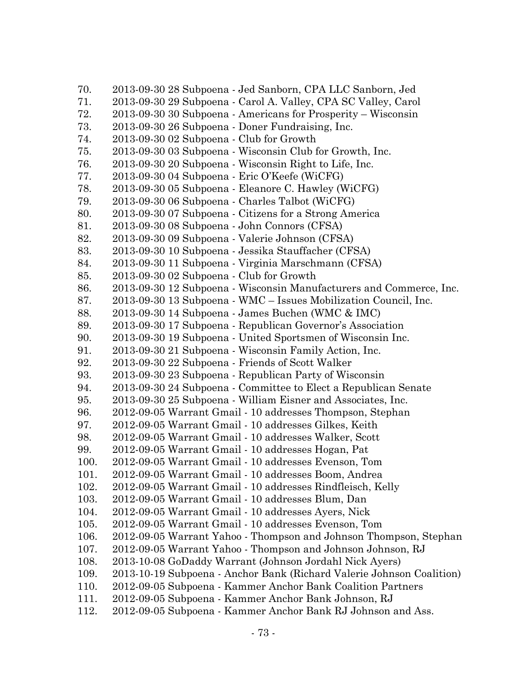| 70.  | 2013-09-30 28 Subpoena - Jed Sanborn, CPA LLC Sanborn, Jed            |
|------|-----------------------------------------------------------------------|
| 71.  | 2013-09-30 29 Subpoena - Carol A. Valley, CPA SC Valley, Carol        |
| 72.  | 2013-09-30 30 Subpoena - Americans for Prosperity - Wisconsin         |
| 73.  | 2013-09-30 26 Subpoena - Doner Fundraising, Inc.                      |
| 74.  | 2013-09-30 02 Subpoena - Club for Growth                              |
| 75.  | 2013-09-30 03 Subpoena - Wisconsin Club for Growth, Inc.              |
| 76.  | 2013-09-30 20 Subpoena - Wisconsin Right to Life, Inc.                |
| 77.  | 2013-09-30 04 Subpoena - Eric O'Keefe (WiCFG)                         |
| 78.  | 2013-09-30 05 Subpoena - Eleanore C. Hawley (WiCFG)                   |
| 79.  | 2013-09-30 06 Subpoena - Charles Talbot (WiCFG)                       |
| 80.  | 2013-09-30 07 Subpoena - Citizens for a Strong America                |
| 81.  | 2013-09-30 08 Subpoena - John Connors (CFSA)                          |
| 82.  | 2013-09-30 09 Subpoena - Valerie Johnson (CFSA)                       |
| 83.  | 2013-09-30 10 Subpoena - Jessika Stauffacher (CFSA)                   |
| 84.  | 2013-09-30 11 Subpoena - Virginia Marschmann (CFSA)                   |
| 85.  | 2013-09-30 02 Subpoena - Club for Growth                              |
| 86.  | 2013-09-30 12 Subpoena - Wisconsin Manufacturers and Commerce, Inc.   |
| 87.  | 2013-09-30 13 Subpoena - WMC – Issues Mobilization Council, Inc.      |
| 88.  | 2013-09-30 14 Subpoena - James Buchen (WMC & IMC)                     |
| 89.  | 2013-09-30 17 Subpoena - Republican Governor's Association            |
| 90.  | 2013-09-30 19 Subpoena - United Sportsmen of Wisconsin Inc.           |
| 91.  | 2013-09-30 21 Subpoena - Wisconsin Family Action, Inc.                |
| 92.  | 2013-09-30 22 Subpoena - Friends of Scott Walker                      |
| 93.  | 2013-09-30 23 Subpoena - Republican Party of Wisconsin                |
| 94.  | 2013-09-30 24 Subpoena - Committee to Elect a Republican Senate       |
| 95.  | 2013-09-30 25 Subpoena - William Eisner and Associates, Inc.          |
| 96.  | 2012-09-05 Warrant Gmail - 10 addresses Thompson, Stephan             |
| 97.  | 2012-09-05 Warrant Gmail - 10 addresses Gilkes, Keith                 |
| 98.  | 2012-09-05 Warrant Gmail - 10 addresses Walker, Scott                 |
| 99.  | 2012-09-05 Warrant Gmail - 10 addresses Hogan, Pat                    |
| 100. | 2012-09-05 Warrant Gmail - 10 addresses Evenson, Tom                  |
| 101. | 2012-09-05 Warrant Gmail - 10 addresses Boom, Andrea                  |
| 102. | 2012-09-05 Warrant Gmail - 10 addresses Rindfleisch, Kelly            |
| 103. | 2012-09-05 Warrant Gmail - 10 addresses Blum, Dan                     |
| 104. | 2012-09-05 Warrant Gmail - 10 addresses Ayers, Nick                   |
| 105. | 2012-09-05 Warrant Gmail - 10 addresses Evenson, Tom                  |
| 106. | 2012-09-05 Warrant Yahoo - Thompson and Johnson Thompson, Stephan     |
| 107. | 2012-09-05 Warrant Yahoo - Thompson and Johnson Johnson, RJ           |
| 108. | 2013-10-08 GoDaddy Warrant (Johnson Jordahl Nick Ayers)               |
| 109. | 2013-10-19 Subpoena - Anchor Bank (Richard Valerie Johnson Coalition) |
| 110. | 2012-09-05 Subpoena - Kammer Anchor Bank Coalition Partners           |
| 111. | 2012-09-05 Subpoena - Kammer Anchor Bank Johnson, RJ                  |
| 112. | 2012-09-05 Subpoena - Kammer Anchor Bank RJ Johnson and Ass.          |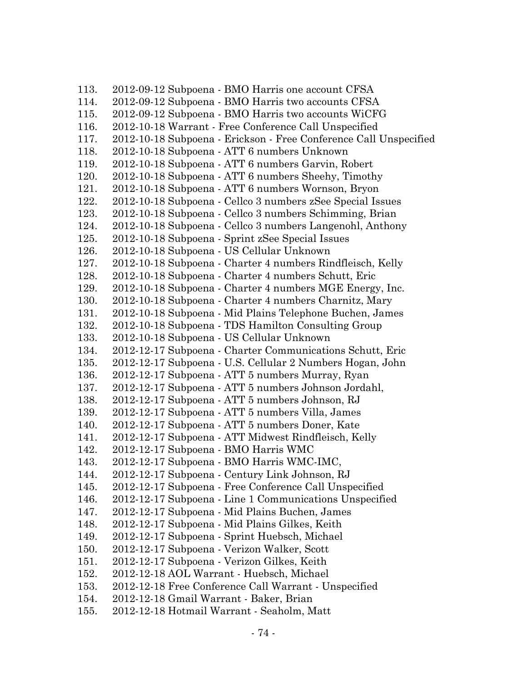113. 2012-09-12 Subpoena - BMO Harris one account CFSA 114. 2012-09-12 Subpoena - BMO Harris two accounts CFSA 115. 2012-09-12 Subpoena - BMO Harris two accounts WiCFG 116. 2012-10-18 Warrant - Free Conference Call Unspecified 117. 2012-10-18 Subpoena - Erickson - Free Conference Call Unspecified 118. 2012-10-18 Subpoena - ATT 6 numbers Unknown 119. 2012-10-18 Subpoena - ATT 6 numbers Garvin, Robert 120. 2012-10-18 Subpoena - ATT 6 numbers Sheehy, Timothy 121. 2012-10-18 Subpoena - ATT 6 numbers Wornson, Bryon 122. 2012-10-18 Subpoena - Cellco 3 numbers zSee Special Issues 123. 2012-10-18 Subpoena - Cellco 3 numbers Schimming, Brian 124. 2012-10-18 Subpoena - Cellco 3 numbers Langenohl, Anthony 125. 2012-10-18 Subpoena - Sprint zSee Special Issues 126. 2012-10-18 Subpoena - US Cellular Unknown 127. 2012-10-18 Subpoena - Charter 4 numbers Rindfleisch, Kelly 128. 2012-10-18 Subpoena - Charter 4 numbers Schutt, Eric 129. 2012-10-18 Subpoena - Charter 4 numbers MGE Energy, Inc. 130. 2012-10-18 Subpoena - Charter 4 numbers Charnitz, Mary 131. 2012-10-18 Subpoena - Mid Plains Telephone Buchen, James 132. 2012-10-18 Subpoena - TDS Hamilton Consulting Group 133. 2012-10-18 Subpoena - US Cellular Unknown 134. 2012-12-17 Subpoena - Charter Communications Schutt, Eric 135. 2012-12-17 Subpoena - U.S. Cellular 2 Numbers Hogan, John 136. 2012-12-17 Subpoena - ATT 5 numbers Murray, Ryan 137. 2012-12-17 Subpoena - ATT 5 numbers Johnson Jordahl, 138. 2012-12-17 Subpoena - ATT 5 numbers Johnson, RJ 139. 2012-12-17 Subpoena - ATT 5 numbers Villa, James 140. 2012-12-17 Subpoena - ATT 5 numbers Doner, Kate 141. 2012-12-17 Subpoena - ATT Midwest Rindfleisch, Kelly 142. 2012-12-17 Subpoena - BMO Harris WMC 143. 2012-12-17 Subpoena - BMO Harris WMC-IMC, 144. 2012-12-17 Subpoena - Century Link Johnson, RJ 145. 2012-12-17 Subpoena - Free Conference Call Unspecified 146. 2012-12-17 Subpoena - Line 1 Communications Unspecified 147. 2012-12-17 Subpoena - Mid Plains Buchen, James 148. 2012-12-17 Subpoena - Mid Plains Gilkes, Keith 149. 2012-12-17 Subpoena - Sprint Huebsch, Michael 150. 2012-12-17 Subpoena - Verizon Walker, Scott 151. 2012-12-17 Subpoena - Verizon Gilkes, Keith 152. 2012-12-18 AOL Warrant - Huebsch, Michael 153. 2012-12-18 Free Conference Call Warrant - Unspecified 154. 2012-12-18 Gmail Warrant - Baker, Brian 155. 2012-12-18 Hotmail Warrant - Seaholm, Matt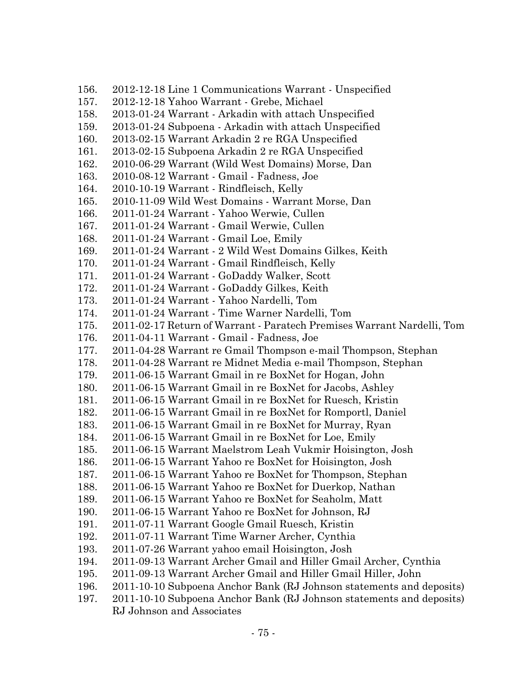| 156. | 2012-12-18 Line 1 Communications Warrant - Unspecified                 |
|------|------------------------------------------------------------------------|
| 157. | 2012-12-18 Yahoo Warrant - Grebe, Michael                              |
| 158. | 2013-01-24 Warrant - Arkadin with attach Unspecified                   |
| 159. | 2013-01-24 Subpoena - Arkadin with attach Unspecified                  |
| 160. | 2013-02-15 Warrant Arkadin 2 re RGA Unspecified                        |
| 161. | 2013-02-15 Subpoena Arkadin 2 re RGA Unspecified                       |
| 162. | 2010-06-29 Warrant (Wild West Domains) Morse, Dan                      |
| 163. | 2010-08-12 Warrant - Gmail - Fadness, Joe                              |
| 164. | 2010-10-19 Warrant - Rindfleisch, Kelly                                |
| 165. | 2010-11-09 Wild West Domains - Warrant Morse, Dan                      |
| 166. | 2011-01-24 Warrant - Yahoo Werwie, Cullen                              |
| 167. | 2011-01-24 Warrant - Gmail Werwie, Cullen                              |
| 168. | 2011-01-24 Warrant - Gmail Loe, Emily                                  |
| 169. | 2011-01-24 Warrant - 2 Wild West Domains Gilkes, Keith                 |
| 170. | 2011-01-24 Warrant - Gmail Rindfleisch, Kelly                          |
| 171. | 2011-01-24 Warrant - GoDaddy Walker, Scott                             |
| 172. | 2011-01-24 Warrant - GoDaddy Gilkes, Keith                             |
| 173. | 2011-01-24 Warrant - Yahoo Nardelli, Tom                               |
| 174. | 2011-01-24 Warrant - Time Warner Nardelli, Tom                         |
| 175. | 2011-02-17 Return of Warrant - Paratech Premises Warrant Nardelli, Tom |
| 176. | 2011-04-11 Warrant - Gmail - Fadness, Joe                              |
| 177. | 2011-04-28 Warrant re Gmail Thompson e-mail Thompson, Stephan          |
| 178. | 2011-04-28 Warrant re Midnet Media e-mail Thompson, Stephan            |
| 179. | 2011-06-15 Warrant Gmail in re BoxNet for Hogan, John                  |
| 180. | 2011-06-15 Warrant Gmail in re BoxNet for Jacobs, Ashley               |
| 181. | 2011-06-15 Warrant Gmail in re BoxNet for Ruesch, Kristin              |
| 182. | 2011-06-15 Warrant Gmail in re BoxNet for Romportl, Daniel             |
| 183. | 2011-06-15 Warrant Gmail in re BoxNet for Murray, Ryan                 |
| 184. | 2011-06-15 Warrant Gmail in re BoxNet for Loe, Emily                   |
| 185. | 2011-06-15 Warrant Maelstrom Leah Vukmir Hoisington, Josh              |
| 186. | 2011-06-15 Warrant Yahoo re BoxNet for Hoisington, Josh                |
| 187. | 2011-06-15 Warrant Yahoo re BoxNet for Thompson, Stephan               |
| 188. | 2011-06-15 Warrant Yahoo re BoxNet for Duerkop, Nathan                 |
| 189. | 2011-06-15 Warrant Yahoo re BoxNet for Seaholm, Matt                   |
| 190. | 2011-06-15 Warrant Yahoo re BoxNet for Johnson, RJ                     |
| 191. | 2011-07-11 Warrant Google Gmail Ruesch, Kristin                        |
| 192. | 2011-07-11 Warrant Time Warner Archer, Cynthia                         |
| 193. | 2011-07-26 Warrant yahoo email Hoisington, Josh                        |
| 194. | 2011-09-13 Warrant Archer Gmail and Hiller Gmail Archer, Cynthia       |
| 195. | 2011-09-13 Warrant Archer Gmail and Hiller Gmail Hiller, John          |
| 196. | 2011-10-10 Subpoena Anchor Bank (RJ Johnson statements and deposits)   |
| 197. | 2011-10-10 Subpoena Anchor Bank (RJ Johnson statements and deposits)   |
|      | RJ Johnson and Associates                                              |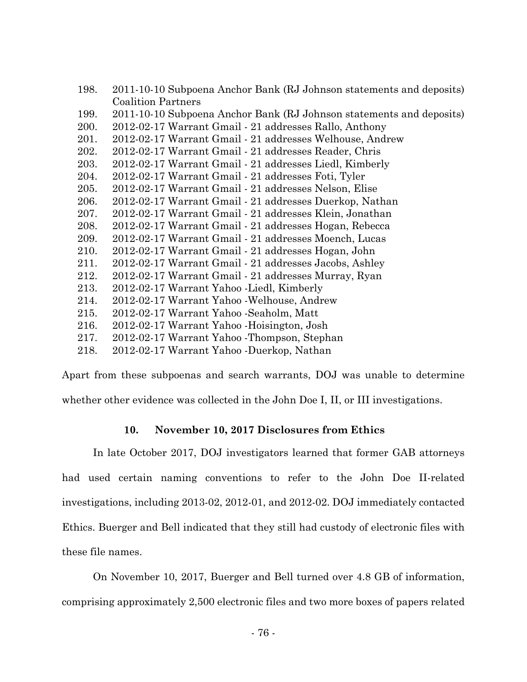| 198. | 2011-10-10 Subpoena Anchor Bank (RJ Johnson statements and deposits) |
|------|----------------------------------------------------------------------|
|      | <b>Coalition Partners</b>                                            |
| 199. | 2011-10-10 Subpoena Anchor Bank (RJ Johnson statements and deposits) |
| 200. | 2012-02-17 Warrant Gmail - 21 addresses Rallo, Anthony               |
| 201. | 2012-02-17 Warrant Gmail - 21 addresses Welhouse, Andrew             |
| 202. | 2012-02-17 Warrant Gmail - 21 addresses Reader, Chris                |
| 203. | 2012-02-17 Warrant Gmail - 21 addresses Liedl, Kimberly              |
| 204. | 2012-02-17 Warrant Gmail - 21 addresses Foti, Tyler                  |
| 205. | 2012-02-17 Warrant Gmail - 21 addresses Nelson, Elise                |
| 206. | 2012-02-17 Warrant Gmail - 21 addresses Duerkop, Nathan              |
| 207. | 2012-02-17 Warrant Gmail - 21 addresses Klein, Jonathan              |
| 208. | 2012-02-17 Warrant Gmail - 21 addresses Hogan, Rebecca               |
| 209. | 2012-02-17 Warrant Gmail - 21 addresses Moench, Lucas                |
| 210. | 2012-02-17 Warrant Gmail - 21 addresses Hogan, John                  |
| 211. | 2012-02-17 Warrant Gmail - 21 addresses Jacobs, Ashley               |
| 212. | 2012-02-17 Warrant Gmail - 21 addresses Murray, Ryan                 |
| 213. | 2012-02-17 Warrant Yahoo - Liedl, Kimberly                           |
| 214. | 2012-02-17 Warrant Yahoo - Welhouse, Andrew                          |
| 215. | 2012-02-17 Warrant Yahoo - Seaholm, Matt                             |
| 216. | 2012-02-17 Warrant Yahoo - Hoisington, Josh                          |
| 217. | 2012-02-17 Warrant Yahoo - Thompson, Stephan                         |
| 218. | 2012-02-17 Warrant Yahoo -Duerkop, Nathan                            |

Apart from these subpoenas and search warrants, DOJ was unable to determine whether other evidence was collected in the John Doe I, II, or III investigations.

# **10. November 10, 2017 Disclosures from Ethics**

In late October 2017, DOJ investigators learned that former GAB attorneys had used certain naming conventions to refer to the John Doe II-related investigations, including 2013-02, 2012-01, and 2012-02. DOJ immediately contacted Ethics. Buerger and Bell indicated that they still had custody of electronic files with these file names.

On November 10, 2017, Buerger and Bell turned over 4.8 GB of information, comprising approximately 2,500 electronic files and two more boxes of papers related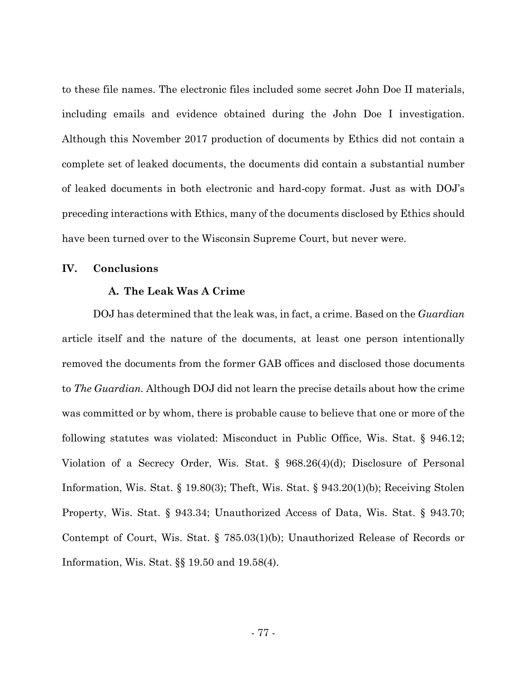to these file names. The electronic files included some secret John Doe II materials, including emails and evidence obtained during the John Doe I investigation. Although this November 2017 production of documents by Ethics did not contain a complete set of leaked documents, the documents did contain a substantial number of leaked documents in both electronic and hard-copy format. Just as with DOJ's preceding interactions with Ethics, many of the documents disclosed by Ethics should have been turned over to the Wisconsin Supreme Court, but never were.

### **IV. Conclusions**

### **A. The Leak Was A Crime**

DOJ has determined that the leak was, in fact, a crime. Based on the *Guardian* article itself and the nature of the documents, at least one person intentionally removed the documents from the former GAB offices and disclosed those documents to *The Guardian.* Although DOJ did not learn the precise details about how the crime was committed or by whom, there is probable cause to believe that one or more of the following statutes was violated: Misconduct in Public Office, Wis. Stat. § 946.12; Violation of a Secrecy Order, Wis. Stat. § 968.26(4)(d); Disclosure of Personal Information, Wis. Stat. § 19.80(3); Theft, Wis. Stat. § 943.20(1)(b); Receiving Stolen Property, Wis. Stat. § 943.34; Unauthorized Access of Data, Wis. Stat. § 943.70; Contempt of Court, Wis. Stat. § 785.03(1)(b); Unauthorized Release of Records or Information, Wis. Stat. §§ 19.50 and 19.58(4).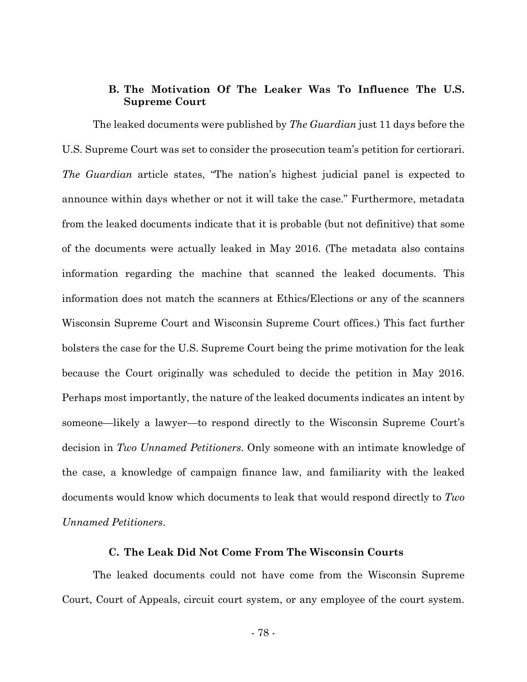## **B. The Motivation Of The Leaker Was To Influence The U.S. Supreme Court**

The leaked documents were published by *The Guardian* just 11 days before the U.S. Supreme Court was set to consider the prosecution team's petition for certiorari. *The Guardian* article states, "The nation's highest judicial panel is expected to announce within days whether or not it will take the case." Furthermore, metadata from the leaked documents indicate that it is probable (but not definitive) that some of the documents were actually leaked in May 2016. (The metadata also contains information regarding the machine that scanned the leaked documents. This information does not match the scanners at Ethics/Elections or any of the scanners Wisconsin Supreme Court and Wisconsin Supreme Court offices.) This fact further bolsters the case for the U.S. Supreme Court being the prime motivation for the leak because the Court originally was scheduled to decide the petition in May 2016. Perhaps most importantly, the nature of the leaked documents indicates an intent by someone—likely a lawyer—to respond directly to the Wisconsin Supreme Court's decision in *Two Unnamed Petitioners*. Only someone with an intimate knowledge of the case, a knowledge of campaign finance law, and familiarity with the leaked documents would know which documents to leak that would respond directly to *Two Unnamed Petitioners*.

### **C. The Leak Did Not Come From The Wisconsin Courts**

The leaked documents could not have come from the Wisconsin Supreme Court, Court of Appeals, circuit court system, or any employee of the court system.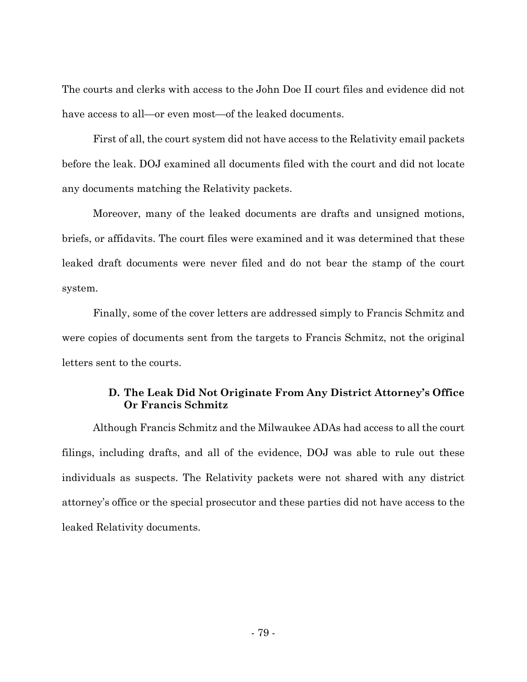The courts and clerks with access to the John Doe II court files and evidence did not have access to all—or even most—of the leaked documents.

First of all, the court system did not have access to the Relativity email packets before the leak. DOJ examined all documents filed with the court and did not locate any documents matching the Relativity packets.

Moreover, many of the leaked documents are drafts and unsigned motions, briefs, or affidavits. The court files were examined and it was determined that these leaked draft documents were never filed and do not bear the stamp of the court system.

Finally, some of the cover letters are addressed simply to Francis Schmitz and were copies of documents sent from the targets to Francis Schmitz, not the original letters sent to the courts.

# **D. The Leak Did Not Originate From Any District Attorney's Office Or Francis Schmitz**

 Although Francis Schmitz and the Milwaukee ADAs had access to all the court filings, including drafts, and all of the evidence, DOJ was able to rule out these individuals as suspects. The Relativity packets were not shared with any district attorney's office or the special prosecutor and these parties did not have access to the leaked Relativity documents.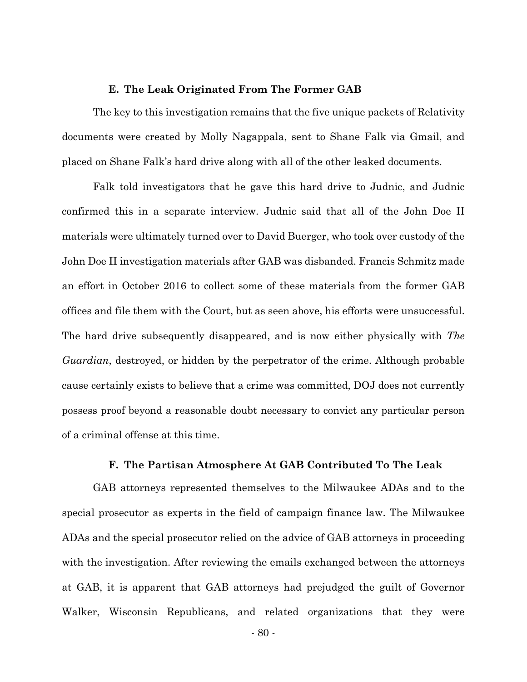### **E. The Leak Originated From The Former GAB**

 The key to this investigation remains that the five unique packets of Relativity documents were created by Molly Nagappala, sent to Shane Falk via Gmail, and placed on Shane Falk's hard drive along with all of the other leaked documents.

Falk told investigators that he gave this hard drive to Judnic, and Judnic confirmed this in a separate interview. Judnic said that all of the John Doe II materials were ultimately turned over to David Buerger, who took over custody of the John Doe II investigation materials after GAB was disbanded. Francis Schmitz made an effort in October 2016 to collect some of these materials from the former GAB offices and file them with the Court, but as seen above, his efforts were unsuccessful. The hard drive subsequently disappeared, and is now either physically with *The Guardian*, destroyed, or hidden by the perpetrator of the crime. Although probable cause certainly exists to believe that a crime was committed, DOJ does not currently possess proof beyond a reasonable doubt necessary to convict any particular person of a criminal offense at this time.

#### **F. The Partisan Atmosphere At GAB Contributed To The Leak**

 GAB attorneys represented themselves to the Milwaukee ADAs and to the special prosecutor as experts in the field of campaign finance law. The Milwaukee ADAs and the special prosecutor relied on the advice of GAB attorneys in proceeding with the investigation. After reviewing the emails exchanged between the attorneys at GAB, it is apparent that GAB attorneys had prejudged the guilt of Governor Walker, Wisconsin Republicans, and related organizations that they were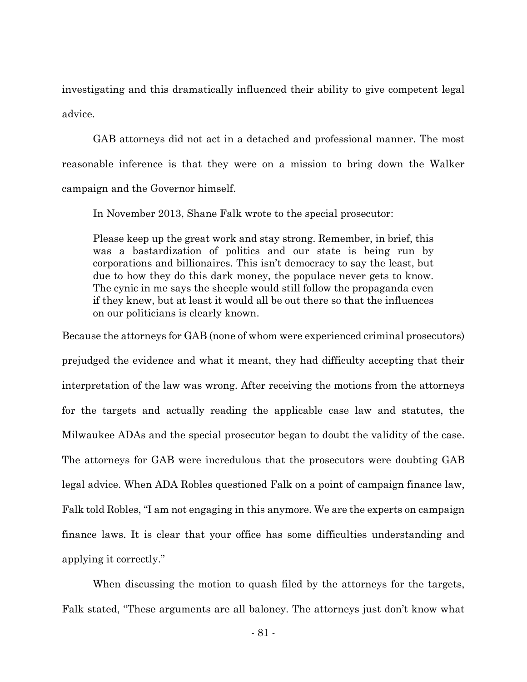investigating and this dramatically influenced their ability to give competent legal advice.

 GAB attorneys did not act in a detached and professional manner. The most reasonable inference is that they were on a mission to bring down the Walker campaign and the Governor himself.

In November 2013, Shane Falk wrote to the special prosecutor:

Please keep up the great work and stay strong. Remember, in brief, this was a bastardization of politics and our state is being run by corporations and billionaires. This isn't democracy to say the least, but due to how they do this dark money, the populace never gets to know. The cynic in me says the sheeple would still follow the propaganda even if they knew, but at least it would all be out there so that the influences on our politicians is clearly known.

Because the attorneys for GAB (none of whom were experienced criminal prosecutors) prejudged the evidence and what it meant, they had difficulty accepting that their interpretation of the law was wrong. After receiving the motions from the attorneys for the targets and actually reading the applicable case law and statutes, the Milwaukee ADAs and the special prosecutor began to doubt the validity of the case. The attorneys for GAB were incredulous that the prosecutors were doubting GAB legal advice. When ADA Robles questioned Falk on a point of campaign finance law, Falk told Robles, "I am not engaging in this anymore. We are the experts on campaign finance laws. It is clear that your office has some difficulties understanding and applying it correctly."

 When discussing the motion to quash filed by the attorneys for the targets, Falk stated, "These arguments are all baloney. The attorneys just don't know what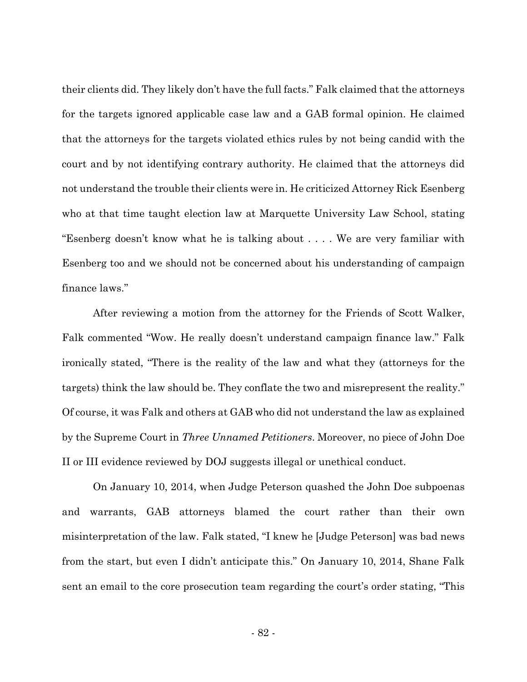their clients did. They likely don't have the full facts." Falk claimed that the attorneys for the targets ignored applicable case law and a GAB formal opinion. He claimed that the attorneys for the targets violated ethics rules by not being candid with the court and by not identifying contrary authority. He claimed that the attorneys did not understand the trouble their clients were in. He criticized Attorney Rick Esenberg who at that time taught election law at Marquette University Law School, stating "Esenberg doesn't know what he is talking about . . . . We are very familiar with Esenberg too and we should not be concerned about his understanding of campaign finance laws."

 After reviewing a motion from the attorney for the Friends of Scott Walker, Falk commented "Wow. He really doesn't understand campaign finance law." Falk ironically stated, "There is the reality of the law and what they (attorneys for the targets) think the law should be. They conflate the two and misrepresent the reality." Of course, it was Falk and others at GAB who did not understand the law as explained by the Supreme Court in *Three Unnamed Petitioners*. Moreover, no piece of John Doe II or III evidence reviewed by DOJ suggests illegal or unethical conduct.

 On January 10, 2014, when Judge Peterson quashed the John Doe subpoenas and warrants, GAB attorneys blamed the court rather than their own misinterpretation of the law. Falk stated, "I knew he [Judge Peterson] was bad news from the start, but even I didn't anticipate this." On January 10, 2014, Shane Falk sent an email to the core prosecution team regarding the court's order stating, "This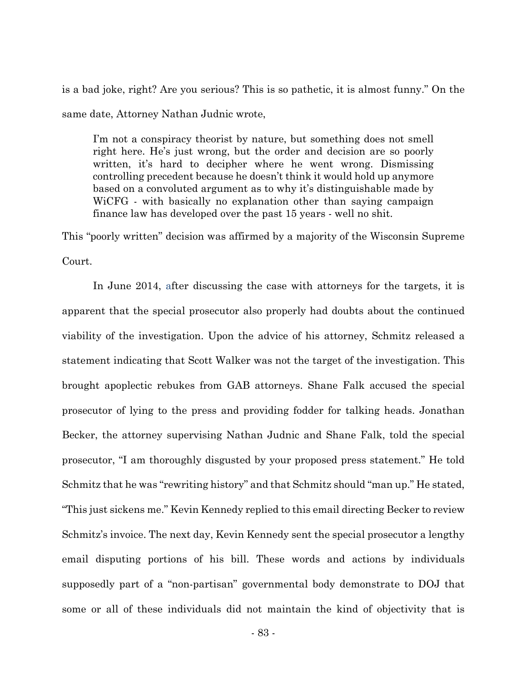is a bad joke, right? Are you serious? This is so pathetic, it is almost funny." On the same date, Attorney Nathan Judnic wrote,

I'm not a conspiracy theorist by nature, but something does not smell right here. He's just wrong, but the order and decision are so poorly written, it's hard to decipher where he went wrong. Dismissing controlling precedent because he doesn't think it would hold up anymore based on a convoluted argument as to why it's distinguishable made by WiCFG - with basically no explanation other than saying campaign finance law has developed over the past 15 years - well no shit.

This "poorly written" decision was affirmed by a majority of the Wisconsin Supreme Court.

 In June 2014, after discussing the case with attorneys for the targets, it is apparent that the special prosecutor also properly had doubts about the continued viability of the investigation. Upon the advice of his attorney, Schmitz released a statement indicating that Scott Walker was not the target of the investigation. This brought apoplectic rebukes from GAB attorneys. Shane Falk accused the special prosecutor of lying to the press and providing fodder for talking heads. Jonathan Becker, the attorney supervising Nathan Judnic and Shane Falk, told the special prosecutor, "I am thoroughly disgusted by your proposed press statement." He told Schmitz that he was "rewriting history" and that Schmitz should "man up." He stated, "This just sickens me." Kevin Kennedy replied to this email directing Becker to review Schmitz's invoice. The next day, Kevin Kennedy sent the special prosecutor a lengthy email disputing portions of his bill. These words and actions by individuals supposedly part of a "non-partisan" governmental body demonstrate to DOJ that some or all of these individuals did not maintain the kind of objectivity that is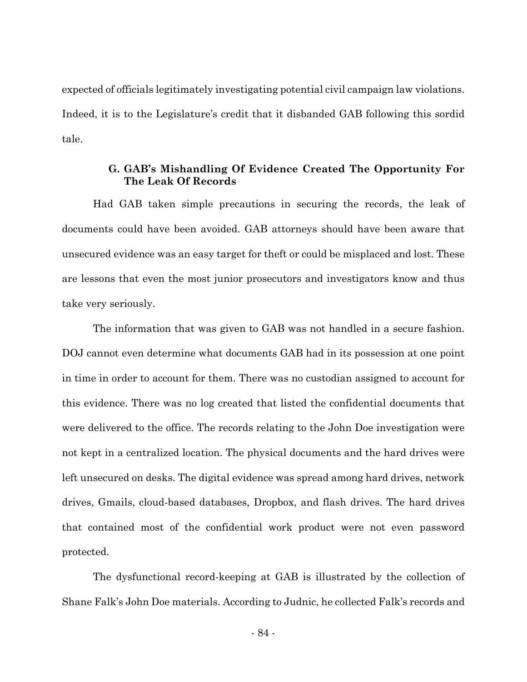expected of officials legitimately investigating potential civil campaign law violations. Indeed, it is to the Legislature's credit that it disbanded GAB following this sordid tale.

## **G. GAB's Mishandling Of Evidence Created The Opportunity For The Leak Of Records**

Had GAB taken simple precautions in securing the records, the leak of documents could have been avoided. GAB attorneys should have been aware that unsecured evidence was an easy target for theft or could be misplaced and lost. These are lessons that even the most junior prosecutors and investigators know and thus take very seriously.

The information that was given to GAB was not handled in a secure fashion. DOJ cannot even determine what documents GAB had in its possession at one point in time in order to account for them. There was no custodian assigned to account for this evidence. There was no log created that listed the confidential documents that were delivered to the office. The records relating to the John Doe investigation were not kept in a centralized location. The physical documents and the hard drives were left unsecured on desks. The digital evidence was spread among hard drives, network drives, Gmails, cloud-based databases, Dropbox, and flash drives. The hard drives that contained most of the confidential work product were not even password protected.

The dysfunctional record-keeping at GAB is illustrated by the collection of Shane Falk's John Doe materials. According to Judnic, he collected Falk's records and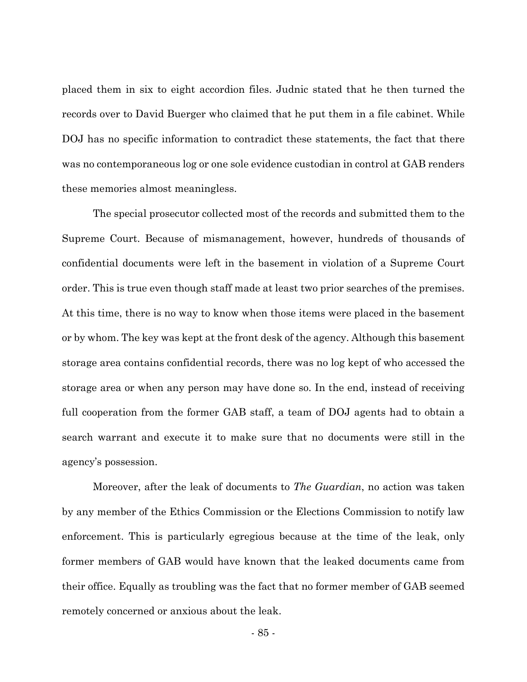placed them in six to eight accordion files. Judnic stated that he then turned the records over to David Buerger who claimed that he put them in a file cabinet. While DOJ has no specific information to contradict these statements, the fact that there was no contemporaneous log or one sole evidence custodian in control at GAB renders these memories almost meaningless.

The special prosecutor collected most of the records and submitted them to the Supreme Court. Because of mismanagement, however, hundreds of thousands of confidential documents were left in the basement in violation of a Supreme Court order. This is true even though staff made at least two prior searches of the premises. At this time, there is no way to know when those items were placed in the basement or by whom. The key was kept at the front desk of the agency. Although this basement storage area contains confidential records, there was no log kept of who accessed the storage area or when any person may have done so. In the end, instead of receiving full cooperation from the former GAB staff, a team of DOJ agents had to obtain a search warrant and execute it to make sure that no documents were still in the agency's possession.

Moreover, after the leak of documents to *The Guardian*, no action was taken by any member of the Ethics Commission or the Elections Commission to notify law enforcement. This is particularly egregious because at the time of the leak, only former members of GAB would have known that the leaked documents came from their office. Equally as troubling was the fact that no former member of GAB seemed remotely concerned or anxious about the leak.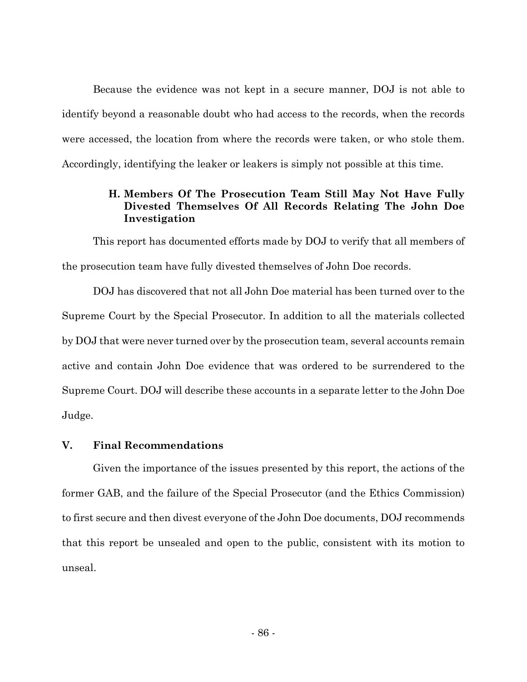Because the evidence was not kept in a secure manner, DOJ is not able to identify beyond a reasonable doubt who had access to the records, when the records were accessed, the location from where the records were taken, or who stole them. Accordingly, identifying the leaker or leakers is simply not possible at this time.

# **H. Members Of The Prosecution Team Still May Not Have Fully Divested Themselves Of All Records Relating The John Doe Investigation**

This report has documented efforts made by DOJ to verify that all members of the prosecution team have fully divested themselves of John Doe records.

DOJ has discovered that not all John Doe material has been turned over to the Supreme Court by the Special Prosecutor. In addition to all the materials collected by DOJ that were never turned over by the prosecution team, several accounts remain active and contain John Doe evidence that was ordered to be surrendered to the Supreme Court. DOJ will describe these accounts in a separate letter to the John Doe Judge.

## **V. Final Recommendations**

Given the importance of the issues presented by this report, the actions of the former GAB, and the failure of the Special Prosecutor (and the Ethics Commission) to first secure and then divest everyone of the John Doe documents, DOJ recommends that this report be unsealed and open to the public, consistent with its motion to unseal.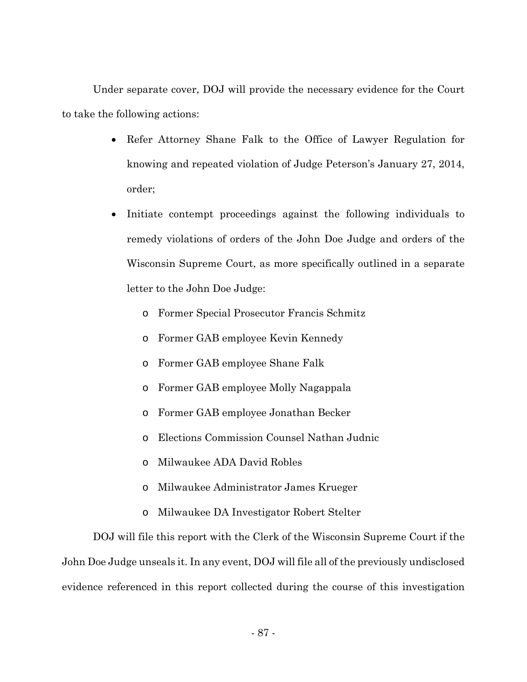Under separate cover, DOJ will provide the necessary evidence for the Court to take the following actions:

- Refer Attorney Shane Falk to the Office of Lawyer Regulation for knowing and repeated violation of Judge Peterson's January 27, 2014, order;
- Initiate contempt proceedings against the following individuals to remedy violations of orders of the John Doe Judge and orders of the Wisconsin Supreme Court, as more specifically outlined in a separate letter to the John Doe Judge:
	- o Former Special Prosecutor Francis Schmitz
	- o Former GAB employee Kevin Kennedy
	- o Former GAB employee Shane Falk
	- o Former GAB employee Molly Nagappala
	- o Former GAB employee Jonathan Becker
	- o Elections Commission Counsel Nathan Judnic
	- o Milwaukee ADA David Robles
	- o Milwaukee Administrator James Krueger
	- o Milwaukee DA Investigator Robert Stelter

DOJ will file this report with the Clerk of the Wisconsin Supreme Court if the John Doe Judge unseals it. In any event, DOJ will file all of the previously undisclosed evidence referenced in this report collected during the course of this investigation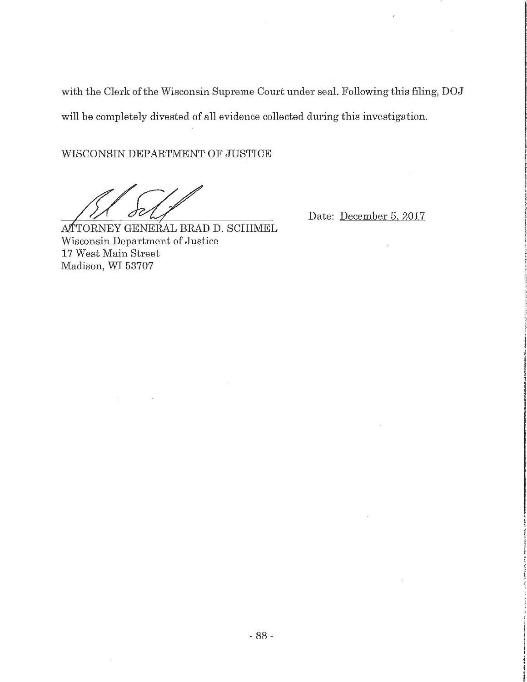with the Clerk of the Wisconsin Supreme Court under seal. Following this filing, DOJ will be completely divested of all evidence collected during this investigation.

WISCONSIN DEPARTMENT OF JUSTICE

Date: December 5, 2017

 $\tilde{\mathbf{y}}$ 

ATTORNEY GENERAL BRAD D. SCHIMEL Wisconsin Department of Justice 17 West Main Street Madison, WI 53707

 $\sim$   $\sim$ 

 $\sim$